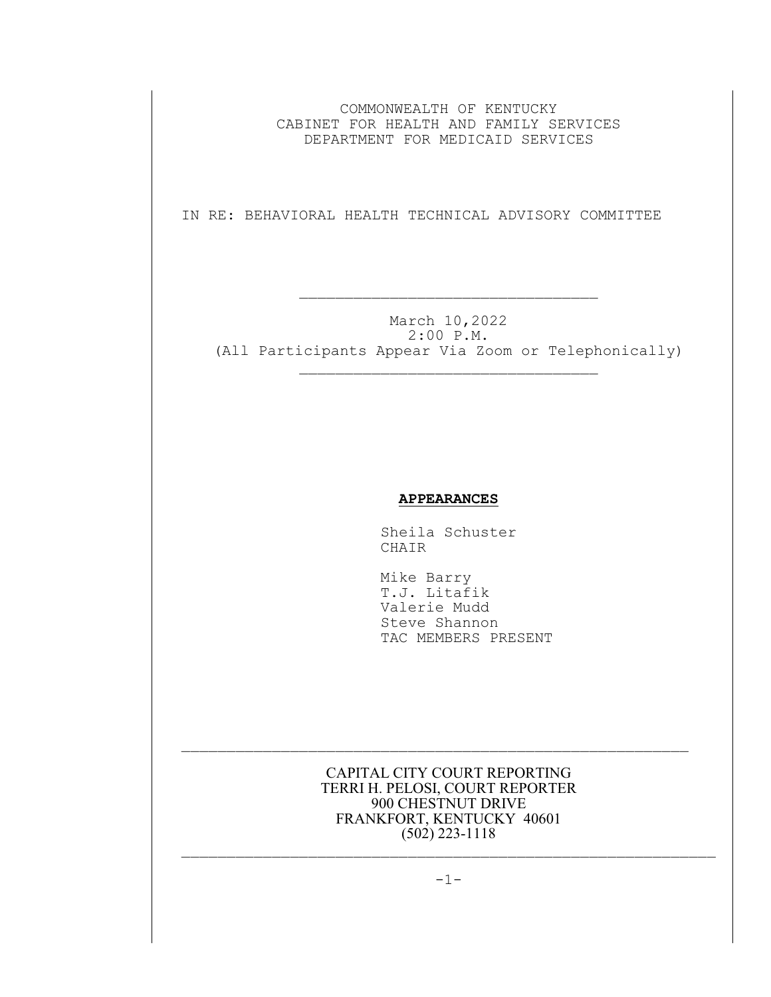COMMONWEALTH OF KENTUCKY CABINET FOR HEALTH AND FAMILY SERVICES DEPARTMENT FOR MEDICAID SERVICES

IN RE: BEHAVIORAL HEALTH TECHNICAL ADVISORY COMMITTEE

 $\mathcal{L}_\text{max}$  and the contract of the contract of the contract of the contract of the contract of the contract of the contract of the contract of the contract of the contract of the contract of the contract of the contrac

March 10,2022 2:00 P.M. (All Participants Appear Via Zoom or Telephonically)  $\mathcal{L}_\text{max}$ 

## **APPEARANCES**

Sheila Schuster CHAIR

 Mike Barry T.J. Litafik Valerie Mudd Steve Shannon TAC MEMBERS PRESENT

CAPITAL CITY COURT REPORTING TERRI H. PELOSI, COURT REPORTER 900 CHESTNUT DRIVE FRANKFORT, KENTUCKY 40601  $(502)$  223-1118

 $\mathcal{L}_\text{max}$  and the contract of the contract of the contract of the contract of the contract of the contract of

 $-1-$ 

 $\mathcal{L}_\text{max}$  and the contract of the contract of the contract of the contract of the contract of the contract of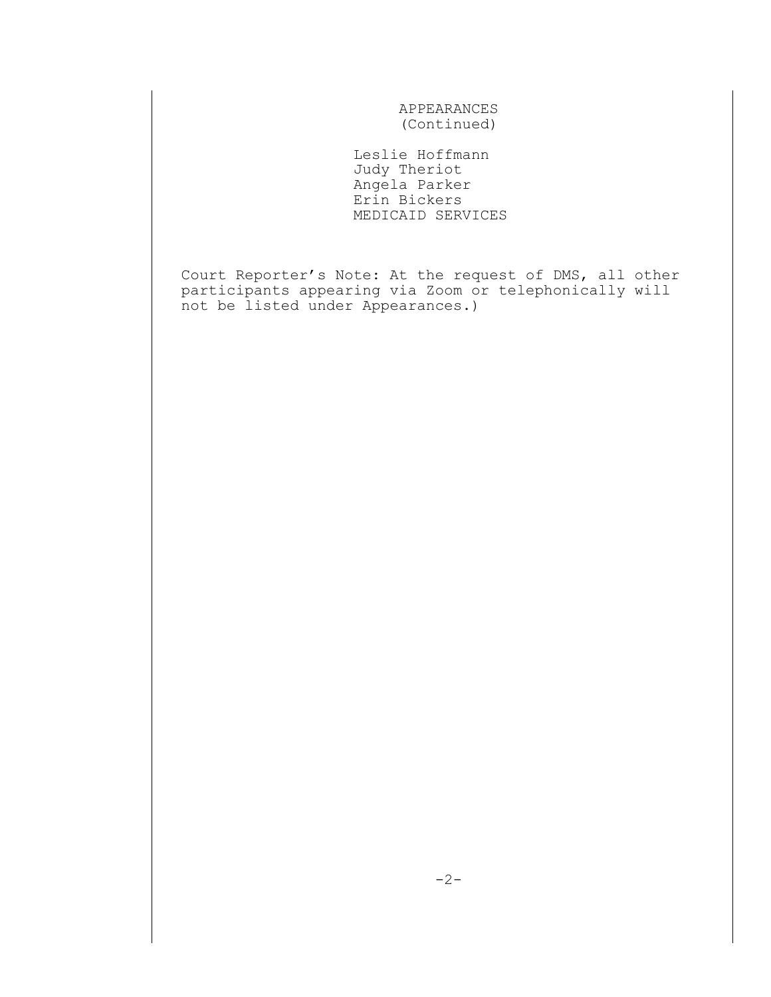APPEARANCES (Continued)

 Leslie Hoffmann Judy Theriot Angela Parker Erin Bickers MEDICAID SERVICES

Court Reporter's Note: At the request of DMS, all other participants appearing via Zoom or telephonically will not be listed under Appearances.)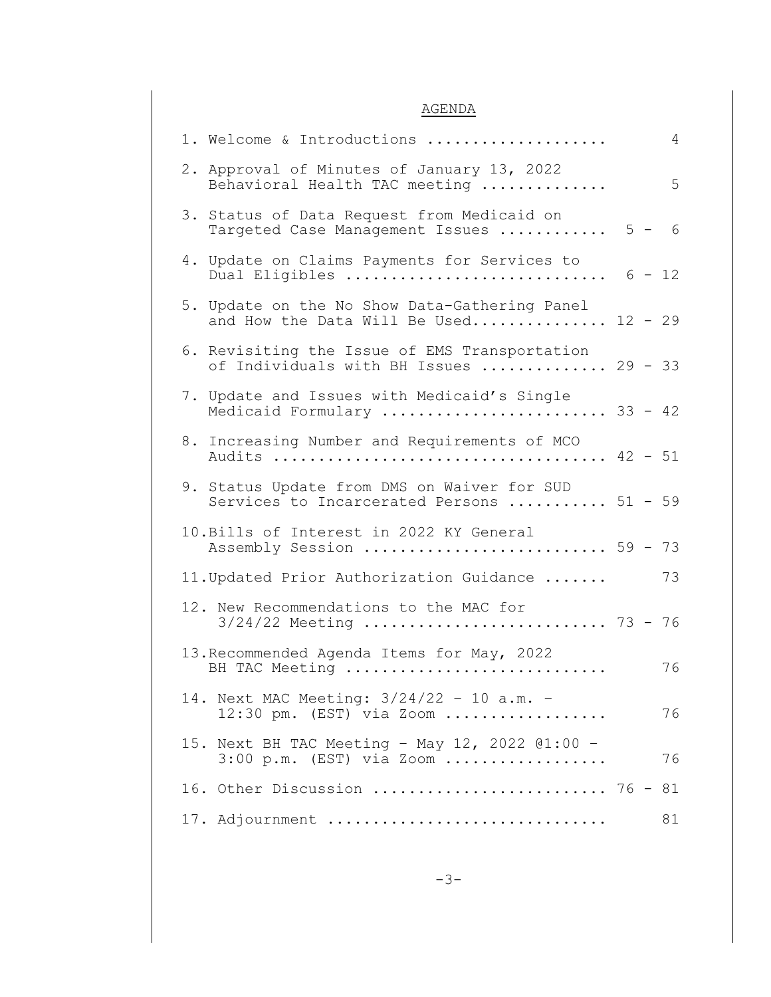## AGENDA

| 1. Welcome & Introductions<br>4                                                          |
|------------------------------------------------------------------------------------------|
| 2. Approval of Minutes of January 13, 2022<br>Behavioral Health TAC meeting<br>5         |
| 3. Status of Data Request from Medicaid on<br>Targeted Case Management Issues  5 - 6     |
| 4. Update on Claims Payments for Services to<br>Dual Eligibles $6 - 12$                  |
| 5. Update on the No Show Data-Gathering Panel<br>and How the Data Will Be Used 12 - 29   |
| 6. Revisiting the Issue of EMS Transportation<br>of Individuals with BH Issues  29 - 33  |
| 7. Update and Issues with Medicaid's Single<br>Medicaid Formulary  33 - 42               |
| 8. Increasing Number and Requirements of MCO                                             |
| 9. Status Update from DMS on Waiver for SUD<br>Services to Incarcerated Persons  51 - 59 |
| 10. Bills of Interest in 2022 KY General<br>Assembly Session  59 - 73                    |
| 73<br>11. Updated Prior Authorization Guidance                                           |
| 12. New Recommendations to the MAC for<br>$3/24/22$ Meeting  73 - 76                     |
| 13. Recommended Agenda Items for May, 2022<br>76<br>BH TAC Meeting                       |
| 14. Next MAC Meeting: 3/24/22 - 10 a.m. -<br>$12:30$ pm. (EST) via Zoom<br>76            |
| 15. Next BH TAC Meeting - May 12, 2022 @1:00 -<br>76<br>$3:00$ p.m. (EST) via Zoom       |
| 16. Other Discussion  76 - 81                                                            |
| 17. Adjournment<br>81                                                                    |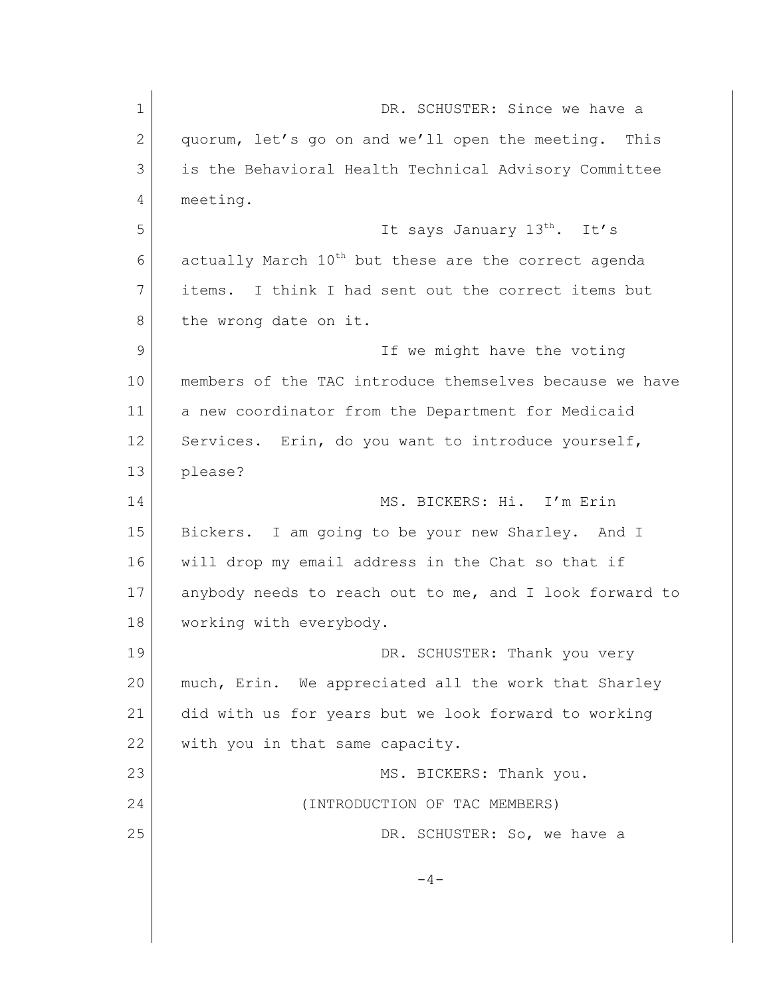| $\mathbf 1$ | DR. SCHUSTER: Since we have a                                    |
|-------------|------------------------------------------------------------------|
| 2           | quorum, let's go on and we'll open the meeting. This             |
| 3           | is the Behavioral Health Technical Advisory Committee            |
| 4           | meeting.                                                         |
| 5           | It says January 13 <sup>th</sup> . It's                          |
| 6           | actually March 10 <sup>th</sup> but these are the correct agenda |
| 7           | items. I think I had sent out the correct items but              |
| 8           | the wrong date on it.                                            |
| 9           | If we might have the voting                                      |
| 10          | members of the TAC introduce themselves because we have          |
| 11          | a new coordinator from the Department for Medicaid               |
| 12          | Services. Erin, do you want to introduce yourself,               |
| 13          | please?                                                          |
| 14          | MS. BICKERS: Hi. I'm Erin                                        |
| 15          | Bickers. I am going to be your new Sharley. And I                |
| 16          | will drop my email address in the Chat so that if                |
| 17          | anybody needs to reach out to me, and I look forward to          |
| 18          | working with everybody.                                          |
| 19          | DR. SCHUSTER: Thank you very                                     |
| 20          | much, Erin. We appreciated all the work that Sharley             |
| 21          | did with us for years but we look forward to working             |
| 22          | with you in that same capacity.                                  |
| 23          | MS. BICKERS: Thank you.                                          |
| 24          | (INTRODUCTION OF TAC MEMBERS)                                    |
| 25          | DR. SCHUSTER: So, we have a                                      |
|             | $-4-$                                                            |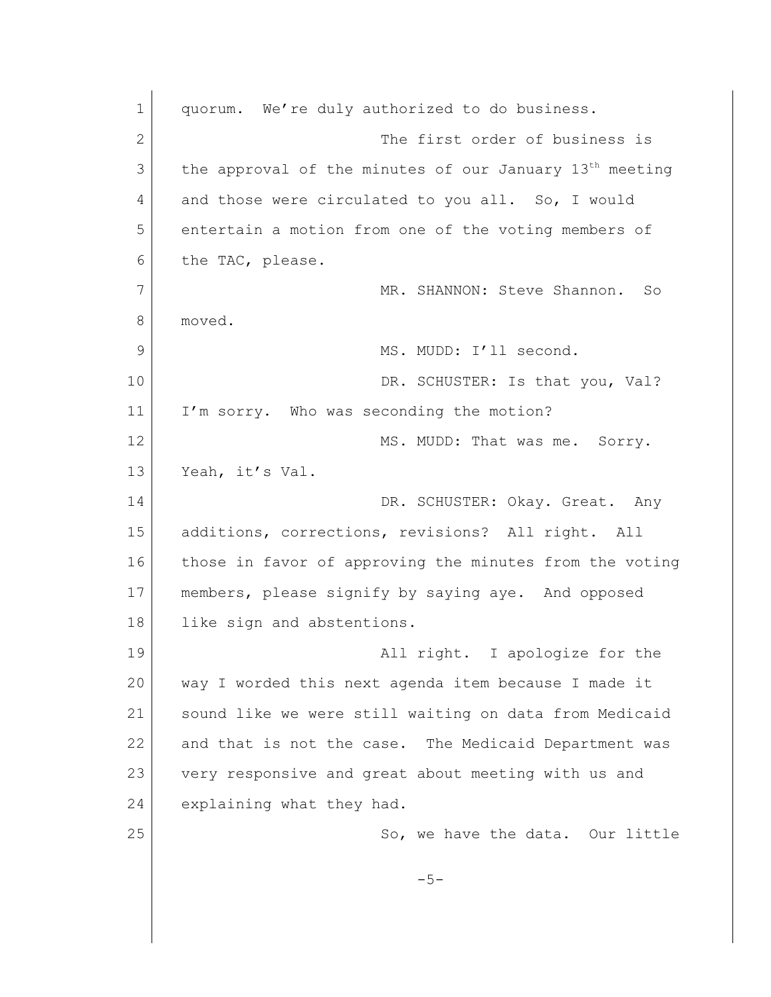| $\mathbf 1$  | quorum. We're duly authorized to do business.                       |
|--------------|---------------------------------------------------------------------|
| $\mathbf{2}$ | The first order of business is                                      |
| 3            | the approval of the minutes of our January 13 <sup>th</sup> meeting |
| 4            | and those were circulated to you all. So, I would                   |
| 5            | entertain a motion from one of the voting members of                |
| 6            | the TAC, please.                                                    |
| 7            | MR. SHANNON: Steve Shannon. So                                      |
| 8            | moved.                                                              |
| 9            | MS. MUDD: I'll second.                                              |
| 10           | DR. SCHUSTER: Is that you, Val?                                     |
| 11           | I'm sorry. Who was seconding the motion?                            |
| 12           | MS. MUDD: That was me. Sorry.                                       |
| 13           | Yeah, it's Val.                                                     |
| 14           | DR. SCHUSTER: Okay. Great. Any                                      |
| 15           | additions, corrections, revisions? All right. All                   |
| 16           | those in favor of approving the minutes from the voting             |
| 17           | members, please signify by saying aye. And opposed                  |
| 18           | like sign and abstentions.                                          |
| 19           | All right. I apologize for the                                      |
| 20           | way I worded this next agenda item because I made it                |
| 21           | sound like we were still waiting on data from Medicaid              |
| 22           | and that is not the case. The Medicaid Department was               |
| 23           | very responsive and great about meeting with us and                 |
| 24           | explaining what they had.                                           |
| 25           | So, we have the data. Our little                                    |
|              | $-5-$                                                               |
|              |                                                                     |
|              |                                                                     |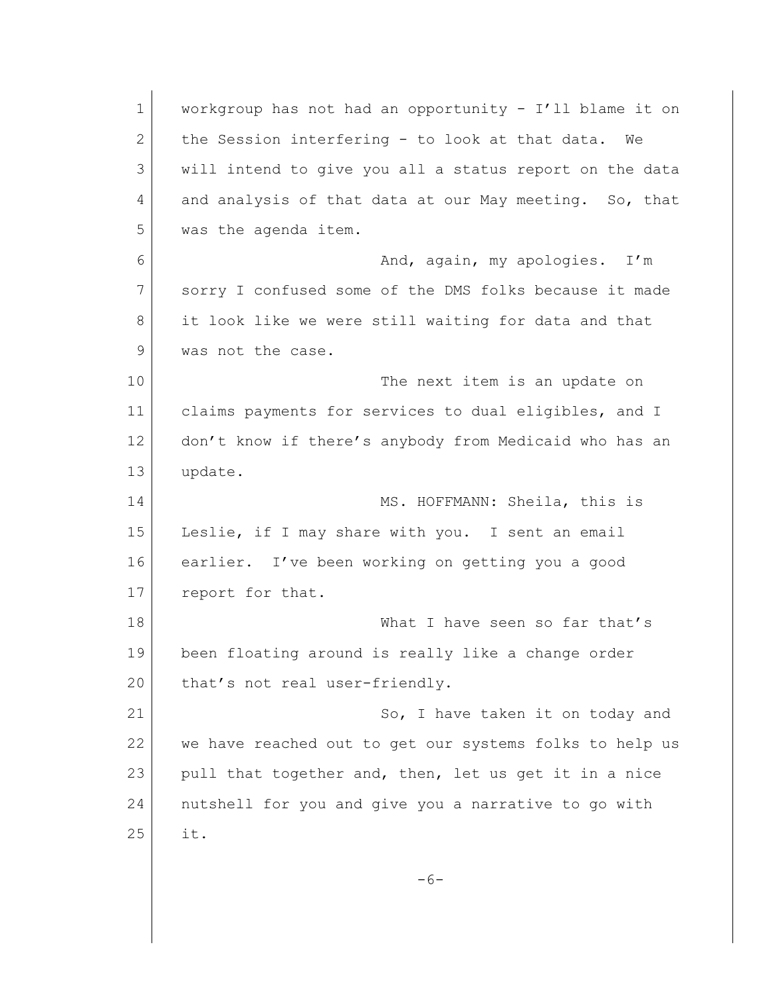| $\mathbf 1$  | workgroup has not had an opportunity - I'll blame it on |
|--------------|---------------------------------------------------------|
| $\mathbf{2}$ | the Session interfering - to look at that data.<br>We   |
| 3            | will intend to give you all a status report on the data |
| 4            | and analysis of that data at our May meeting. So, that  |
| 5            | was the agenda item.                                    |
| 6            | And, again, my apologies. I'm                           |
| 7            | sorry I confused some of the DMS folks because it made  |
| 8            | it look like we were still waiting for data and that    |
| 9            | was not the case.                                       |
| 10           | The next item is an update on                           |
| 11           | claims payments for services to dual eligibles, and I   |
| 12           | don't know if there's anybody from Medicaid who has an  |
| 13           | update.                                                 |
| 14           | MS. HOFFMANN: Sheila, this is                           |
| 15           | Leslie, if I may share with you. I sent an email        |
| 16           | earlier. I've been working on getting you a good        |
| 17           | report for that.                                        |
| 18           | What I have seen so far that's                          |
| 19           | been floating around is really like a change order      |
| 20           | that's not real user-friendly.                          |
| 21           | So, I have taken it on today and                        |
| 22           | we have reached out to get our systems folks to help us |
| 23           | pull that together and, then, let us get it in a nice   |
| 24           | nutshell for you and give you a narrative to go with    |
| 25           | it.                                                     |
|              |                                                         |
|              | $-6-$                                                   |
|              |                                                         |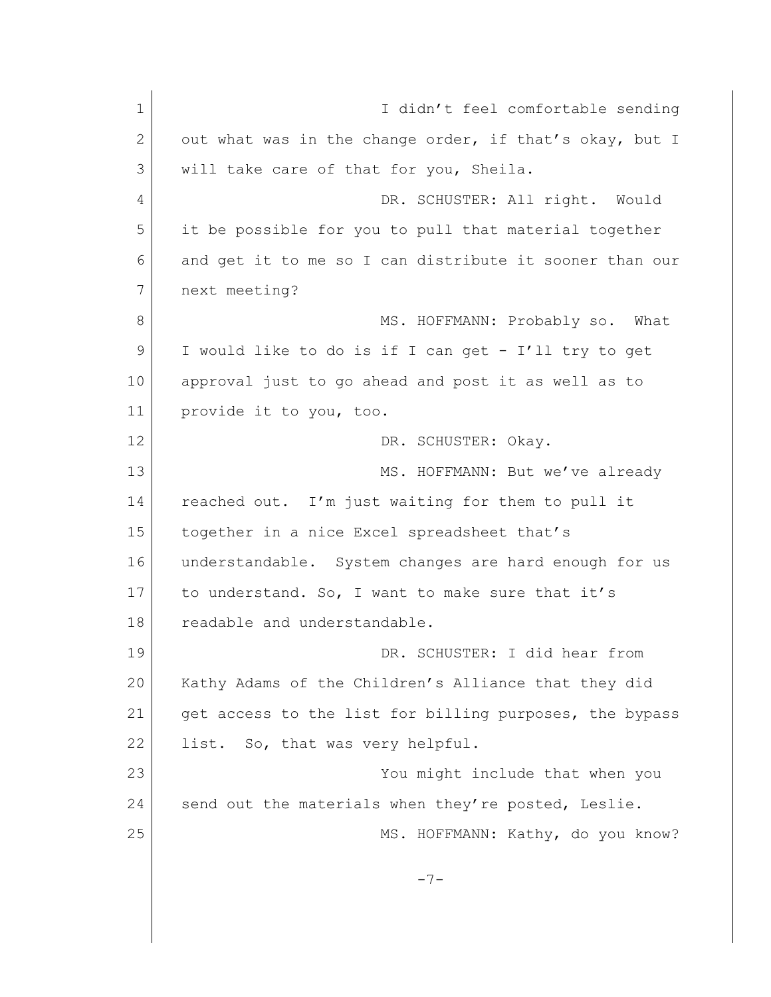1 **I** didn't feel comfortable sending 2 out what was in the change order, if that's okay, but I 3 will take care of that for you, Sheila. 4 DR. SCHUSTER: All right. Would 5 it be possible for you to pull that material together 6 and get it to me so I can distribute it sooner than our 7 next meeting? 8 MS. HOFFMANN: Probably so. What 9 I would like to do is if I can get - I'll try to get 10 approval just to go ahead and post it as well as to 11 provide it to you, too. 12 DR. SCHUSTER: Okay. 13 MS. HOFFMANN: But we've already 14 reached out. I'm just waiting for them to pull it 15 together in a nice Excel spreadsheet that's 16 understandable. System changes are hard enough for us 17 to understand. So, I want to make sure that it's 18 readable and understandable. 19 DR. SCHUSTER: I did hear from 20 Kathy Adams of the Children's Alliance that they did 21 get access to the list for billing purposes, the bypass 22 list. So, that was very helpful. 23 You might include that when you 24 send out the materials when they're posted, Leslie. 25 MS. HOFFMANN: Kathy, do you know?  $-7-$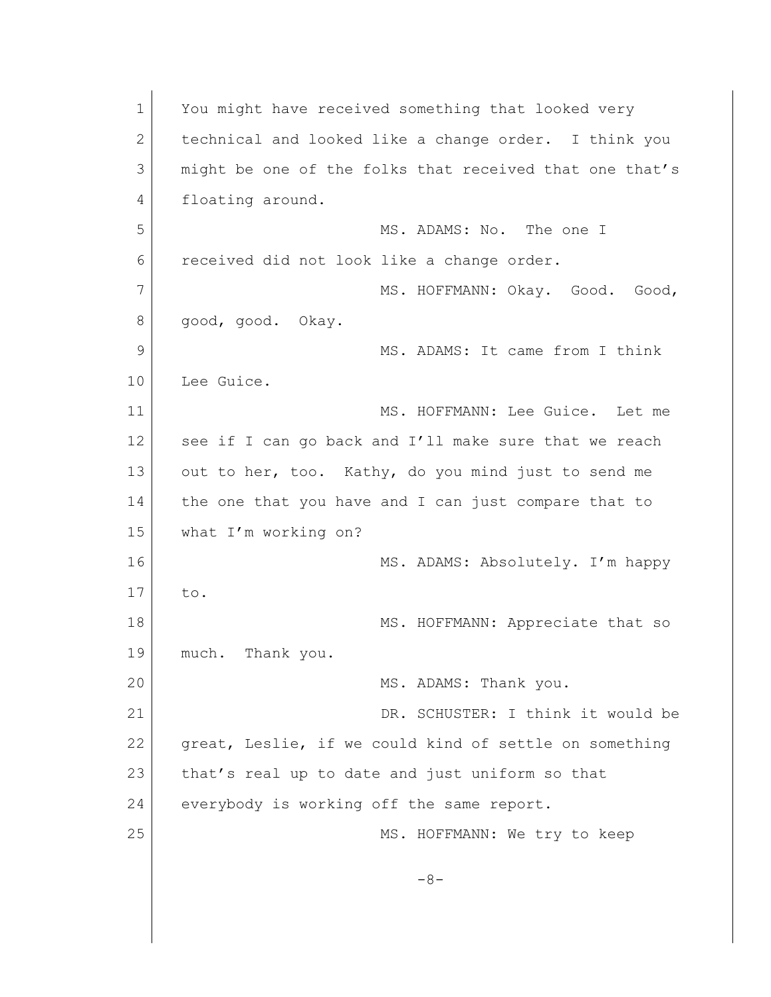| $\mathbf 1$  | You might have received something that looked very      |
|--------------|---------------------------------------------------------|
| $\mathbf{2}$ | technical and looked like a change order. I think you   |
| 3            | might be one of the folks that received that one that's |
| 4            | floating around.                                        |
| 5            | MS. ADAMS: No. The one I                                |
| 6            | received did not look like a change order.              |
| 7            | MS. HOFFMANN: Okay. Good.<br>Good,                      |
| 8            | good, good. Okay.                                       |
| 9            | MS. ADAMS: It came from I think                         |
| 10           | Lee Guice.                                              |
| 11           | MS. HOFFMANN: Lee Guice. Let me                         |
| 12           | see if I can go back and I'll make sure that we reach   |
| 13           | out to her, too. Kathy, do you mind just to send me     |
| 14           | the one that you have and I can just compare that to    |
| 15           | what I'm working on?                                    |
| 16           | MS. ADAMS: Absolutely. I'm happy                        |
| 17           | to.                                                     |
| 18           | MS. HOFFMANN: Appreciate that so                        |
| 19           | Thank you.<br>much.                                     |
| 20           | MS. ADAMS: Thank you.                                   |
| 21           | DR. SCHUSTER: I think it would be                       |
| 22           | great, Leslie, if we could kind of settle on something  |
| 23           | that's real up to date and just uniform so that         |
| 24           | everybody is working off the same report.               |
| 25           | MS. HOFFMANN: We try to keep                            |
|              | $-8-$                                                   |
|              |                                                         |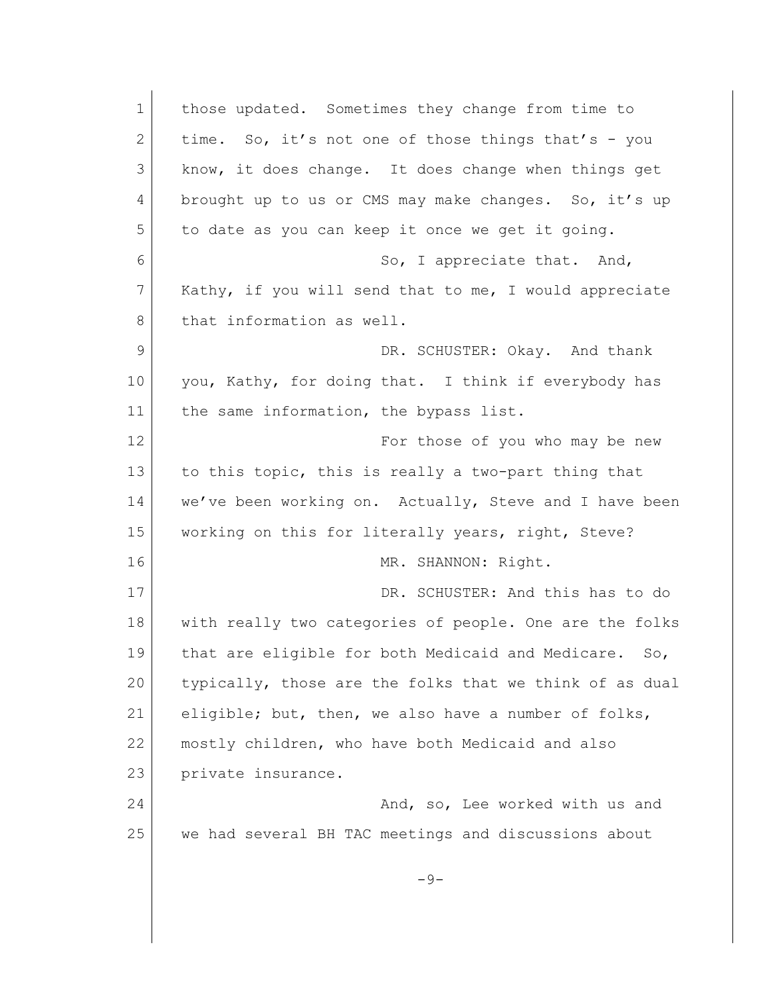| $\mathbf 1$    | those updated. Sometimes they change from time to       |
|----------------|---------------------------------------------------------|
| $\mathbf{2}$   | time. So, it's not one of those things that's - you     |
| 3              | know, it does change. It does change when things get    |
| 4              | brought up to us or CMS may make changes. So, it's up   |
| 5              | to date as you can keep it once we get it going.        |
| 6              | So, I appreciate that. And,                             |
| 7              | Kathy, if you will send that to me, I would appreciate  |
| 8              | that information as well.                               |
| $\overline{9}$ | DR. SCHUSTER: Okay. And thank                           |
| 10             | you, Kathy, for doing that. I think if everybody has    |
| 11             | the same information, the bypass list.                  |
| 12             | For those of you who may be new                         |
| 13             | to this topic, this is really a two-part thing that     |
| 14             | we've been working on. Actually, Steve and I have been  |
| 15             | working on this for literally years, right, Steve?      |
| 16             | MR. SHANNON: Right.                                     |
| 17             | DR. SCHUSTER: And this has to do                        |
| 18             | with really two categories of people. One are the folks |
| 19             | that are eligible for both Medicaid and Medicare. So,   |
| 20             | typically, those are the folks that we think of as dual |
| 21             | eligible; but, then, we also have a number of folks,    |
| 22             | mostly children, who have both Medicaid and also        |
| 23             | private insurance.                                      |
| 24             | And, so, Lee worked with us and                         |
| 25             | we had several BH TAC meetings and discussions about    |
|                | $-9-$                                                   |
|                |                                                         |
|                |                                                         |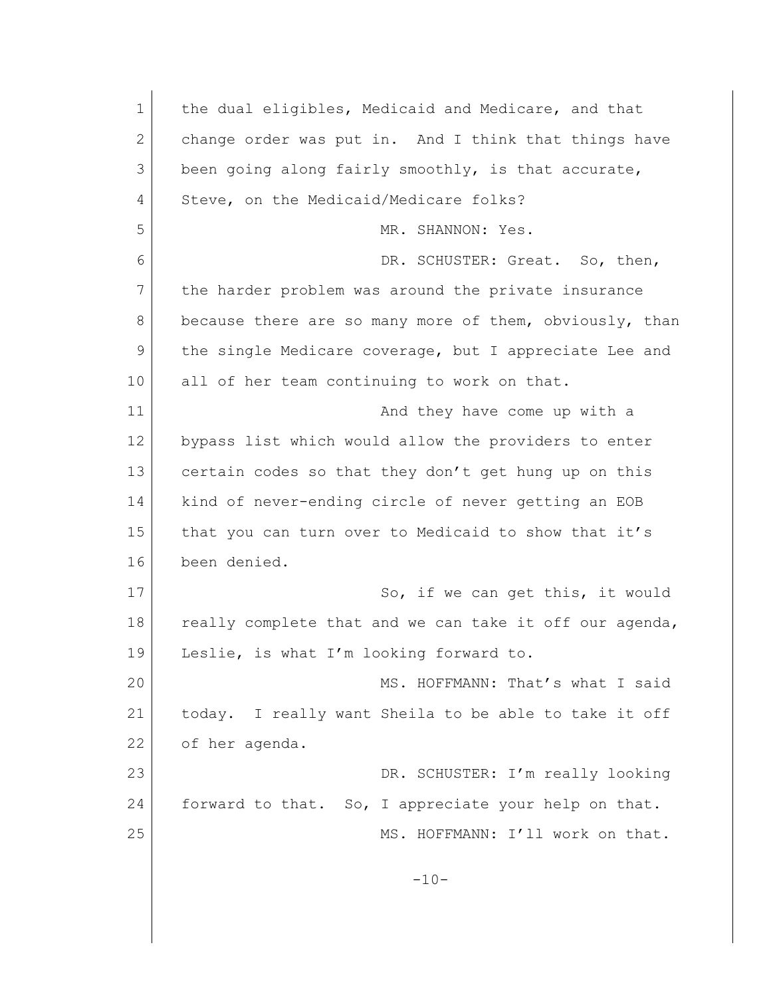| $\mathbf{1}$ | the dual eligibles, Medicaid and Medicare, and that     |
|--------------|---------------------------------------------------------|
| $\mathbf{2}$ | change order was put in. And I think that things have   |
| 3            | been going along fairly smoothly, is that accurate,     |
| 4            | Steve, on the Medicaid/Medicare folks?                  |
| 5            | MR. SHANNON: Yes.                                       |
| 6            | DR. SCHUSTER: Great. So, then,                          |
| 7            | the harder problem was around the private insurance     |
| 8            | because there are so many more of them, obviously, than |
| 9            | the single Medicare coverage, but I appreciate Lee and  |
| 10           | all of her team continuing to work on that.             |
| 11           | And they have come up with a                            |
| 12           | bypass list which would allow the providers to enter    |
| 13           | certain codes so that they don't get hung up on this    |
| 14           | kind of never-ending circle of never getting an EOB     |
| 15           | that you can turn over to Medicaid to show that it's    |
| 16           | been denied.                                            |
| 17           | So, if we can get this, it would                        |
| 18           | really complete that and we can take it off our agenda, |
| 19           | Leslie, is what I'm looking forward to.                 |
| 20           | MS. HOFFMANN: That's what I said                        |
| 21           | today. I really want Sheila to be able to take it off   |
| 22           | of her agenda.                                          |
| 23           | DR. SCHUSTER: I'm really looking                        |
| 24           | forward to that. So, I appreciate your help on that.    |
| 25           | MS. HOFFMANN: I'll work on that.                        |
|              | $-10-$                                                  |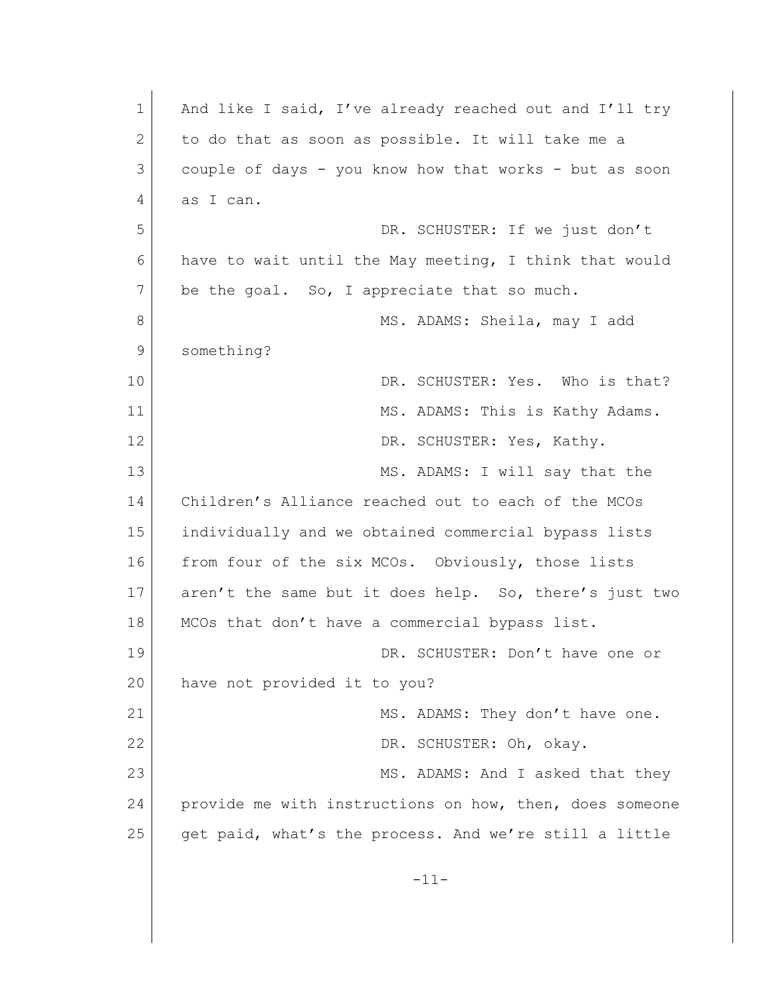1 And like I said, I've already reached out and I'll try 2 to do that as soon as possible. It will take me a 3 couple of days - you know how that works - but as soon 4 as I can. 5 DR. SCHUSTER: If we just don't 6 have to wait until the May meeting, I think that would 7 be the goal. So, I appreciate that so much. 8 MS. ADAMS: Sheila, may I add 9 something? 10 DR. SCHUSTER: Yes. Who is that? 11 MS. ADAMS: This is Kathy Adams. 12 DR. SCHUSTER: Yes, Kathy. 13 MS. ADAMS: I will say that the 14 Children's Alliance reached out to each of the MCOs 15 individually and we obtained commercial bypass lists 16 from four of the six MCOs. Obviously, those lists 17 aren't the same but it does help. So, there's just two 18 | MCOs that don't have a commercial bypass list. 19 DR. SCHUSTER: Don't have one or 20 have not provided it to you? 21 MS. ADAMS: They don't have one. 22 DR. SCHUSTER: Oh, okay. 23 MS. ADAMS: And I asked that they 24 provide me with instructions on how, then, does someone 25 get paid, what's the process. And we're still a little -11-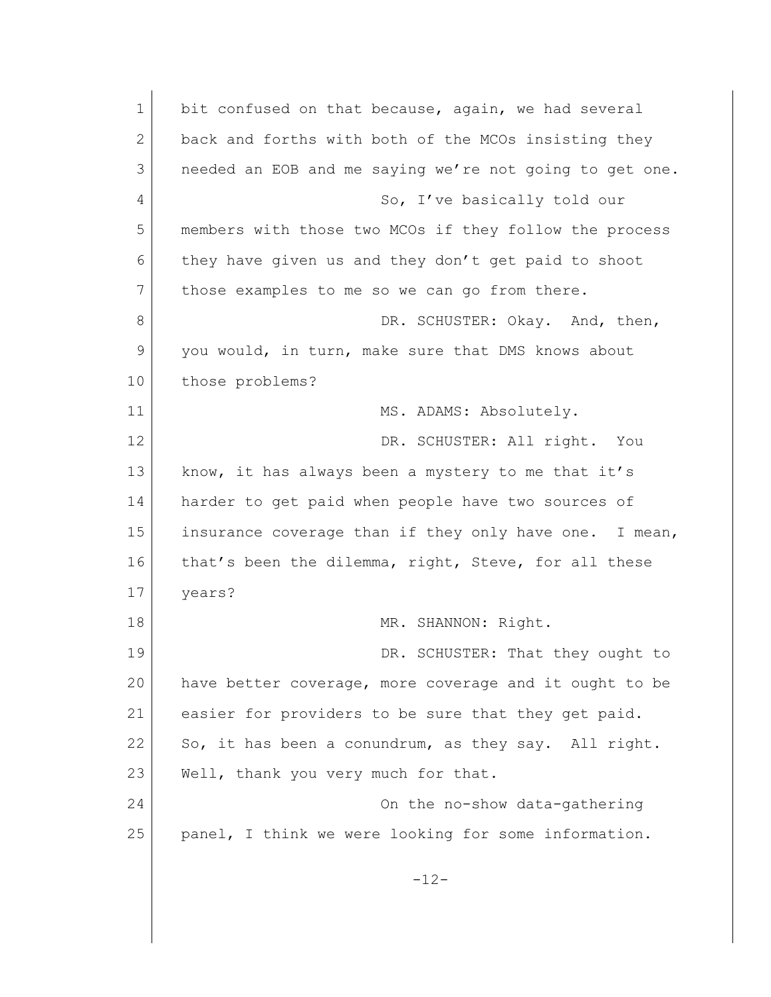1 bit confused on that because, again, we had several 2 back and forths with both of the MCOs insisting they 3 needed an EOB and me saying we're not going to get one. 4 So, I've basically told our 5 members with those two MCOs if they follow the process 6 they have given us and they don't get paid to shoot 7 those examples to me so we can go from there. 8 DR. SCHUSTER: Okay. And, then, 9 you would, in turn, make sure that DMS knows about 10 those problems? 11 MS. ADAMS: Absolutely. 12 DR. SCHUSTER: All right. You 13 know, it has always been a mystery to me that it's 14 harder to get paid when people have two sources of 15 insurance coverage than if they only have one. I mean, 16 that's been the dilemma, right, Steve, for all these 17 years? 18 MR. SHANNON: Right. 19 DR. SCHUSTER: That they ought to 20 have better coverage, more coverage and it ought to be 21 easier for providers to be sure that they get paid. 22 So, it has been a conundrum, as they say. All right. 23 Well, thank you very much for that. 24 On the no-show data-gathering 25 panel, I think we were looking for some information.  $-12-$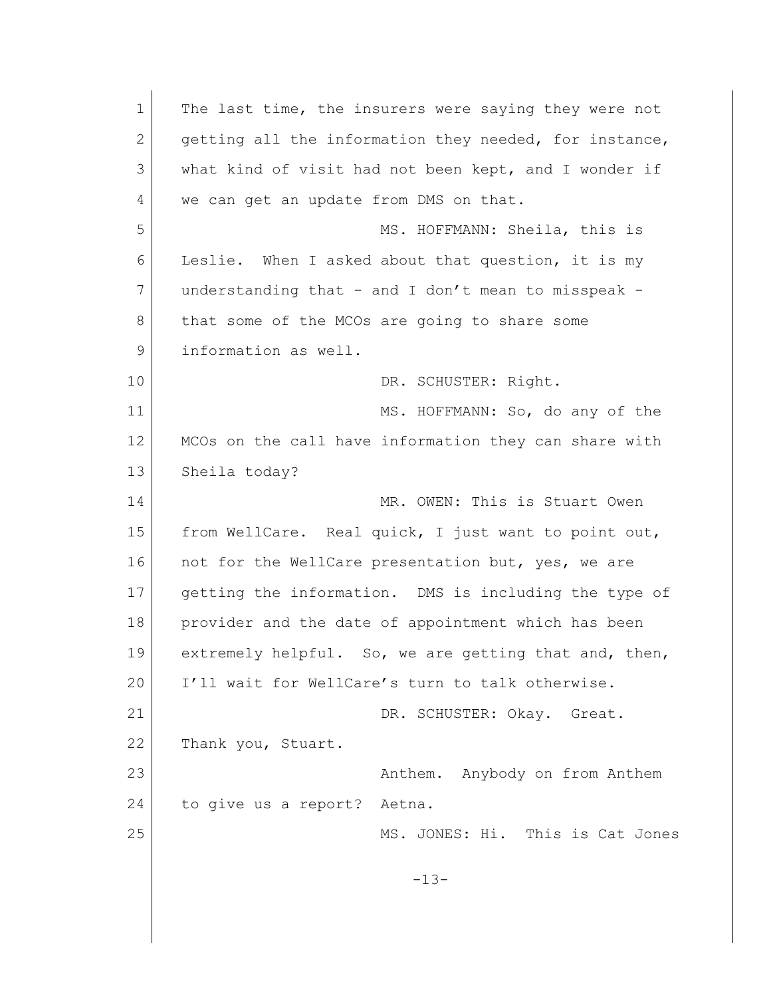1 The last time, the insurers were saying they were not 2 getting all the information they needed, for instance, 3 what kind of visit had not been kept, and I wonder if 4 we can get an update from DMS on that. 5 MS. HOFFMANN: Sheila, this is 6 Leslie. When I asked about that question, it is my 7 understanding that - and I don't mean to misspeak -8 that some of the MCOs are going to share some 9 **1** information as well. 10 DR. SCHUSTER: Right. 11 MS. HOFFMANN: So, do any of the 12 | MCOs on the call have information they can share with 13 Sheila today? 14 MR. OWEN: This is Stuart Owen 15 | from WellCare. Real quick, I just want to point out, 16 not for the WellCare presentation but, yes, we are 17 getting the information. DMS is including the type of 18 provider and the date of appointment which has been 19 extremely helpful. So, we are getting that and, then, 20 I'll wait for WellCare's turn to talk otherwise. 21 DR. SCHUSTER: Okay. Great. 22 Thank you, Stuart. 23 Anthem. Anybody on from Anthem 24 to give us a report? Aetna. 25 MS. JONES: Hi. This is Cat Jones -13-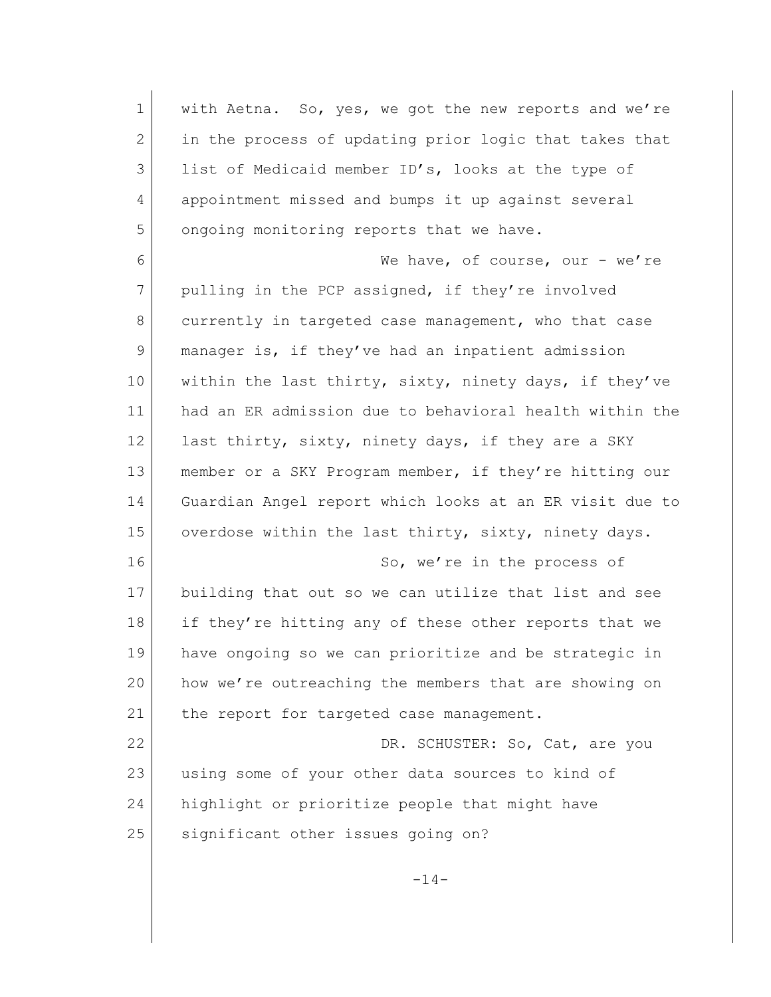| $\mathbf 1$ | with Aetna. So, yes, we got the new reports and we're   |
|-------------|---------------------------------------------------------|
| 2           | in the process of updating prior logic that takes that  |
| 3           | list of Medicaid member ID's, looks at the type of      |
| 4           | appointment missed and bumps it up against several      |
| 5           | ongoing monitoring reports that we have.                |
| 6           | We have, of course, our - we're                         |
| 7           | pulling in the PCP assigned, if they're involved        |
| 8           | currently in targeted case management, who that case    |
| 9           | manager is, if they've had an inpatient admission       |
| 10          | within the last thirty, sixty, ninety days, if they've  |
| 11          | had an ER admission due to behavioral health within the |
| 12          | last thirty, sixty, ninety days, if they are a SKY      |
| 13          | member or a SKY Program member, if they're hitting our  |
| 14          | Guardian Angel report which looks at an ER visit due to |
| 15          | overdose within the last thirty, sixty, ninety days.    |
| 16          | So, we're in the process of                             |
| 17          | building that out so we can utilize that list and see   |
| 18          | if they're hitting any of these other reports that we   |
| 19          | have ongoing so we can prioritize and be strategic in   |
| 20          | how we're outreaching the members that are showing on   |
| 21          | the report for targeted case management.                |
| 22          | DR. SCHUSTER: So, Cat, are you                          |
| 23          | using some of your other data sources to kind of        |
| 24          | highlight or prioritize people that might have          |
| 25          | significant other issues going on?                      |
|             | $-14-$                                                  |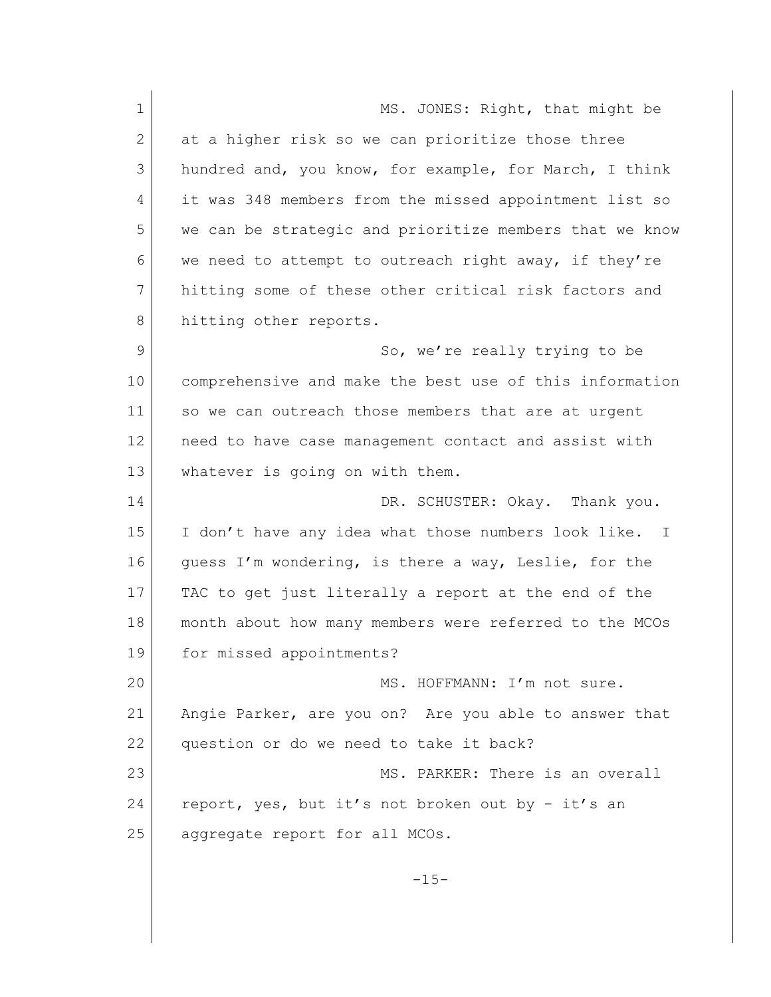| $\mathbf 1$ | MS. JONES: Right, that might be                         |
|-------------|---------------------------------------------------------|
| 2           | at a higher risk so we can prioritize those three       |
| 3           | hundred and, you know, for example, for March, I think  |
| 4           | it was 348 members from the missed appointment list so  |
| 5           | we can be strategic and prioritize members that we know |
| 6           | we need to attempt to outreach right away, if they're   |
| 7           | hitting some of these other critical risk factors and   |
| 8           | hitting other reports.                                  |
| 9           | So, we're really trying to be                           |
| 10          | comprehensive and make the best use of this information |
| 11          | so we can outreach those members that are at urgent     |
| 12          | need to have case management contact and assist with    |
| 13          | whatever is going on with them.                         |
| 14          | DR. SCHUSTER: Okay. Thank you.                          |
| 15          | I don't have any idea what those numbers look like. I   |
| 16          | guess I'm wondering, is there a way, Leslie, for the    |
| 17          | TAC to get just literally a report at the end of the    |
| 18          | month about how many members were referred to the MCOs  |
| 19          | for missed appointments?                                |
| 20          | MS. HOFFMANN: I'm not sure.                             |
| 21          | Angie Parker, are you on? Are you able to answer that   |
| 22          | question or do we need to take it back?                 |
| 23          | MS. PARKER: There is an overall                         |
| 24          | report, yes, but it's not broken out by - it's an       |
| 25          | aggregate report for all MCOs.                          |
|             |                                                         |
|             | $-15-$                                                  |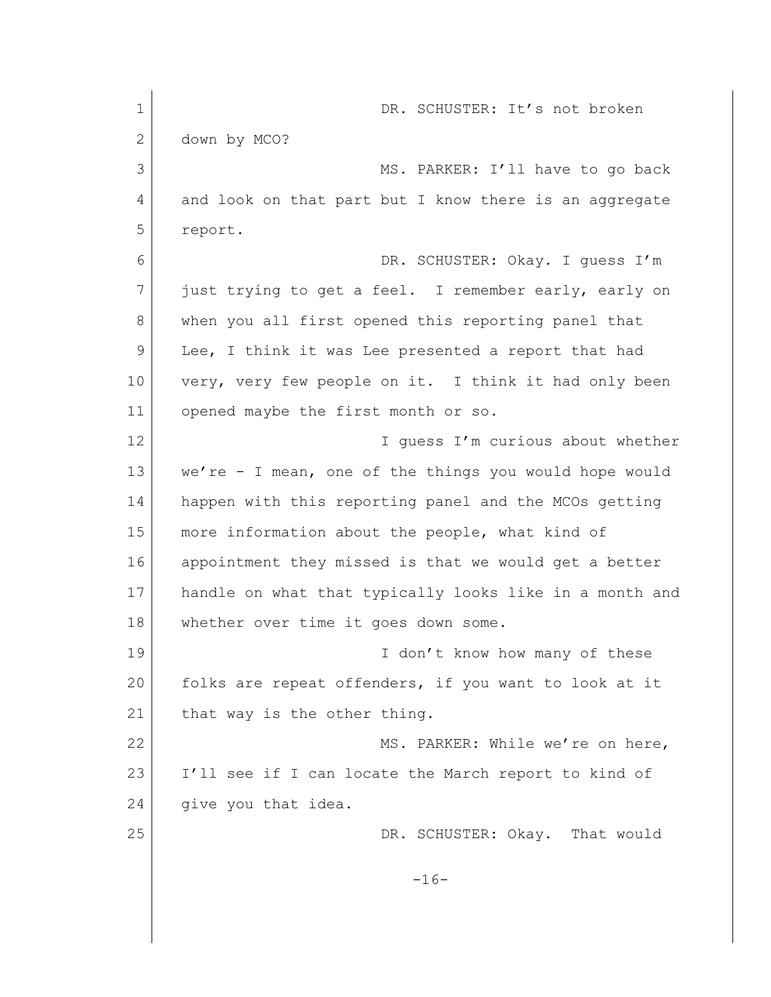| $\mathbf 1$ | DR. SCHUSTER: It's not broken                           |
|-------------|---------------------------------------------------------|
| 2           | down by MCO?                                            |
| 3           | MS. PARKER: I'll have to go back                        |
| 4           | and look on that part but I know there is an aggregate  |
| 5           | report.                                                 |
| 6           | DR. SCHUSTER: Okay. I quess I'm                         |
| 7           | just trying to get a feel. I remember early, early on   |
| 8           | when you all first opened this reporting panel that     |
| 9           | Lee, I think it was Lee presented a report that had     |
| 10          | very, very few people on it. I think it had only been   |
| 11          | opened maybe the first month or so.                     |
| 12          | I quess I'm curious about whether                       |
| 13          | we're - I mean, one of the things you would hope would  |
| 14          | happen with this reporting panel and the MCOs getting   |
| 15          | more information about the people, what kind of         |
| 16          | appointment they missed is that we would get a better   |
| 17          | handle on what that typically looks like in a month and |
| 18          | whether over time it goes down some.                    |
| 19          | I don't know how many of these                          |
| 20          | folks are repeat offenders, if you want to look at it   |
| 21          | that way is the other thing.                            |
| 22          | MS. PARKER: While we're on here,                        |
| 23          | I'll see if I can locate the March report to kind of    |
| 24          | give you that idea.                                     |
| 25          | DR. SCHUSTER: Okay. That would                          |
|             | $-16-$                                                  |
|             |                                                         |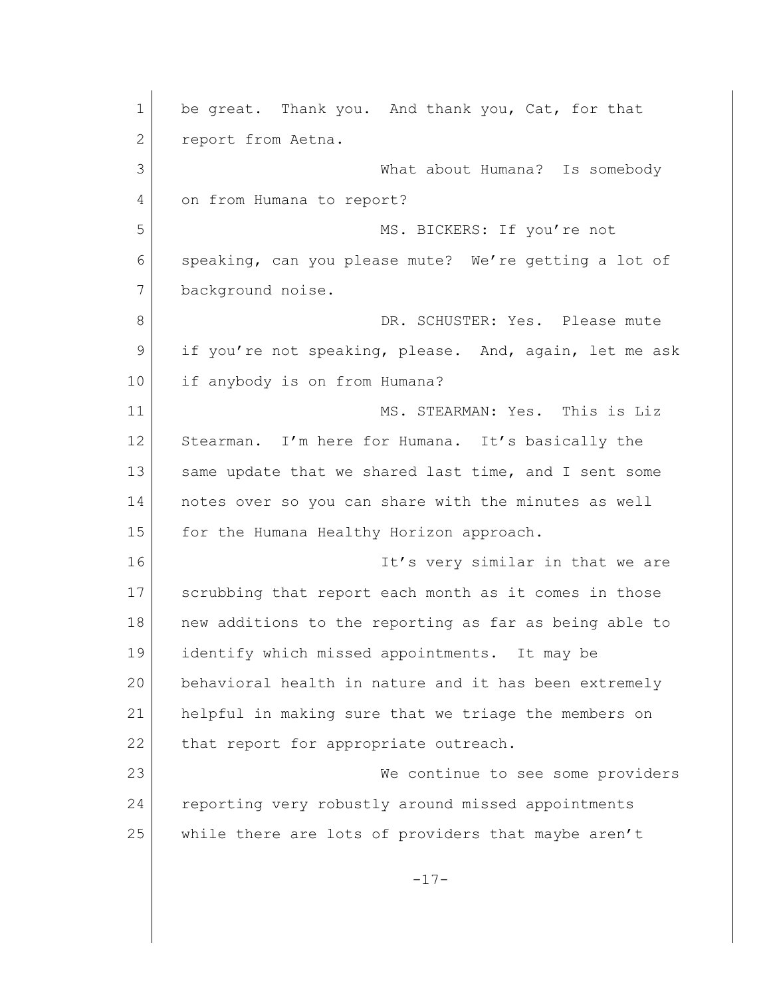1 be great. Thank you. And thank you, Cat, for that 2 report from Aetna. 3 What about Humana? Is somebody 4 on from Humana to report? 5 MS. BICKERS: If you're not 6 speaking, can you please mute? We're getting a lot of 7 background noise. 8 DR. SCHUSTER: Yes. Please mute 9 if you're not speaking, please. And, again, let me ask 10 if anybody is on from Humana? 11 MS. STEARMAN: Yes. This is Liz 12 Stearman. I'm here for Humana. It's basically the 13 Same update that we shared last time, and I sent some 14 notes over so you can share with the minutes as well 15 for the Humana Healthy Horizon approach. 16 16 It's very similar in that we are 17 scrubbing that report each month as it comes in those 18 new additions to the reporting as far as being able to 19 identify which missed appointments. It may be 20 behavioral health in nature and it has been extremely 21 helpful in making sure that we triage the members on 22 that report for appropriate outreach. 23 We continue to see some providers 24 reporting very robustly around missed appointments 25 while there are lots of providers that maybe aren't -17-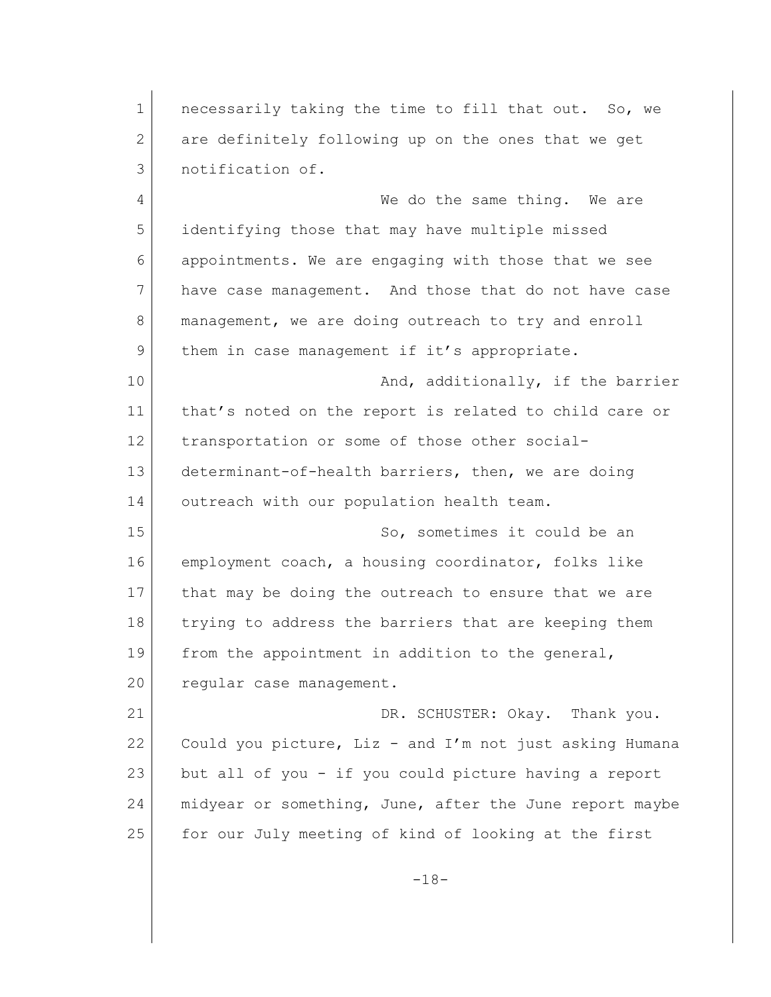1 necessarily taking the time to fill that out. So, we 2 are definitely following up on the ones that we get 3 notification of. 4 We do the same thing. We are 5 identifying those that may have multiple missed 6 appointments. We are engaging with those that we see 7 have case management. And those that do not have case 8 management, we are doing outreach to try and enroll 9 them in case management if it's appropriate. 10 And, additionally, if the barrier 11 that's noted on the report is related to child care or 12 transportation or some of those other social-13 determinant-of-health barriers, then, we are doing 14 outreach with our population health team. 15 So, sometimes it could be an 16 employment coach, a housing coordinator, folks like 17 that may be doing the outreach to ensure that we are 18 trying to address the barriers that are keeping them 19 from the appointment in addition to the general, 20 regular case management. 21 DR. SCHUSTER: Okay. Thank you. 22 Could you picture, Liz - and I'm not just asking Humana 23 but all of you - if you could picture having a report 24 | midyear or something, June, after the June report maybe 25 for our July meeting of kind of looking at the first -18-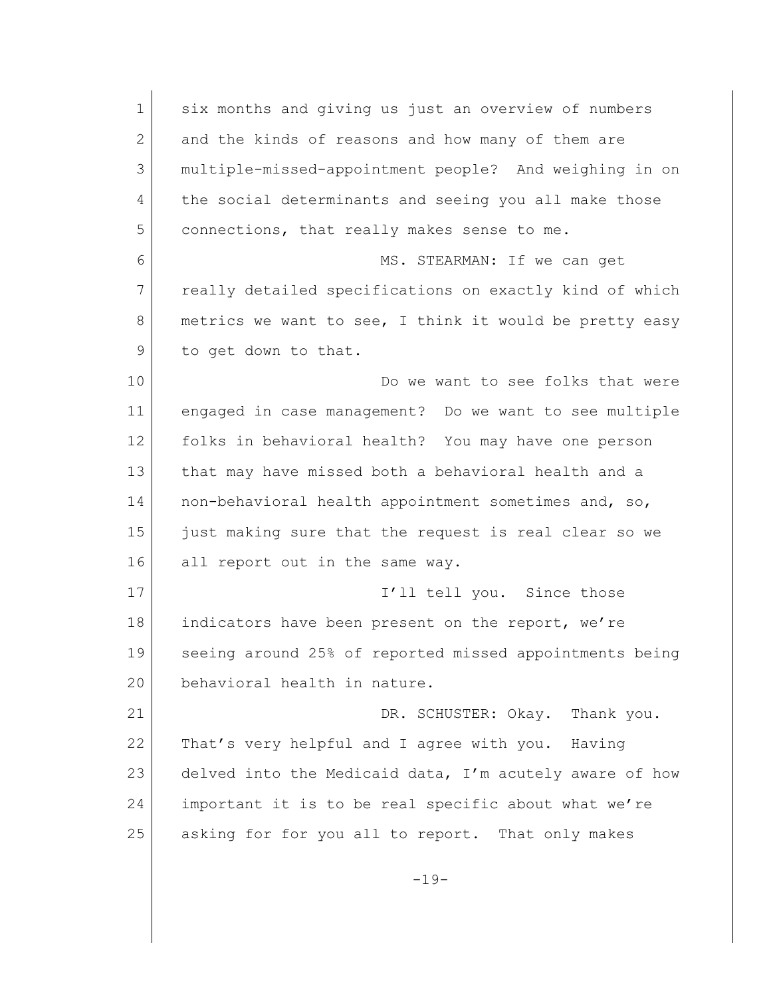1 six months and giving us just an overview of numbers 2 and the kinds of reasons and how many of them are 3 multiple-missed-appointment people? And weighing in on 4 the social determinants and seeing you all make those 5 connections, that really makes sense to me. 6 MS. STEARMAN: If we can get 7 really detailed specifications on exactly kind of which 8 metrics we want to see, I think it would be pretty easy 9 to get down to that. 10 Do we want to see folks that were 11 engaged in case management? Do we want to see multiple 12 folks in behavioral health? You may have one person 13 that may have missed both a behavioral health and a 14 | non-behavioral health appointment sometimes and, so, 15 just making sure that the request is real clear so we 16 all report out in the same way. 17 and 17 I'll tell you. Since those 18 indicators have been present on the report, we're 19 seeing around 25% of reported missed appointments being 20 behavioral health in nature. 21 DR. SCHUSTER: Okay. Thank you. 22 That's very helpful and I agree with you. Having 23 delved into the Medicaid data, I'm acutely aware of how 24 important it is to be real specific about what we're 25 asking for for you all to report. That only makes  $-19-$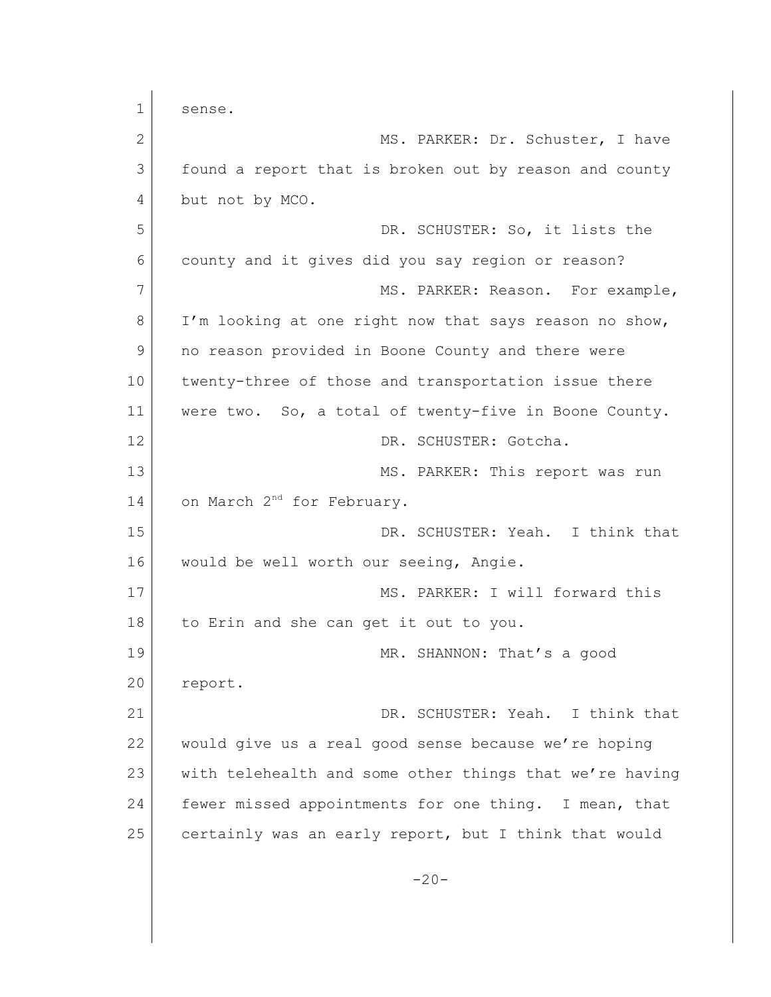1 sense. 2 MS. PARKER: Dr. Schuster, I have 3 found a report that is broken out by reason and county 4 but not by MCO. 5 DR. SCHUSTER: So, it lists the 6 county and it gives did you say region or reason? 7 MS. PARKER: Reason. For example, 8 I'm looking at one right now that says reason no show, 9 no reason provided in Boone County and there were 10 twenty-three of those and transportation issue there 11 | were two. So, a total of twenty-five in Boone County. 12 DR. SCHUSTER: Gotcha. 13 MS. PARKER: This report was run 14 on March 2<sup>nd</sup> for February. 15 DR. SCHUSTER: Yeah. I think that 16 would be well worth our seeing, Angie. 17 MS. PARKER: I will forward this 18 to Erin and she can get it out to you. 19 MR. SHANNON: That's a good 20 report. 21 DR. SCHUSTER: Yeah. I think that 22 would give us a real good sense because we're hoping 23 with telehealth and some other things that we're having 24 fewer missed appointments for one thing. I mean, that 25 certainly was an early report, but I think that would  $-20-$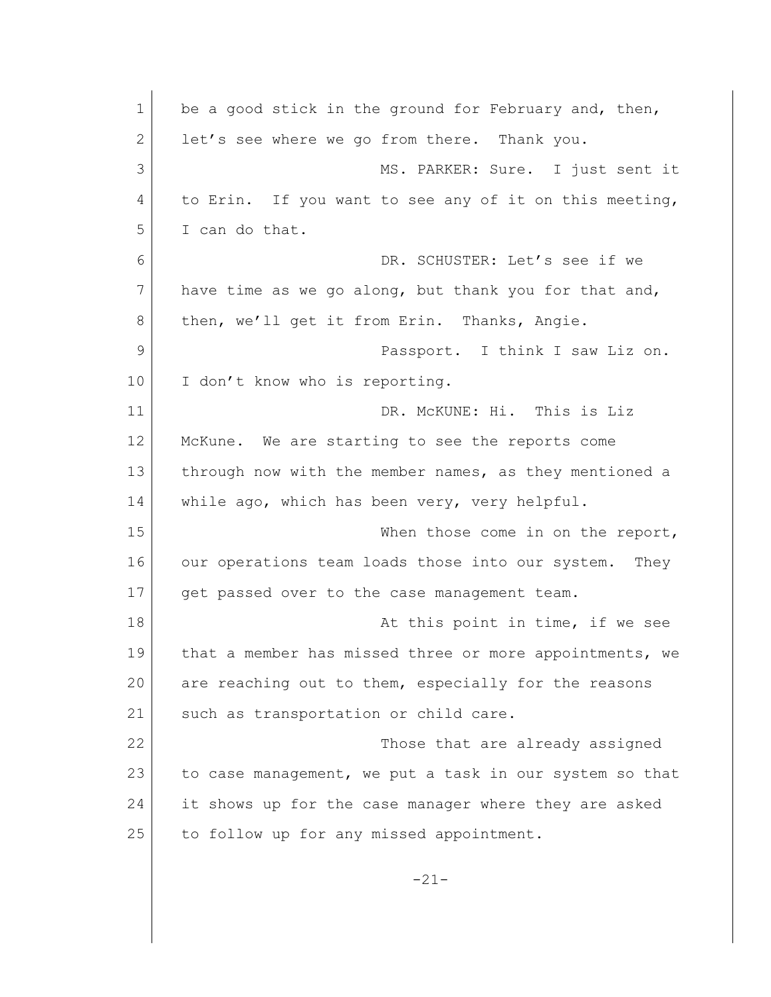| $\mathbf 1$ | be a good stick in the ground for February and, then,    |
|-------------|----------------------------------------------------------|
| 2           | let's see where we go from there. Thank you.             |
| 3           | MS. PARKER: Sure. I just sent it                         |
| 4           | to Erin. If you want to see any of it on this meeting,   |
| 5           | I can do that.                                           |
| 6           | DR. SCHUSTER: Let's see if we                            |
| 7           | have time as we go along, but thank you for that and,    |
| 8           | then, we'll get it from Erin. Thanks, Angie.             |
| 9           | Passport. I think I saw Liz on.                          |
| 10          | I don't know who is reporting.                           |
| 11          | DR. MCKUNE: Hi. This is Liz                              |
| 12          | McKune. We are starting to see the reports come          |
| 13          | through now with the member names, as they mentioned a   |
| 14          | while ago, which has been very, very helpful.            |
| 15          | When those come in on the report,                        |
| 16          | our operations team loads those into our system.<br>They |
| 17          | get passed over to the case management team.             |
| 18          | At this point in time, if we see                         |
| 19          | that a member has missed three or more appointments, we  |
| 20          | are reaching out to them, especially for the reasons     |
| 21          | such as transportation or child care.                    |
| 22          | Those that are already assigned                          |
| 23          | to case management, we put a task in our system so that  |
| 24          | it shows up for the case manager where they are asked    |
| 25          | to follow up for any missed appointment.                 |
|             |                                                          |
|             | $-21-$                                                   |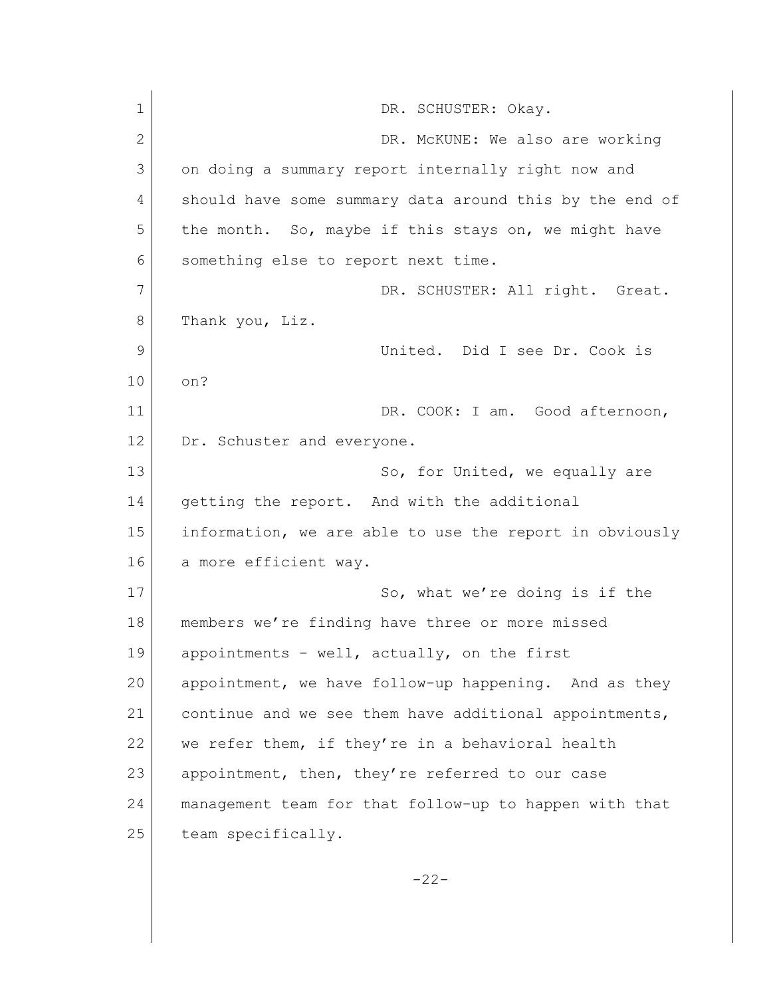| $\mathbf 1$  | DR. SCHUSTER: Okay.                                     |
|--------------|---------------------------------------------------------|
| $\mathbf{2}$ | DR. McKUNE: We also are working                         |
| 3            | on doing a summary report internally right now and      |
| 4            | should have some summary data around this by the end of |
| 5            | the month. So, maybe if this stays on, we might have    |
| 6            | something else to report next time.                     |
| 7            | DR. SCHUSTER: All right. Great.                         |
| 8            | Thank you, Liz.                                         |
| 9            | United. Did I see Dr. Cook is                           |
| 10           | on?                                                     |
| 11           | DR. COOK: I am. Good afternoon,                         |
| 12           | Dr. Schuster and everyone.                              |
| 13           | So, for United, we equally are                          |
| 14           | getting the report. And with the additional             |
| 15           | information, we are able to use the report in obviously |
| 16           | a more efficient way.                                   |
| 17           | So, what we're doing is if the                          |
| 18           | members we're finding have three or more missed         |
| 19           | appointments - well, actually, on the first             |
| 20           | appointment, we have follow-up happening. And as they   |
| 21           | continue and we see them have additional appointments,  |
| 22           | we refer them, if they're in a behavioral health        |
| 23           | appointment, then, they're referred to our case         |
| 24           | management team for that follow-up to happen with that  |
| 25           | team specifically.                                      |
|              | $-22-$                                                  |
|              |                                                         |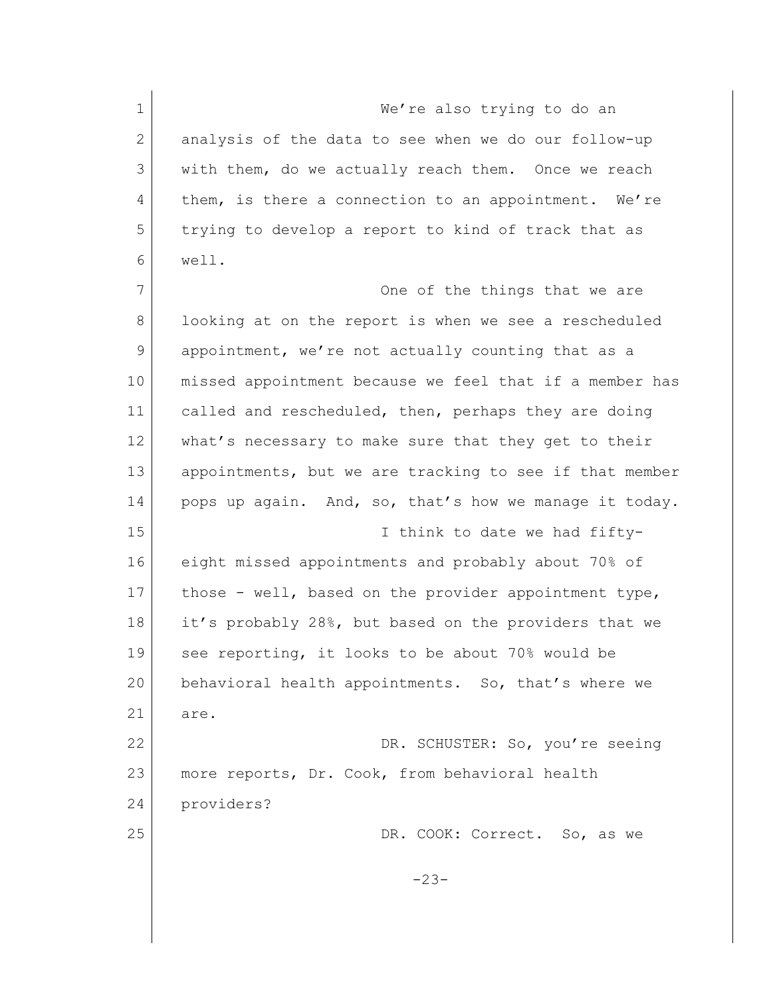1 We're also trying to do an 2 analysis of the data to see when we do our follow-up 3 with them, do we actually reach them. Once we reach 4 them, is there a connection to an appointment. We're 5 trying to develop a report to kind of track that as 6 well. 7 One of the things that we are 8 looking at on the report is when we see a rescheduled 9 appointment, we're not actually counting that as a 10 | missed appointment because we feel that if a member has 11 called and rescheduled, then, perhaps they are doing 12 what's necessary to make sure that they get to their 13 appointments, but we are tracking to see if that member 14 pops up again. And, so, that's how we manage it today. 15 I think to date we had fifty-16 eight missed appointments and probably about 70% of 17 those - well, based on the provider appointment type, 18 it's probably 28%, but based on the providers that we 19 see reporting, it looks to be about 70% would be 20 behavioral health appointments. So, that's where we 21 are. 22 DR. SCHUSTER: So, you're seeing 23 more reports, Dr. Cook, from behavioral health 24 providers? 25 DR. COOK: Correct. So, as we -23-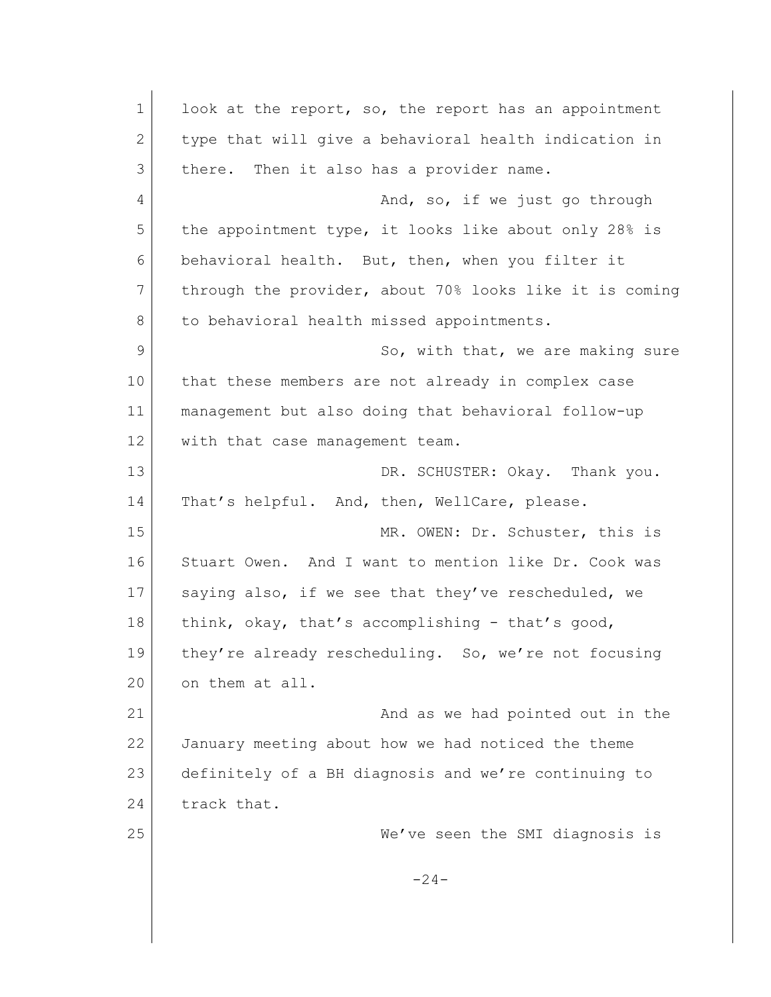1 look at the report, so, the report has an appointment 2 type that will give a behavioral health indication in 3 there. Then it also has a provider name. 4 And, so, if we just go through 5 the appointment type, it looks like about only 28% is 6 behavioral health. But, then, when you filter it 7 through the provider, about 70% looks like it is coming 8 to behavioral health missed appointments. 9 So, with that, we are making sure 10 that these members are not already in complex case 11 management but also doing that behavioral follow-up 12 with that case management team. 13 DR. SCHUSTER: Okay. Thank you. 14 | That's helpful. And, then, WellCare, please. 15 MR. OWEN: Dr. Schuster, this is 16 Stuart Owen. And I want to mention like Dr. Cook was 17 saying also, if we see that they've rescheduled, we 18 think, okay, that's accomplishing - that's good, 19 they're already rescheduling. So, we're not focusing 20 on them at all. 21 and as we had pointed out in the 22 January meeting about how we had noticed the theme 23 definitely of a BH diagnosis and we're continuing to 24 track that. 25 We've seen the SMI diagnosis is  $-24-$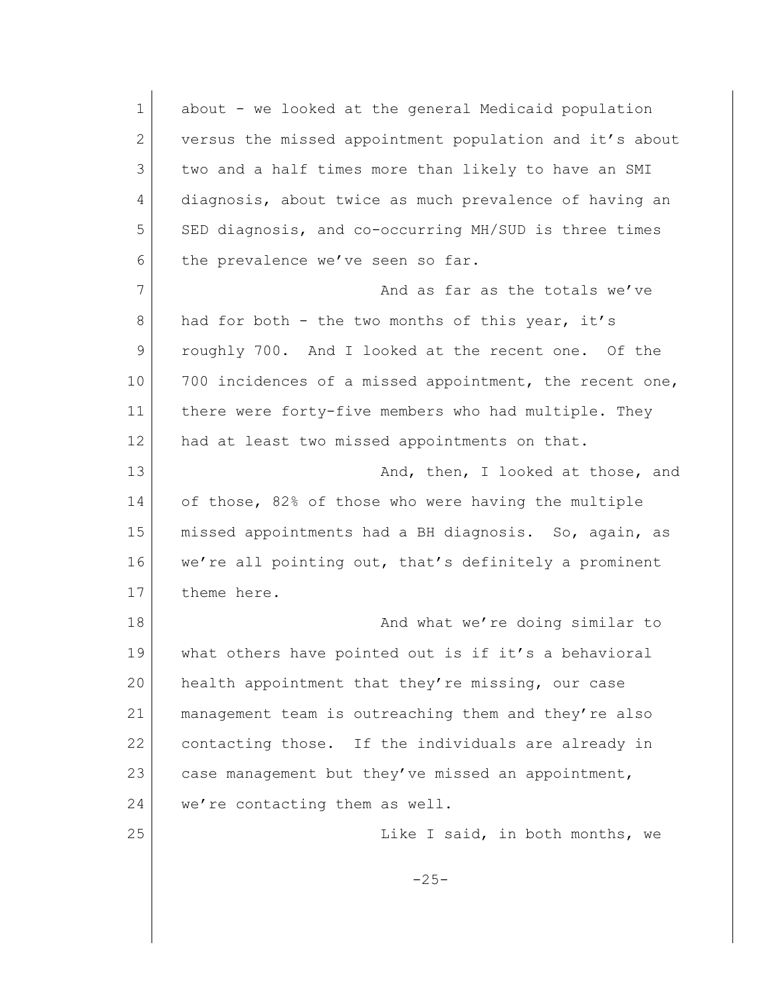| $\mathbf 1$ | about - we looked at the general Medicaid population    |
|-------------|---------------------------------------------------------|
| 2           | versus the missed appointment population and it's about |
| 3           | two and a half times more than likely to have an SMI    |
| 4           | diagnosis, about twice as much prevalence of having an  |
| 5           | SED diagnosis, and co-occurring MH/SUD is three times   |
| 6           | the prevalence we've seen so far.                       |
| 7           | And as far as the totals we've                          |
| 8           | had for both - the two months of this year, it's        |
| 9           | roughly 700. And I looked at the recent one. Of the     |
| 10          | 700 incidences of a missed appointment, the recent one, |
| 11          | there were forty-five members who had multiple. They    |
| 12          | had at least two missed appointments on that.           |
| 13          | And, then, I looked at those, and                       |
| 14          | of those, 82% of those who were having the multiple     |
| 15          | missed appointments had a BH diagnosis. So, again, as   |
| 16          | we're all pointing out, that's definitely a prominent   |
| 17          | theme here.                                             |
| 18          | And what we're doing similar to                         |
| 19          | what others have pointed out is if it's a behavioral    |
| 20          | health appointment that they're missing, our case       |
| 21          | management team is outreaching them and they're also    |
| 22          | contacting those. If the individuals are already in     |
| 23          | case management but they've missed an appointment,      |
| 24          | we're contacting them as well.                          |
| 25          | Like I said, in both months, we                         |
|             | $-25-$                                                  |
|             |                                                         |
|             |                                                         |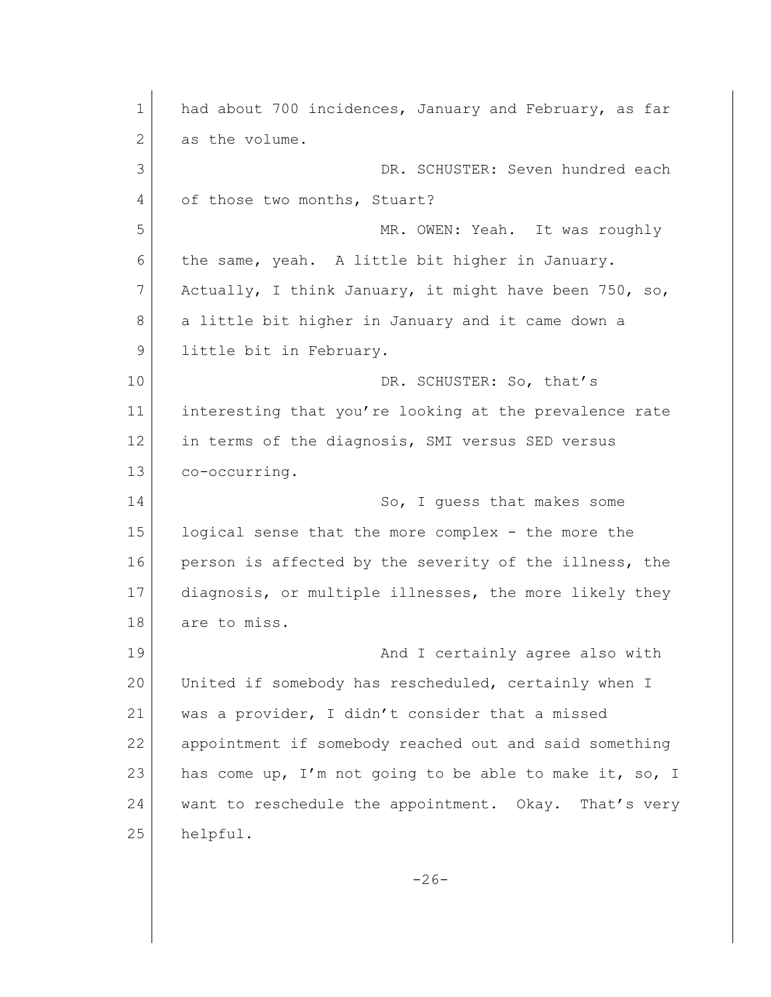1 had about 700 incidences, January and February, as far 2 as the volume. 3 DR. SCHUSTER: Seven hundred each 4 of those two months, Stuart? 5 MR. OWEN: Yeah. It was roughly 6 the same, yeah. A little bit higher in January. 7 Actually, I think January, it might have been 750, so, 8 a little bit higher in January and it came down a 9 little bit in February. 10 DR. SCHUSTER: So, that's 11 interesting that you're looking at the prevalence rate 12 in terms of the diagnosis, SMI versus SED versus 13 co-occurring. 14 So, I quess that makes some 15 logical sense that the more complex - the more the 16 person is affected by the severity of the illness, the 17 diagnosis, or multiple illnesses, the more likely they 18 are to miss. 19 and I certainly agree also with 20 United if somebody has rescheduled, certainly when I 21 was a provider, I didn't consider that a missed 22 appointment if somebody reached out and said something 23 has come up, I'm not going to be able to make it, so, I 24 want to reschedule the appointment. Okay. That's very 25 helpful.  $-26-$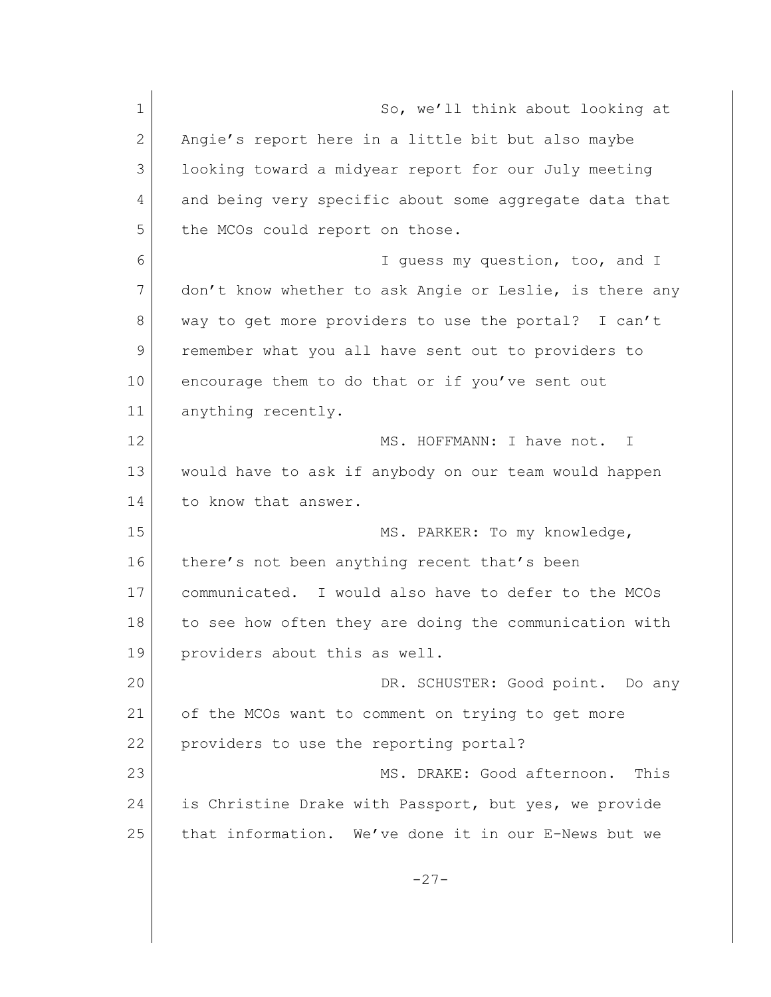1 So, we'll think about looking at 2 Angie's report here in a little bit but also maybe 3 looking toward a midyear report for our July meeting 4 and being very specific about some aggregate data that 5 the MCOs could report on those. 6 I guess my question, too, and I 7 don't know whether to ask Angie or Leslie, is there any 8 way to get more providers to use the portal? I can't 9 remember what you all have sent out to providers to 10 encourage them to do that or if you've sent out 11 anything recently. 12 MS. HOFFMANN: I have not. I 13 would have to ask if anybody on our team would happen 14 to know that answer. 15 MS. PARKER: To my knowledge, 16 there's not been anything recent that's been 17 communicated. I would also have to defer to the MCOs 18 to see how often they are doing the communication with 19 providers about this as well. 20 DR. SCHUSTER: Good point. Do any 21 of the MCOs want to comment on trying to get more 22 providers to use the reporting portal? 23 MS. DRAKE: Good afternoon. This 24 is Christine Drake with Passport, but yes, we provide 25 that information. We've done it in our E-News but we  $-27-$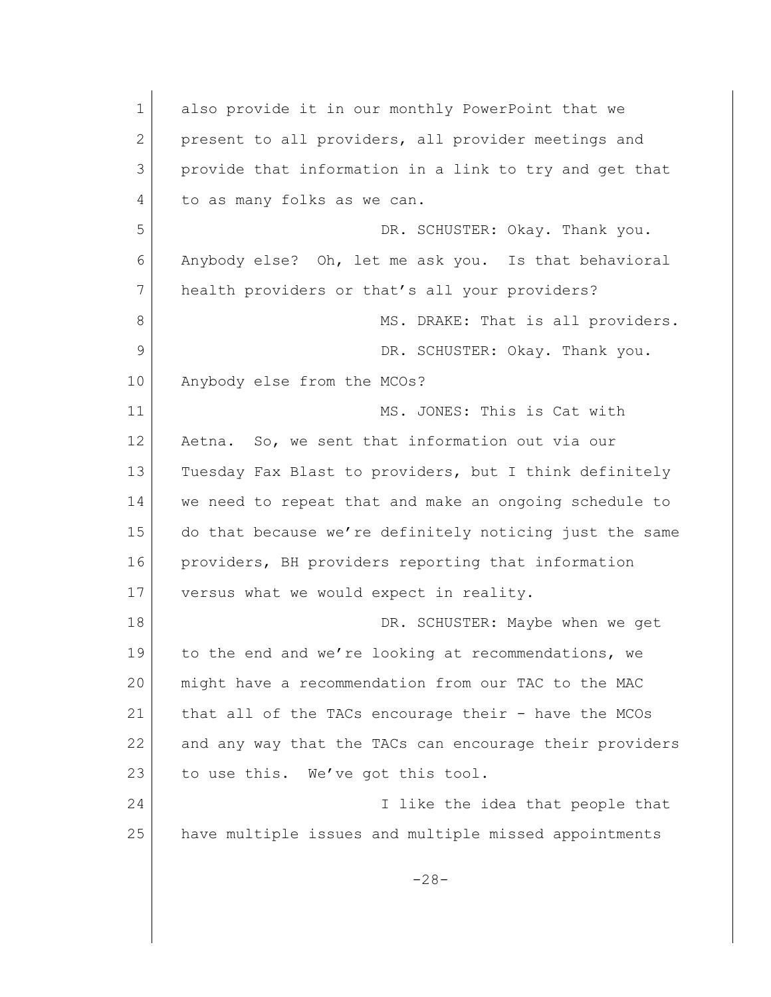1 also provide it in our monthly PowerPoint that we 2 present to all providers, all provider meetings and 3 provide that information in a link to try and get that 4 to as many folks as we can. 5 DR. SCHUSTER: Okay. Thank you. 6 Anybody else? Oh, let me ask you. Is that behavioral 7 health providers or that's all your providers? 8 MS. DRAKE: That is all providers. 9 DR. SCHUSTER: Okay. Thank you. 10 Anybody else from the MCOs? 11 MS. JONES: This is Cat with 12 Aetna. So, we sent that information out via our 13 Tuesday Fax Blast to providers, but I think definitely 14 we need to repeat that and make an ongoing schedule to 15 do that because we're definitely noticing just the same 16 providers, BH providers reporting that information 17 versus what we would expect in reality. 18 DR. SCHUSTER: Maybe when we get 19 to the end and we're looking at recommendations, we 20 might have a recommendation from our TAC to the MAC 21 that all of the TACs encourage their - have the MCOs 22 and any way that the TACs can encourage their providers 23 to use this. We've got this tool. 24 I like the idea that people that 25 have multiple issues and multiple missed appointments -28-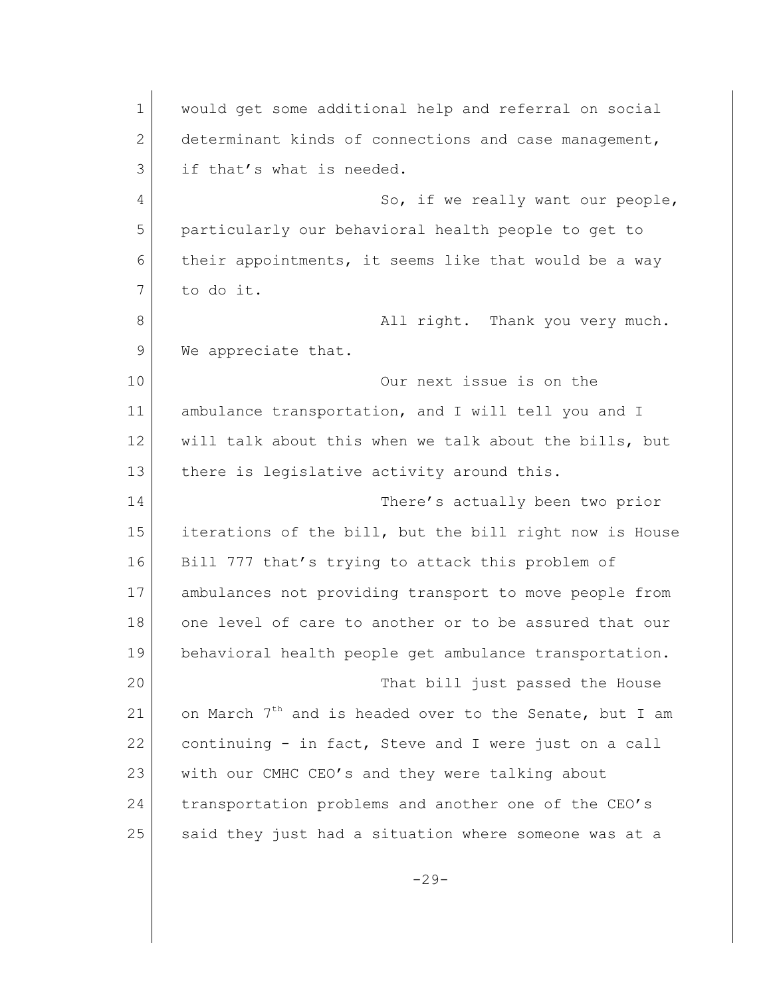1 would get some additional help and referral on social 2 determinant kinds of connections and case management, 3 if that's what is needed. 4 So, if we really want our people, 5 particularly our behavioral health people to get to 6 their appointments, it seems like that would be a way 7 to do it. 8 all right. Thank you very much. 9 We appreciate that. 10 Our next issue is on the 11 ambulance transportation, and I will tell you and I 12 will talk about this when we talk about the bills, but 13 there is legislative activity around this. 14 There's actually been two prior 15 iterations of the bill, but the bill right now is House 16 Bill 777 that's trying to attack this problem of 17 ambulances not providing transport to move people from 18 one level of care to another or to be assured that our 19 behavioral health people get ambulance transportation. 20 That bill just passed the House 21 on March  $7<sup>th</sup>$  and is headed over to the Senate, but I am 22 continuing  $-$  in fact, Steve and I were just on a call 23 with our CMHC CEO's and they were talking about 24 transportation problems and another one of the CEO's 25 said they just had a situation where someone was at a

 $-29-$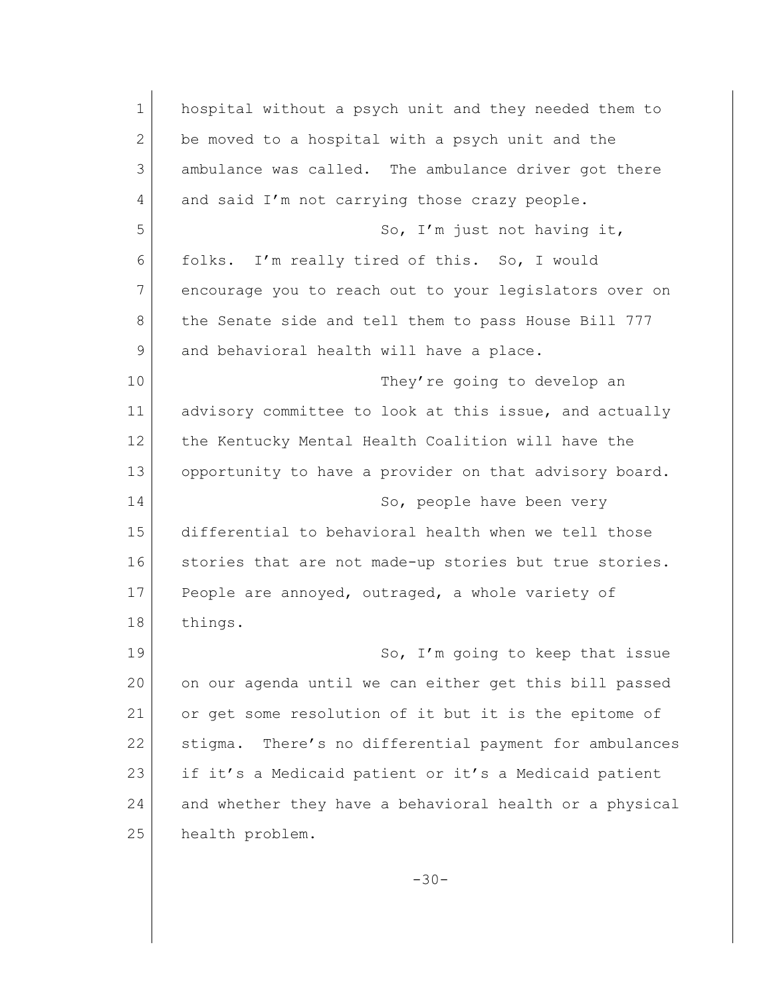| $\mathbf{1}$ | hospital without a psych unit and they needed them to     |
|--------------|-----------------------------------------------------------|
| 2            | be moved to a hospital with a psych unit and the          |
| 3            | ambulance was called. The ambulance driver got there      |
| 4            | and said I'm not carrying those crazy people.             |
| 5            | So, I'm just not having it,                               |
| 6            | folks. I'm really tired of this. So, I would              |
| 7            | encourage you to reach out to your legislators over on    |
| 8            | the Senate side and tell them to pass House Bill 777      |
| 9            | and behavioral health will have a place.                  |
| 10           | They're going to develop an                               |
| 11           | advisory committee to look at this issue, and actually    |
| 12           | the Kentucky Mental Health Coalition will have the        |
| 13           | opportunity to have a provider on that advisory board.    |
| 14           | So, people have been very                                 |
| 15           | differential to behavioral health when we tell those      |
| 16           | stories that are not made-up stories but true stories.    |
| 17           | People are annoyed, outraged, a whole variety of          |
| 18           | things.                                                   |
| 19           | So, I'm going to keep that issue                          |
| 20           | on our agenda until we can either get this bill passed    |
| 21           | or get some resolution of it but it is the epitome of     |
| 22           | There's no differential payment for ambulances<br>stigma. |
| 23           | if it's a Medicaid patient or it's a Medicaid patient     |
| 24           | and whether they have a behavioral health or a physical   |
| 25           | health problem.                                           |
|              |                                                           |
|              | $-30-$                                                    |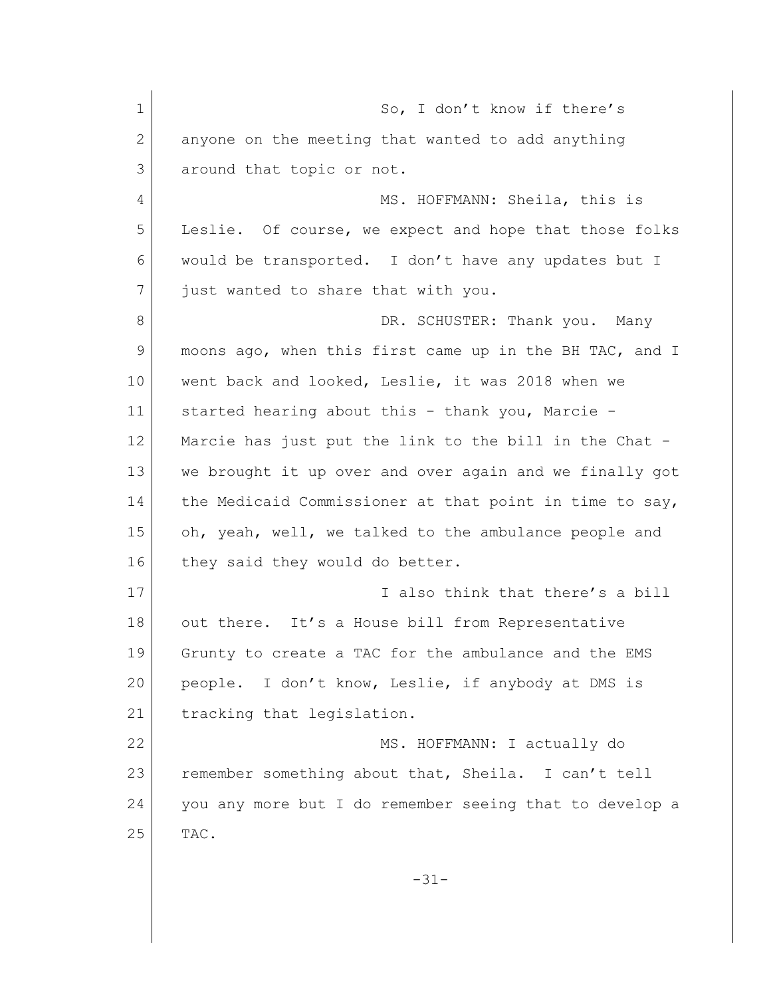1 So, I don't know if there's 2 anyone on the meeting that wanted to add anything 3 around that topic or not. 4 MS. HOFFMANN: Sheila, this is 5 Leslie. Of course, we expect and hope that those folks 6 would be transported. I don't have any updates but I 7 just wanted to share that with you. 8 DR. SCHUSTER: Thank you. Many 9 moons ago, when this first came up in the BH TAC, and I 10 | went back and looked, Leslie, it was 2018 when we 11 started hearing about this - thank you, Marcie -12 Marcie has just put the link to the bill in the Chat - 13 we brought it up over and over again and we finally got 14 the Medicaid Commissioner at that point in time to say, 15 oh, yeah, well, we talked to the ambulance people and 16 they said they would do better. 17 I also think that there's a bill 18 out there. It's a House bill from Representative 19 Grunty to create a TAC for the ambulance and the EMS 20 people. I don't know, Leslie, if anybody at DMS is 21 tracking that legislation. 22 MS. HOFFMANN: I actually do 23 remember something about that, Sheila. I can't tell 24 you any more but I do remember seeing that to develop a  $25$  TAC. -31-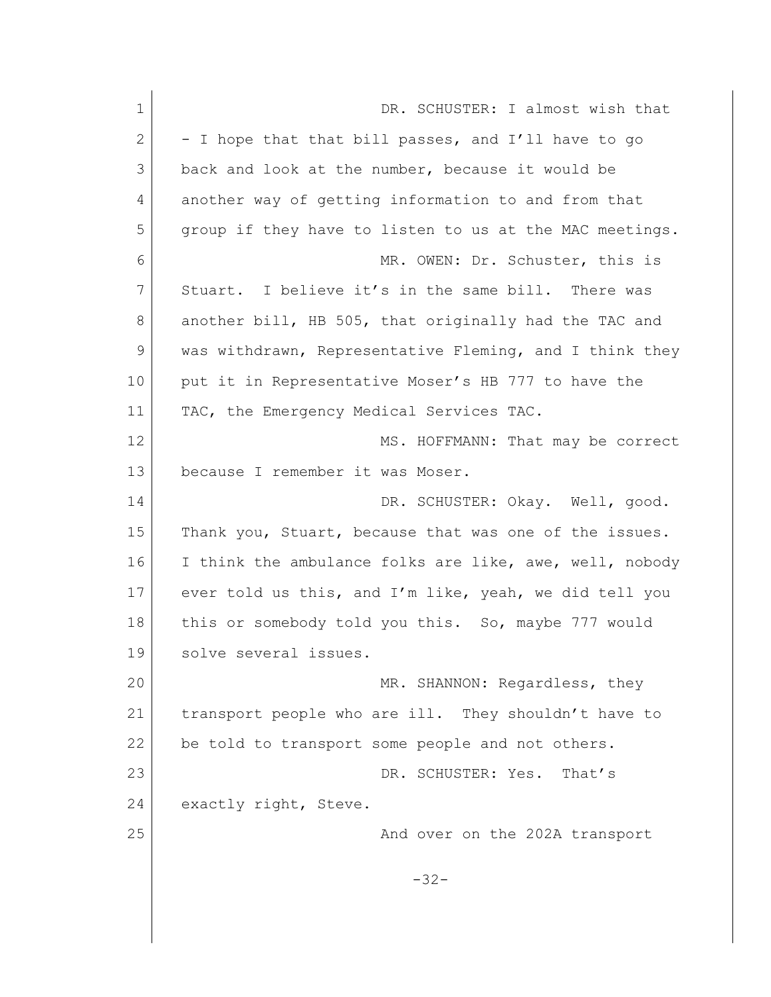| $\mathbf 1$ | DR. SCHUSTER: I almost wish that                        |
|-------------|---------------------------------------------------------|
| 2           | - I hope that that bill passes, and I'll have to go     |
| 3           | back and look at the number, because it would be        |
| 4           | another way of getting information to and from that     |
| 5           | group if they have to listen to us at the MAC meetings. |
| 6           | MR. OWEN: Dr. Schuster, this is                         |
| 7           | Stuart. I believe it's in the same bill. There was      |
| 8           | another bill, HB 505, that originally had the TAC and   |
| 9           | was withdrawn, Representative Fleming, and I think they |
| 10          | put it in Representative Moser's HB 777 to have the     |
| 11          | TAC, the Emergency Medical Services TAC.                |
| 12          | MS. HOFFMANN: That may be correct                       |
| 13          | because I remember it was Moser.                        |
| 14          | DR. SCHUSTER: Okay. Well, good.                         |
| 15          | Thank you, Stuart, because that was one of the issues.  |
| 16          | I think the ambulance folks are like, awe, well, nobody |
| 17          | ever told us this, and I'm like, yeah, we did tell you  |
| 18          | this or somebody told you this. So, maybe 777 would     |
| 19          | solve several issues.                                   |
| 20          | MR. SHANNON: Regardless, they                           |
| 21          | transport people who are ill. They shouldn't have to    |
| 22          | be told to transport some people and not others.        |
| 23          | DR. SCHUSTER: Yes.<br>That's                            |
| 24          | exactly right, Steve.                                   |
| 25          | And over on the 202A transport                          |
|             |                                                         |
|             | $-32-$                                                  |
|             |                                                         |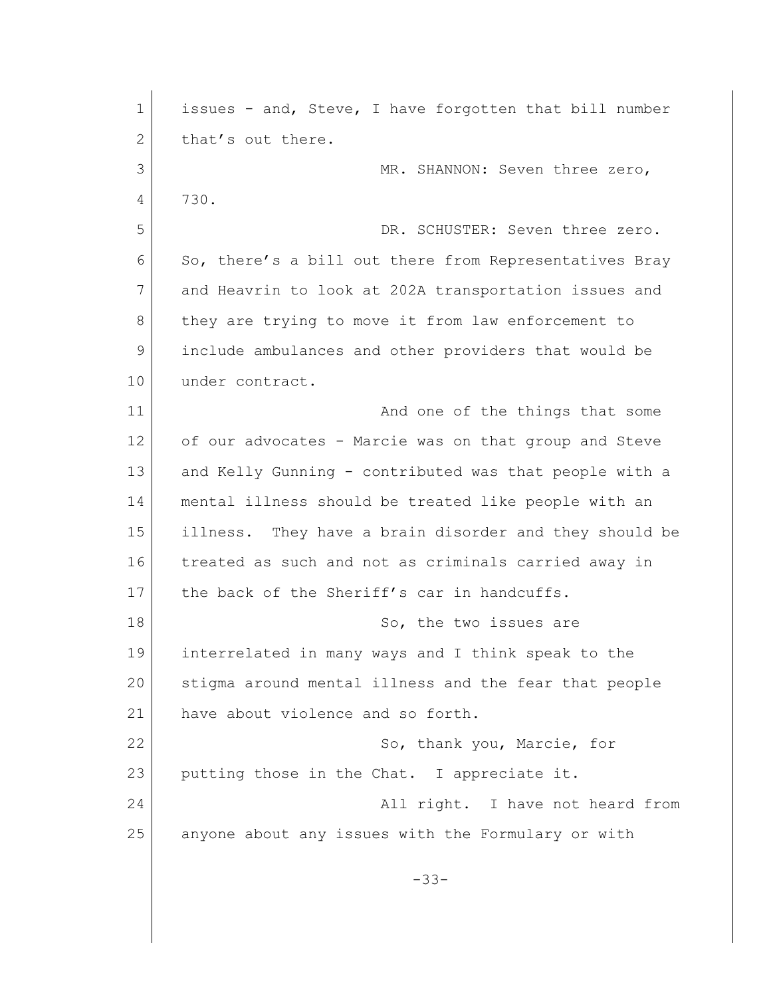| $\mathbf{1}$ | issues - and, Steve, I have forgotten that bill number |
|--------------|--------------------------------------------------------|
| 2            | that's out there.                                      |
| 3            | MR. SHANNON: Seven three zero,                         |
| 4            | 730.                                                   |
| 5            | DR. SCHUSTER: Seven three zero.                        |
| 6            | So, there's a bill out there from Representatives Bray |
| 7            | and Heavrin to look at 202A transportation issues and  |
| 8            | they are trying to move it from law enforcement to     |
| 9            | include ambulances and other providers that would be   |
| 10           | under contract.                                        |
| 11           | And one of the things that some                        |
| 12           | of our advocates - Marcie was on that group and Steve  |
| 13           | and Kelly Gunning - contributed was that people with a |
| 14           | mental illness should be treated like people with an   |
| 15           | illness. They have a brain disorder and they should be |
| 16           | treated as such and not as criminals carried away in   |
| 17           | the back of the Sheriff's car in handcuffs.            |
| 18           | So, the two issues are                                 |
| 19           | interrelated in many ways and I think speak to the     |
| 20           | stigma around mental illness and the fear that people  |
| 21           | have about violence and so forth.                      |
| 22           | So, thank you, Marcie, for                             |
| 23           | putting those in the Chat. I appreciate it.            |
| 24           | All right. I have not heard from                       |
| 25           | anyone about any issues with the Formulary or with     |
|              |                                                        |
|              | $-33-$                                                 |
|              |                                                        |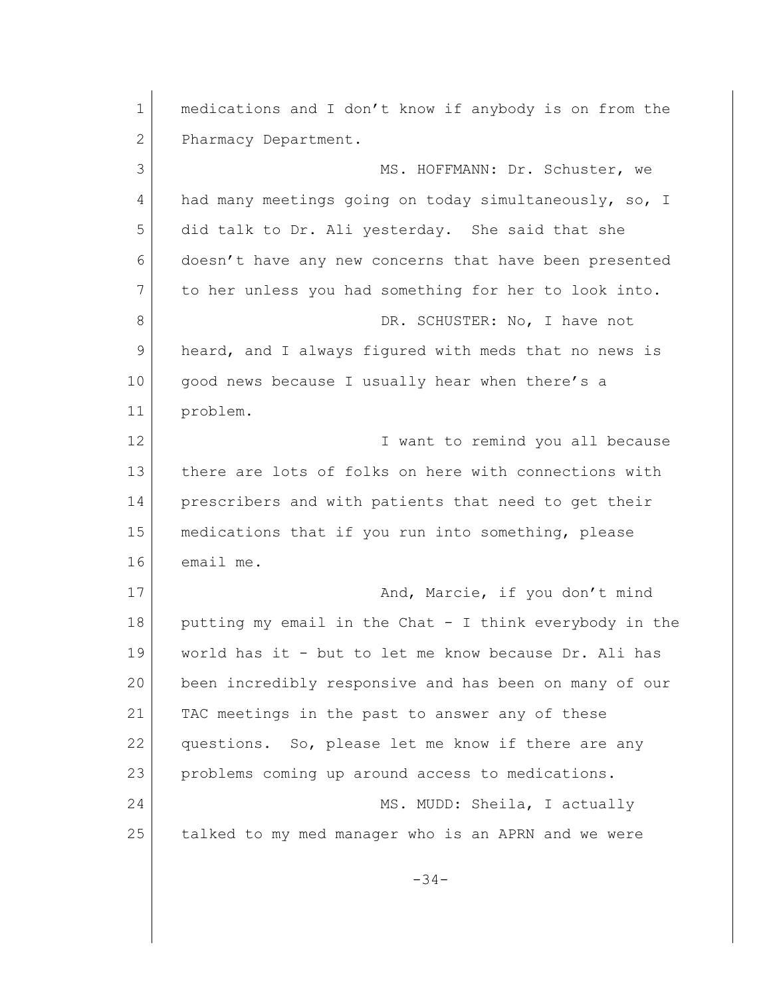1 medications and I don't know if anybody is on from the 2 Pharmacy Department. 3 MS. HOFFMANN: Dr. Schuster, we 4 had many meetings going on today simultaneously, so, I 5 did talk to Dr. Ali yesterday. She said that she 6 doesn't have any new concerns that have been presented 7 to her unless you had something for her to look into. 8 DR. SCHUSTER: No, I have not 9 heard, and I always figured with meds that no news is 10 | good news because I usually hear when there's a 11 problem. 12 I want to remind you all because 13 there are lots of folks on here with connections with 14 prescribers and with patients that need to get their 15 medications that if you run into something, please 16 email me. 17 and, Marcie, if you don't mind 18 putting my email in the Chat - I think everybody in the 19 world has it - but to let me know because Dr. Ali has 20 been incredibly responsive and has been on many of our 21 TAC meetings in the past to answer any of these 22 questions. So, please let me know if there are any 23 problems coming up around access to medications. 24 MS. MUDD: Sheila, I actually 25 talked to my med manager who is an APRN and we were -34-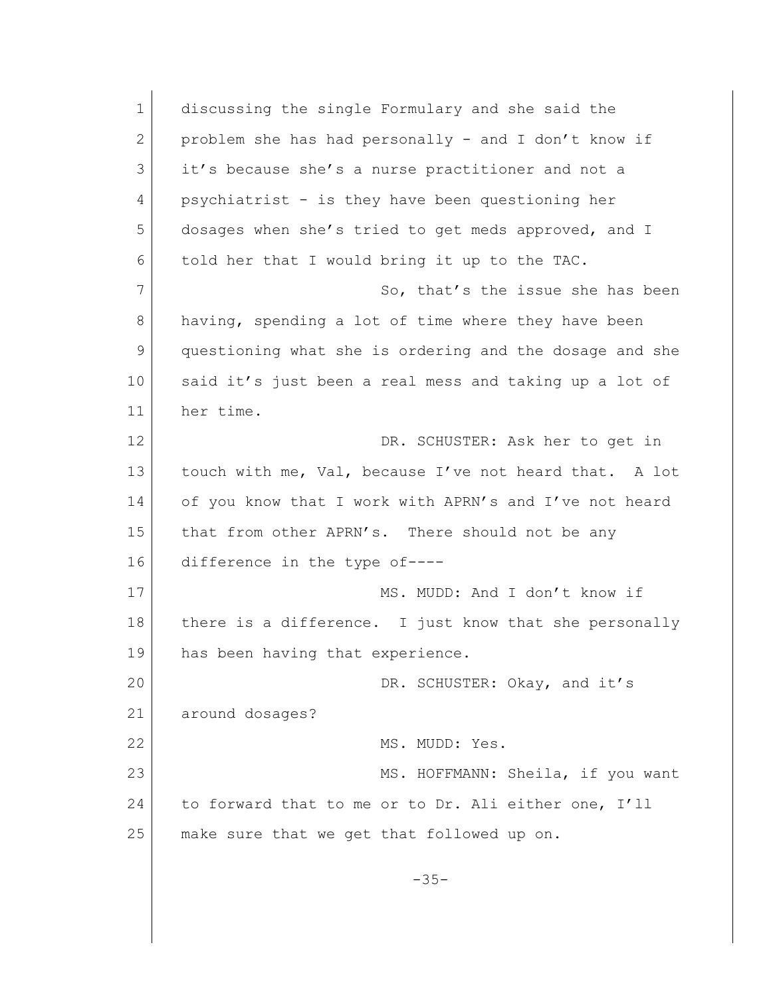1 discussing the single Formulary and she said the 2 problem she has had personally - and I don't know if 3 it's because she's a nurse practitioner and not a 4 psychiatrist - is they have been questioning her 5 dosages when she's tried to get meds approved, and I 6 told her that I would bring it up to the TAC. 7 So, that's the issue she has been 8 having, spending a lot of time where they have been 9 questioning what she is ordering and the dosage and she 10 said it's just been a real mess and taking up a lot of 11 her time. 12 DR. SCHUSTER: Ask her to get in 13 touch with me, Val, because I've not heard that. A lot 14 of you know that I work with APRN's and I've not heard 15 that from other APRN's. There should not be any 16 difference in the type of---- 17 MS. MUDD: And I don't know if 18 there is a difference. I just know that she personally 19 has been having that experience. 20 DR. SCHUSTER: Okay, and it's 21 around dosages? 22 MS. MUDD: Yes. 23 MS. HOFFMANN: Sheila, if you want 24 to forward that to me or to Dr. Ali either one, I'll 25 make sure that we get that followed up on. -35-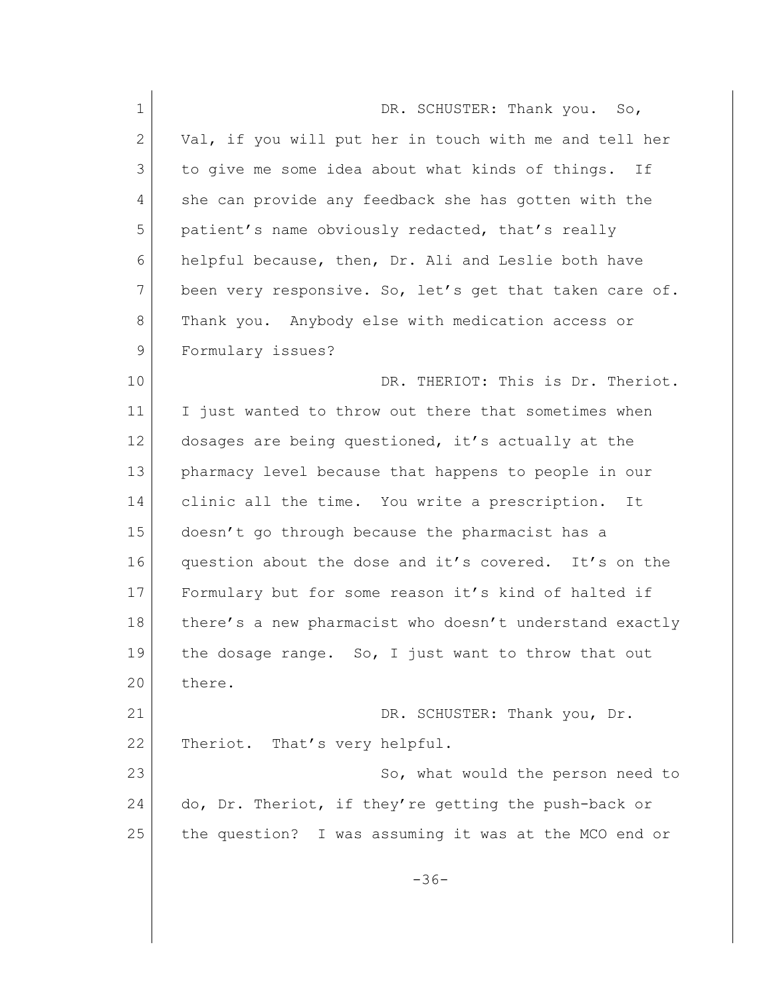| $\mathbf 1$ | DR. SCHUSTER: Thank you. So,                            |
|-------------|---------------------------------------------------------|
| 2           | Val, if you will put her in touch with me and tell her  |
| 3           | to give me some idea about what kinds of things.<br>If  |
| 4           | she can provide any feedback she has gotten with the    |
| 5           | patient's name obviously redacted, that's really        |
| 6           | helpful because, then, Dr. Ali and Leslie both have     |
| 7           | been very responsive. So, let's get that taken care of. |
| 8           | Thank you. Anybody else with medication access or       |
| 9           | Formulary issues?                                       |
| 10          | DR. THERIOT: This is Dr. Theriot.                       |
| 11          | I just wanted to throw out there that sometimes when    |
| 12          | dosages are being questioned, it's actually at the      |
| 13          | pharmacy level because that happens to people in our    |
| 14          | clinic all the time. You write a prescription. It       |
| 15          | doesn't go through because the pharmacist has a         |
| 16          | question about the dose and it's covered. It's on the   |
| 17          | Formulary but for some reason it's kind of halted if    |
| 18          | there's a new pharmacist who doesn't understand exactly |
| 19          | the dosage range. So, I just want to throw that out     |
| 20          | there.                                                  |
| 21          | DR. SCHUSTER: Thank you, Dr.                            |
| 22          | Theriot. That's very helpful.                           |
| 23          | So, what would the person need to                       |
| 24          | do, Dr. Theriot, if they're getting the push-back or    |
| 25          | the question? I was assuming it was at the MCO end or   |
|             | $-36-$                                                  |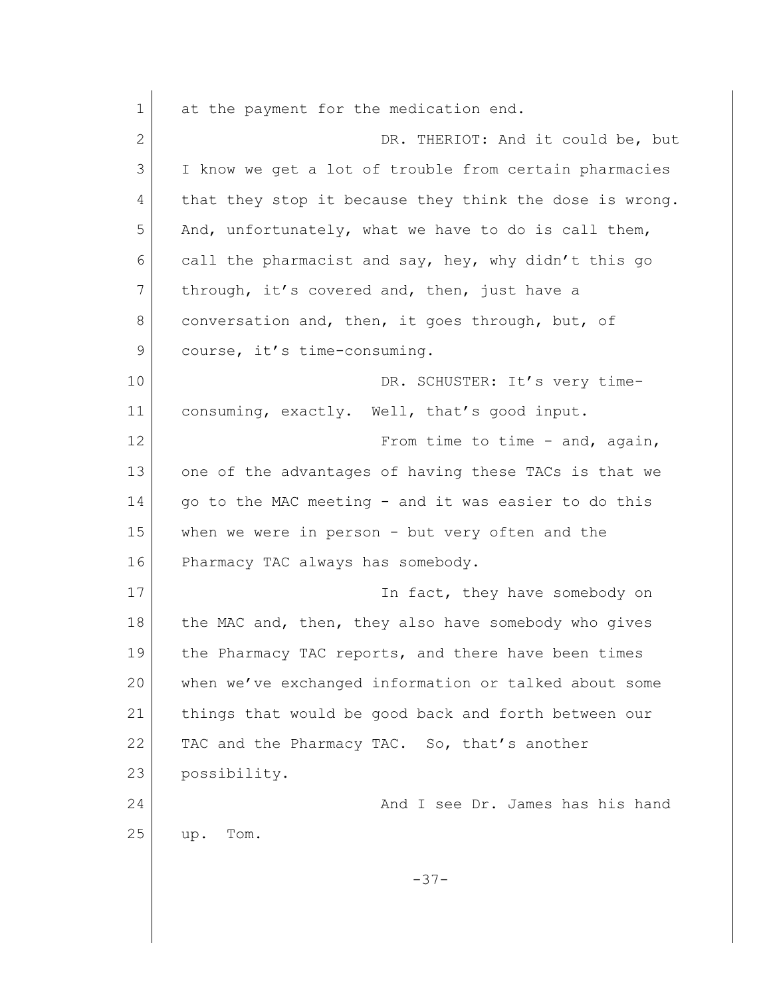1 at the payment for the medication end. 2 DR. THERIOT: And it could be, but 3 I know we get a lot of trouble from certain pharmacies 4 that they stop it because they think the dose is wrong. 5 And, unfortunately, what we have to do is call them, 6 call the pharmacist and say, hey, why didn't this go 7 through, it's covered and, then, just have a 8 | conversation and, then, it goes through, but, of 9 course, it's time-consuming. 10 DR. SCHUSTER: It's very time-11 consuming, exactly. Well, that's good input. 12 From time to time - and, again, 13 one of the advantages of having these TACs is that we 14 | qo to the MAC meeting - and it was easier to do this 15 when we were in person - but very often and the 16 Pharmacy TAC always has somebody. 17 **In fact, they have somebody on** 18 the MAC and, then, they also have somebody who gives 19 the Pharmacy TAC reports, and there have been times 20 when we've exchanged information or talked about some 21 things that would be good back and forth between our 22 TAC and the Pharmacy TAC. So, that's another 23 possibility. 24 And I see Dr. James has his hand 25 up. Tom. -37-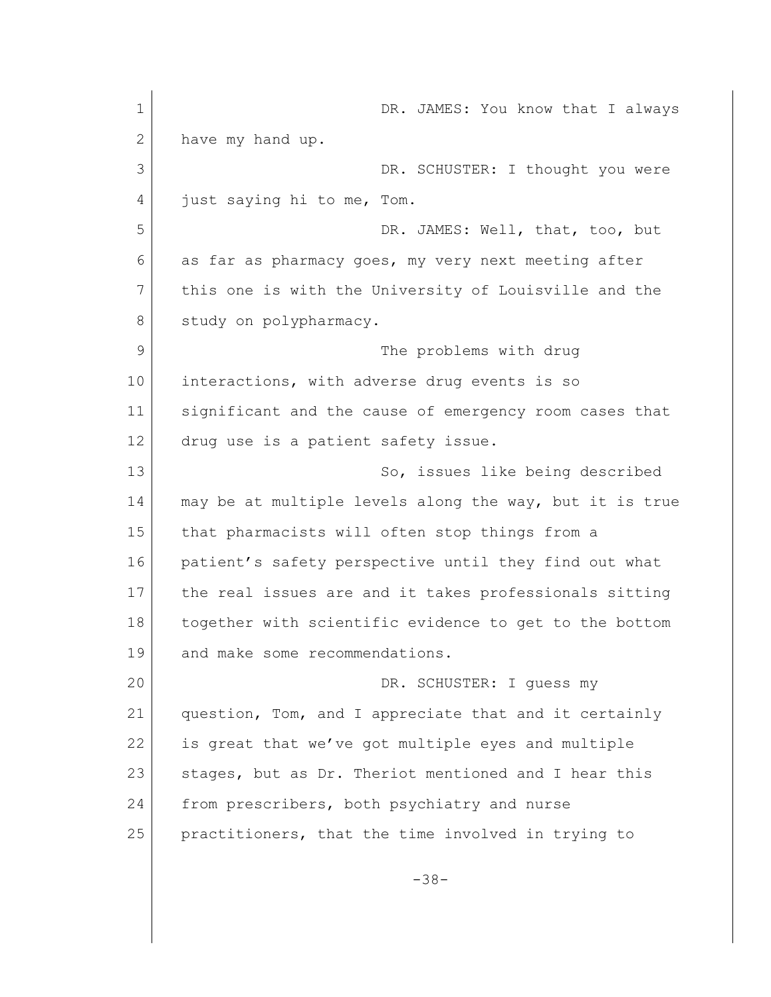1 DR. JAMES: You know that I always 2 have my hand up. 3 DR. SCHUSTER: I thought you were 4 just saying hi to me, Tom. 5 DR. JAMES: Well, that, too, but 6 as far as pharmacy goes, my very next meeting after 7 this one is with the University of Louisville and the 8 study on polypharmacy. 9 The problems with drug 10 interactions, with adverse drug events is so 11 significant and the cause of emergency room cases that 12 drug use is a patient safety issue. 13 So, issues like being described 14 may be at multiple levels along the way, but it is true 15 that pharmacists will often stop things from a 16 patient's safety perspective until they find out what 17 the real issues are and it takes professionals sitting 18 together with scientific evidence to get to the bottom 19 and make some recommendations. 20 DR. SCHUSTER: I quess my 21 question, Tom, and I appreciate that and it certainly 22 is great that we've got multiple eyes and multiple 23 | stages, but as Dr. Theriot mentioned and I hear this 24 from prescribers, both psychiatry and nurse 25 practitioners, that the time involved in trying to -38-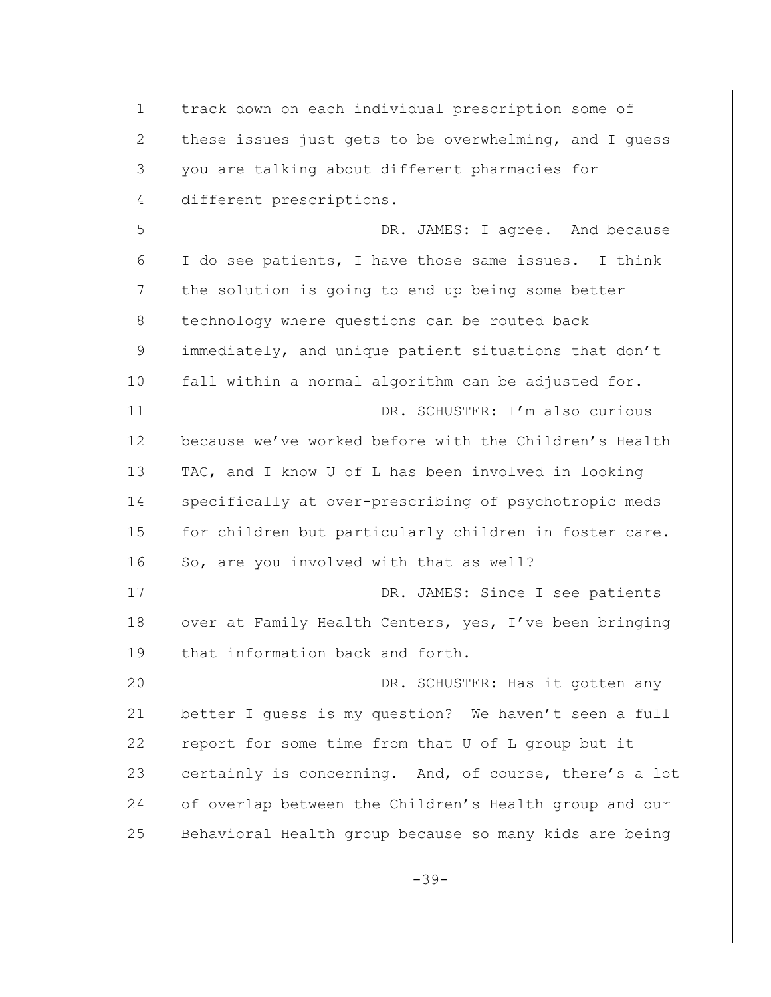1 track down on each individual prescription some of 2 these issues just gets to be overwhelming, and I quess 3 you are talking about different pharmacies for 4 different prescriptions. 5 DR. JAMES: I agree. And because 6 I do see patients, I have those same issues. I think 7 the solution is going to end up being some better 8 technology where questions can be routed back 9 immediately, and unique patient situations that don't 10 fall within a normal algorithm can be adjusted for. 11 DR. SCHUSTER: I'm also curious 12 because we've worked before with the Children's Health 13 TAC, and I know U of L has been involved in looking 14 specifically at over-prescribing of psychotropic meds 15 for children but particularly children in foster care. 16 So, are you involved with that as well? 17 DR. JAMES: Since I see patients 18 over at Family Health Centers, yes, I've been bringing 19 that information back and forth. 20 DR. SCHUSTER: Has it gotten any 21 better I guess is my question? We haven't seen a full 22 report for some time from that U of L group but it 23 certainly is concerning. And, of course, there's a lot 24 of overlap between the Children's Health group and our 25 Behavioral Health group because so many kids are being

-39-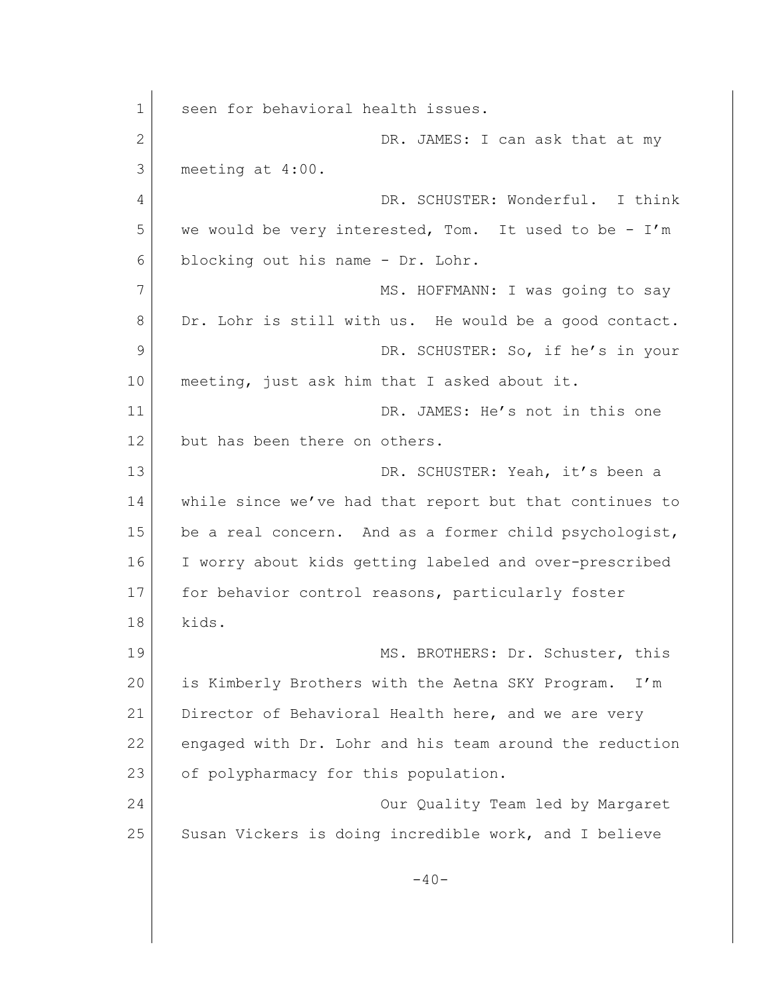1 seen for behavioral health issues. 2 DR. JAMES: I can ask that at my 3 meeting at 4:00. 4 DR. SCHUSTER: Wonderful. I think 5 we would be very interested, Tom. It used to be - I'm 6 blocking out his name - Dr. Lohr. 7 MS. HOFFMANN: I was going to say 8 Dr. Lohr is still with us. He would be a good contact. 9 DR. SCHUSTER: So, if he's in your 10 meeting, just ask him that I asked about it. 11 DR. JAMES: He's not in this one 12 but has been there on others. 13 DR. SCHUSTER: Yeah, it's been a 14 while since we've had that report but that continues to 15 be a real concern. And as a former child psychologist, 16 I worry about kids getting labeled and over-prescribed 17 for behavior control reasons, particularly foster 18 kids. 19 MS. BROTHERS: Dr. Schuster, this 20 is Kimberly Brothers with the Aetna SKY Program. I'm 21 Director of Behavioral Health here, and we are very 22 engaged with Dr. Lohr and his team around the reduction 23 of polypharmacy for this population. 24 **Our Quality Team led by Margaret** 25 Susan Vickers is doing incredible work, and I believe  $-40-$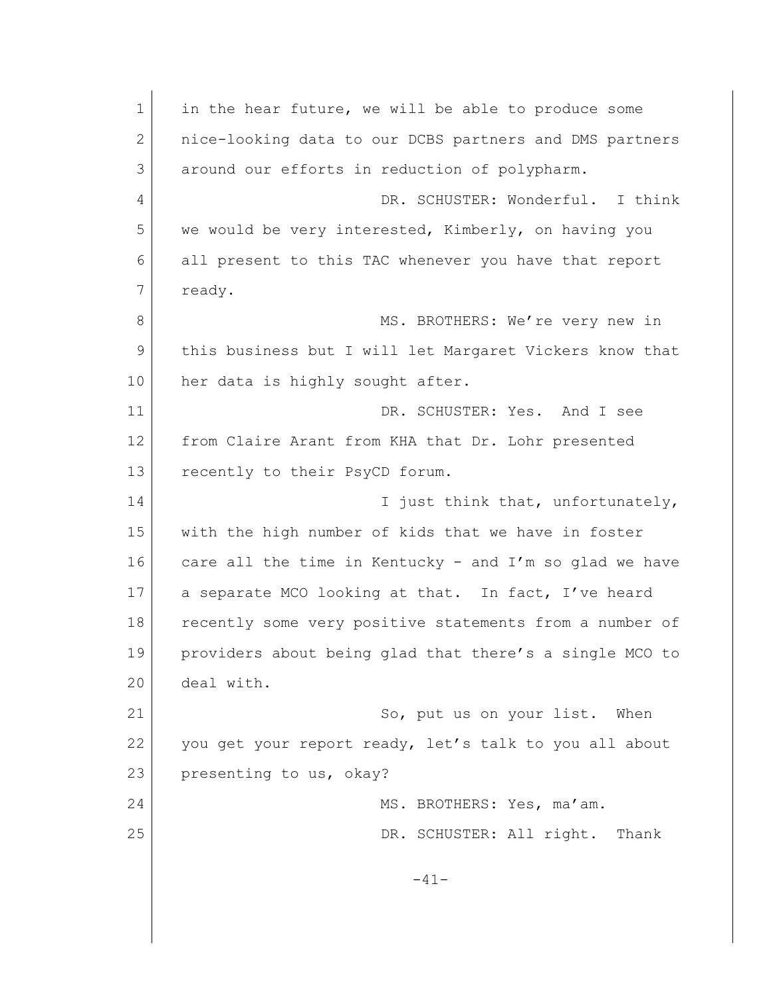1 in the hear future, we will be able to produce some 2 | nice-looking data to our DCBS partners and DMS partners 3 around our efforts in reduction of polypharm. 4 DR. SCHUSTER: Wonderful. I think 5 we would be very interested, Kimberly, on having you 6 all present to this TAC whenever you have that report 7 ready. 8 MS. BROTHERS: We're very new in 9 this business but I will let Margaret Vickers know that 10 her data is highly sought after. 11 DR. SCHUSTER: Yes. And I see 12 from Claire Arant from KHA that Dr. Lohr presented 13 recently to their PsyCD forum. 14 I just think that, unfortunately, 15 with the high number of kids that we have in foster 16 care all the time in Kentucky - and I'm so glad we have 17 a separate MCO looking at that. In fact, I've heard 18 recently some very positive statements from a number of 19 providers about being glad that there's a single MCO to 20 deal with. 21 So, put us on your list. When 22 you get your report ready, let's talk to you all about 23 presenting to us, okay? 24 MS. BROTHERS: Yes, ma'am. 25 DR. SCHUSTER: All right. Thank -41-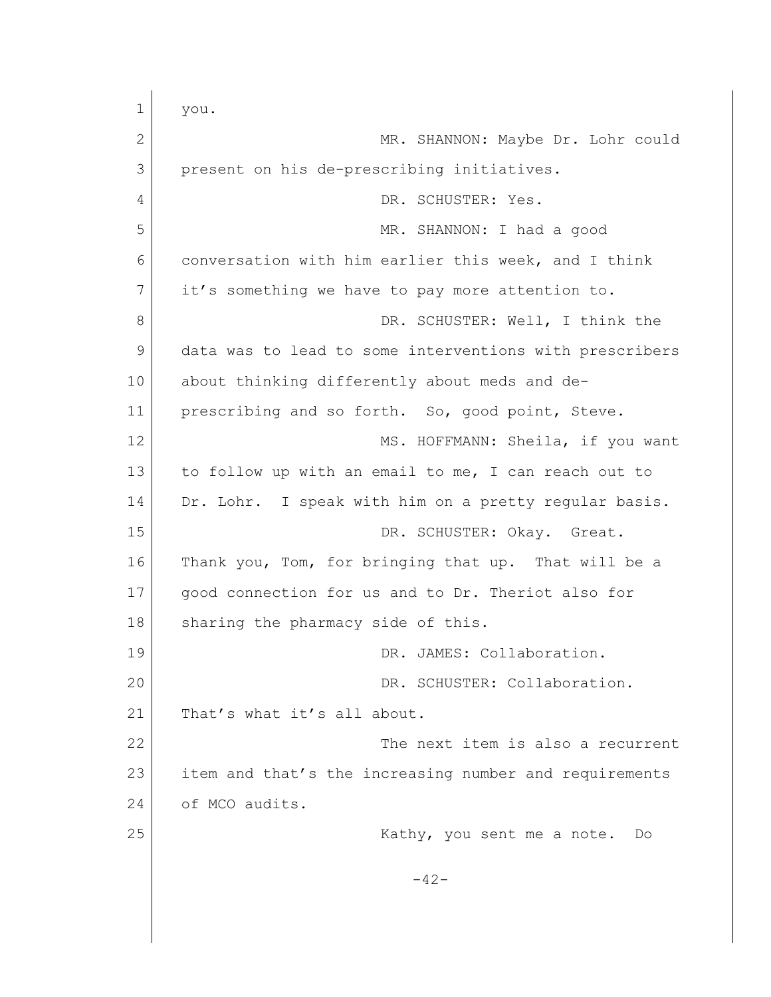1 you. 2 MR. SHANNON: Maybe Dr. Lohr could 3 present on his de-prescribing initiatives. 4 DR. SCHUSTER: Yes. 5 MR. SHANNON: I had a good 6 conversation with him earlier this week, and I think 7 it's something we have to pay more attention to. 8 DR. SCHUSTER: Well, I think the 9 data was to lead to some interventions with prescribers 10 about thinking differently about meds and de-11 prescribing and so forth. So, good point, Steve. 12 MS. HOFFMANN: Sheila, if you want 13 to follow up with an email to me, I can reach out to 14 Dr. Lohr. I speak with him on a pretty regular basis. 15 DR. SCHUSTER: Okay. Great. 16 Thank you, Tom, for bringing that up. That will be a 17 | good connection for us and to Dr. Theriot also for 18 sharing the pharmacy side of this. 19 DR. JAMES: Collaboration. 20 DR. SCHUSTER: Collaboration. 21 That's what it's all about. 22 The next item is also a recurrent 23 item and that's the increasing number and requirements 24 of MCO audits. 25 | Kathy, you sent me a note. Do  $-42-$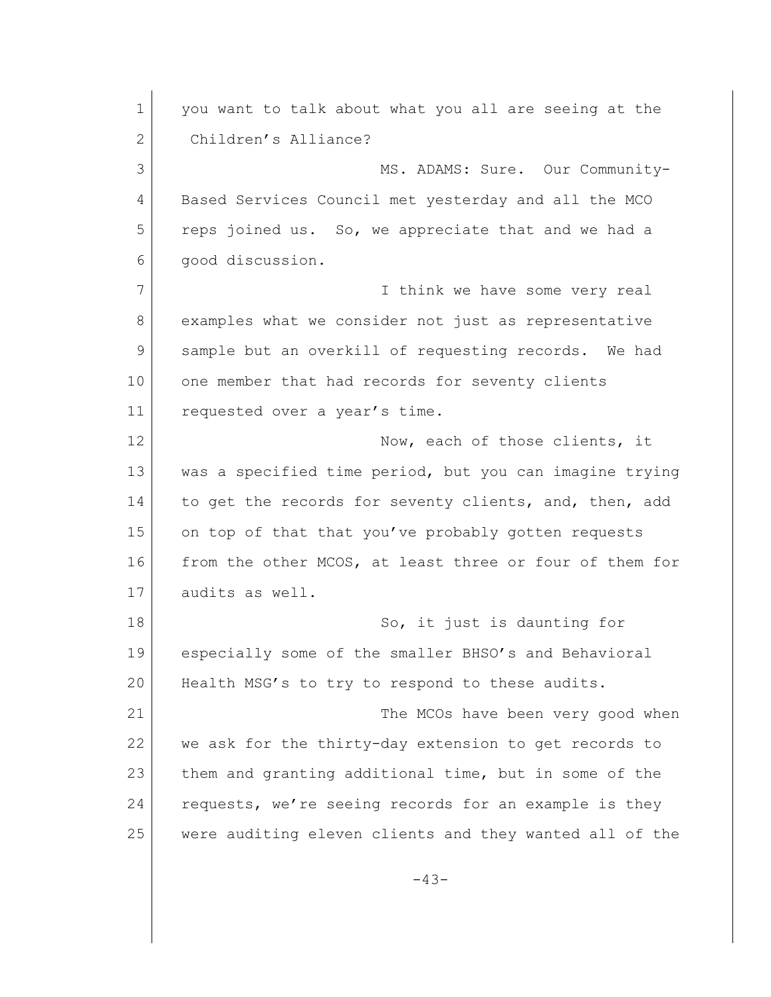1 you want to talk about what you all are seeing at the 2 Children's Alliance? 3 MS. ADAMS: Sure. Our Community-4 Based Services Council met yesterday and all the MCO 5 reps joined us. So, we appreciate that and we had a 6 good discussion. 7 I think we have some very real 8 examples what we consider not just as representative 9 sample but an overkill of requesting records. We had 10 one member that had records for seventy clients 11 requested over a year's time. 12 Now, each of those clients, it 13 was a specified time period, but you can imagine trying 14 to get the records for seventy clients, and, then, add 15 on top of that that you've probably gotten requests 16 | from the other MCOS, at least three or four of them for 17 audits as well. 18 So, it just is daunting for 19 especially some of the smaller BHSO's and Behavioral 20 Health MSG's to try to respond to these audits. 21 The MCOs have been very good when 22 we ask for the thirty-day extension to get records to 23 them and granting additional time, but in some of the 24 requests, we're seeing records for an example is they 25 were auditing eleven clients and they wanted all of the  $-43-$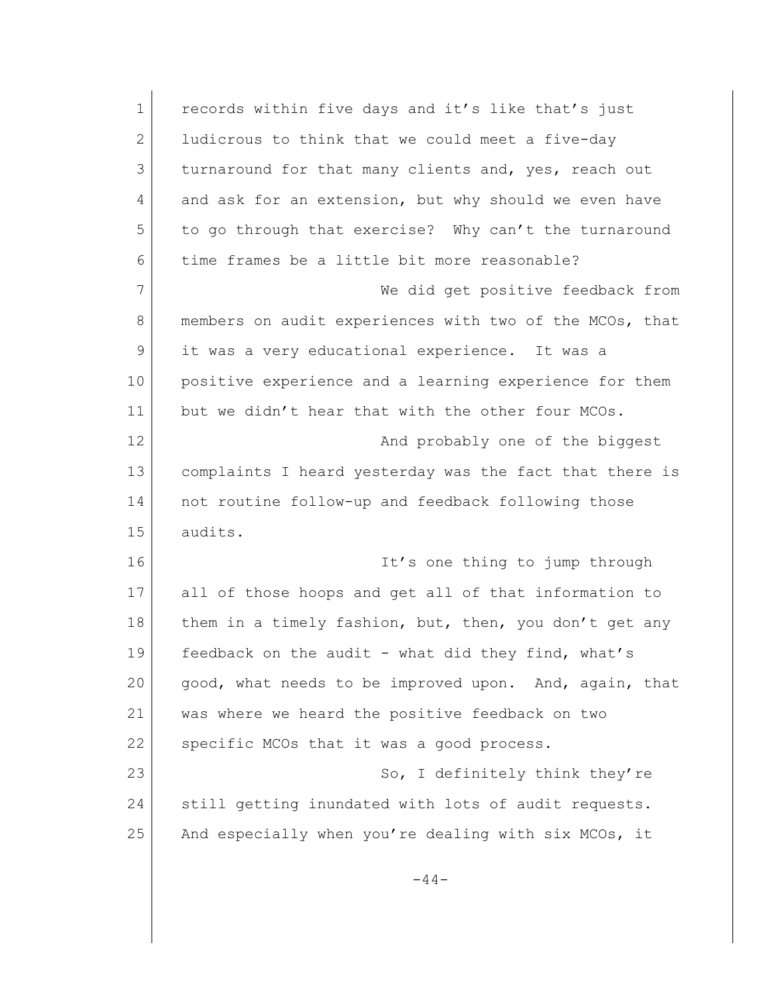| 1             | records within five days and it's like that's just      |
|---------------|---------------------------------------------------------|
| 2             | ludicrous to think that we could meet a five-day        |
| 3             | turnaround for that many clients and, yes, reach out    |
| 4             | and ask for an extension, but why should we even have   |
| 5             | to go through that exercise? Why can't the turnaround   |
| 6             | time frames be a little bit more reasonable?            |
| 7             | We did get positive feedback from                       |
| 8             | members on audit experiences with two of the MCOs, that |
| $\mathcal{G}$ | it was a very educational experience. It was a          |
| 10            | positive experience and a learning experience for them  |
| 11            | but we didn't hear that with the other four MCOs.       |
| 12            | And probably one of the biggest                         |
| 13            | complaints I heard yesterday was the fact that there is |
| 14            | not routine follow-up and feedback following those      |
| 15            | audits.                                                 |
| 16            | It's one thing to jump through                          |
| 17            | all of those hoops and get all of that information to   |
| 18            | them in a timely fashion, but, then, you don't get any  |
| 19            | feedback on the audit - what did they find, what's      |
| 20            | good, what needs to be improved upon. And, again, that  |
| 21            | was where we heard the positive feedback on two         |
| 22            | specific MCOs that it was a good process.               |
| 23            | So, I definitely think they're                          |
| 24            | still getting inundated with lots of audit requests.    |
| 25            | And especially when you're dealing with six MCOs, it    |
|               |                                                         |
|               | $-44-$                                                  |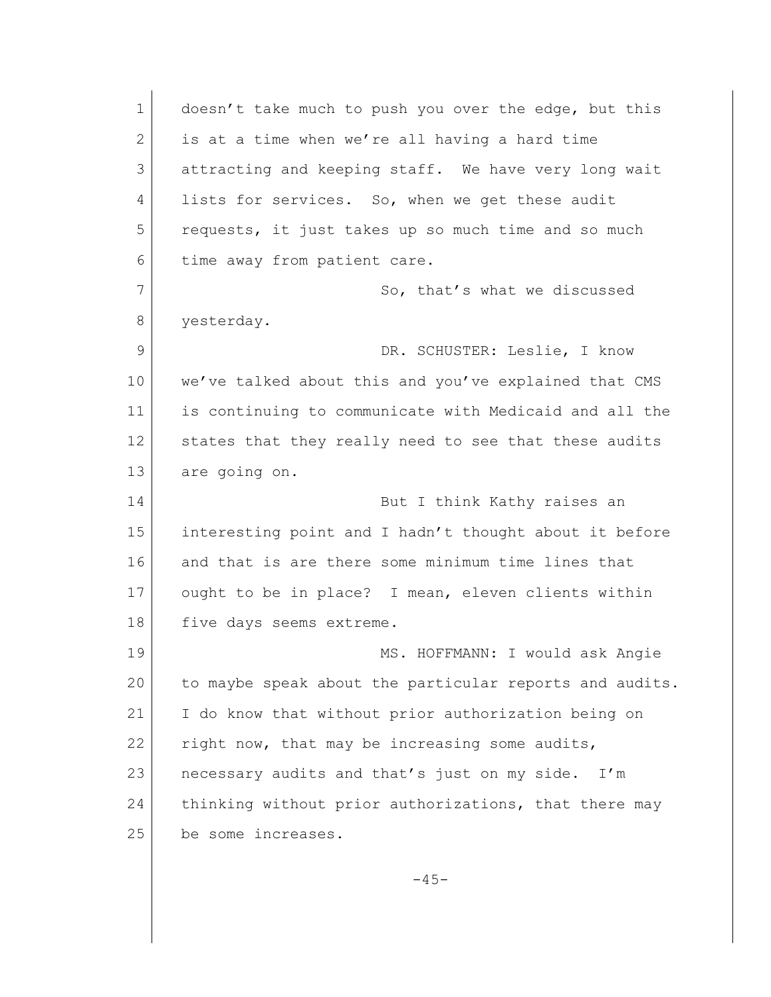| $\mathbf 1$ | doesn't take much to push you over the edge, but this   |
|-------------|---------------------------------------------------------|
| 2           | is at a time when we're all having a hard time          |
| 3           | attracting and keeping staff. We have very long wait    |
| 4           | lists for services. So, when we get these audit         |
| 5           | requests, it just takes up so much time and so much     |
| 6           | time away from patient care.                            |
| 7           | So, that's what we discussed                            |
| 8           | yesterday.                                              |
| 9           | DR. SCHUSTER: Leslie, I know                            |
| 10          | we've talked about this and you've explained that CMS   |
| 11          | is continuing to communicate with Medicaid and all the  |
| 12          | states that they really need to see that these audits   |
| 13          | are going on.                                           |
| 14          | But I think Kathy raises an                             |
| 15          | interesting point and I hadn't thought about it before  |
| 16          | and that is are there some minimum time lines that      |
| 17          | ought to be in place? I mean, eleven clients within     |
| 18          | five days seems extreme.                                |
| 19          | MS. HOFFMANN: I would ask Angie                         |
| 20          | to maybe speak about the particular reports and audits. |
| 21          | I do know that without prior authorization being on     |
| 22          | right now, that may be increasing some audits,          |
| 23          | necessary audits and that's just on my side.<br>I'm     |
| 24          | thinking without prior authorizations, that there may   |
| 25          | be some increases.                                      |
|             |                                                         |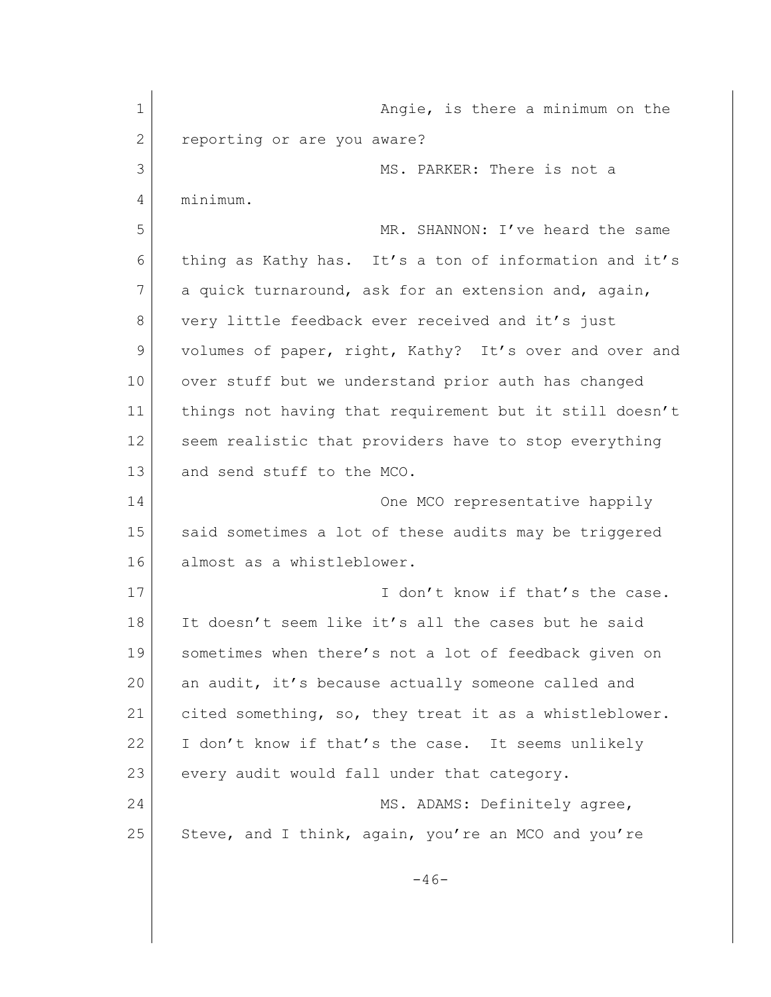1 angle, is there a minimum on the 1 2 reporting or are you aware? 3 MS. PARKER: There is not a 4 minimum. 5 MR. SHANNON: I've heard the same 6 thing as Kathy has. It's a ton of information and it's 7 a quick turnaround, ask for an extension and, again, 8 very little feedback ever received and it's just 9 volumes of paper, right, Kathy? It's over and over and 10 over stuff but we understand prior auth has changed 11 things not having that requirement but it still doesn't 12 seem realistic that providers have to stop everything 13 and send stuff to the MCO. 14 One MCO representative happily 15 said sometimes a lot of these audits may be triggered 16 almost as a whistleblower. 17 I don't know if that's the case. 18 It doesn't seem like it's all the cases but he said 19 sometimes when there's not a lot of feedback given on 20 an audit, it's because actually someone called and 21 cited something, so, they treat it as a whistleblower. 22 I don't know if that's the case. It seems unlikely 23 every audit would fall under that category. 24 MS. ADAMS: Definitely agree, 25 Steve, and I think, again, you're an MCO and you're  $-46-$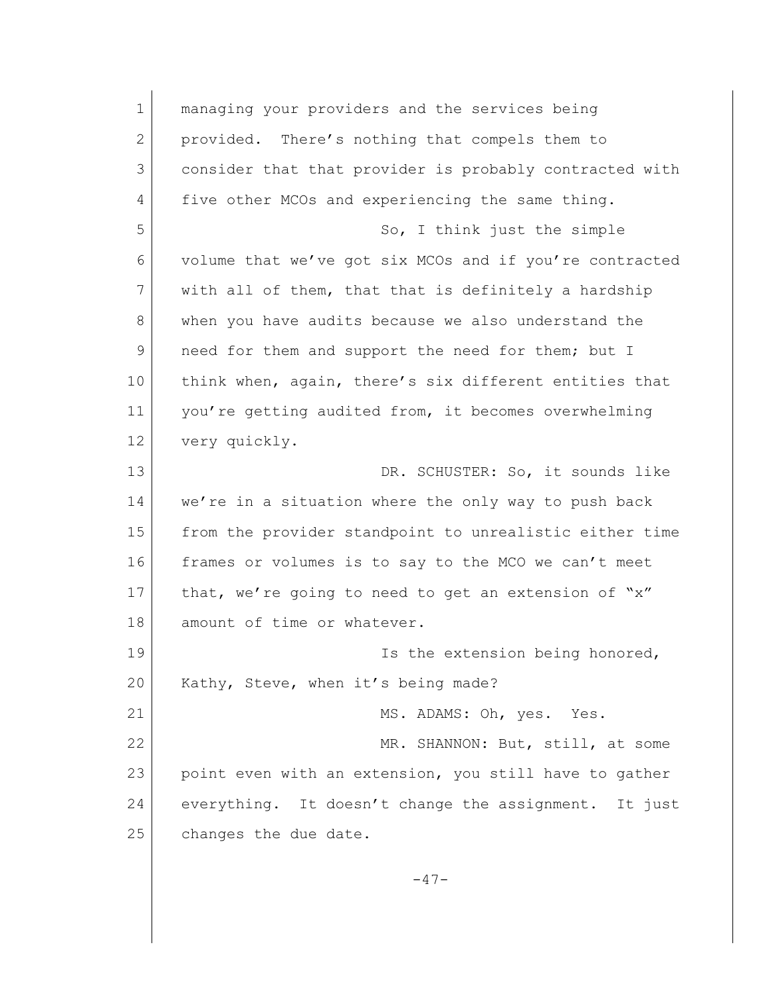1 managing your providers and the services being 2 provided. There's nothing that compels them to 3 consider that that provider is probably contracted with 4 five other MCOs and experiencing the same thing. 5 So, I think just the simple 6 volume that we've got six MCOs and if you're contracted 7 with all of them, that that is definitely a hardship 8 when you have audits because we also understand the 9 need for them and support the need for them; but I 10 think when, again, there's six different entities that 11 you're getting audited from, it becomes overwhelming 12 very quickly. 13 DR. SCHUSTER: So, it sounds like 14 we're in a situation where the only way to push back 15 from the provider standpoint to unrealistic either time 16 frames or volumes is to say to the MCO we can't meet 17 that, we're going to need to get an extension of "x" 18 amount of time or whatever. 19 **Is the extension being honored**, 20 Kathy, Steve, when it's being made? 21 MS. ADAMS: Oh, yes. Yes. 22 MR. SHANNON: But, still, at some 23 point even with an extension, you still have to gather 24 everything. It doesn't change the assignment. It just 25 changes the due date.

 $-47-$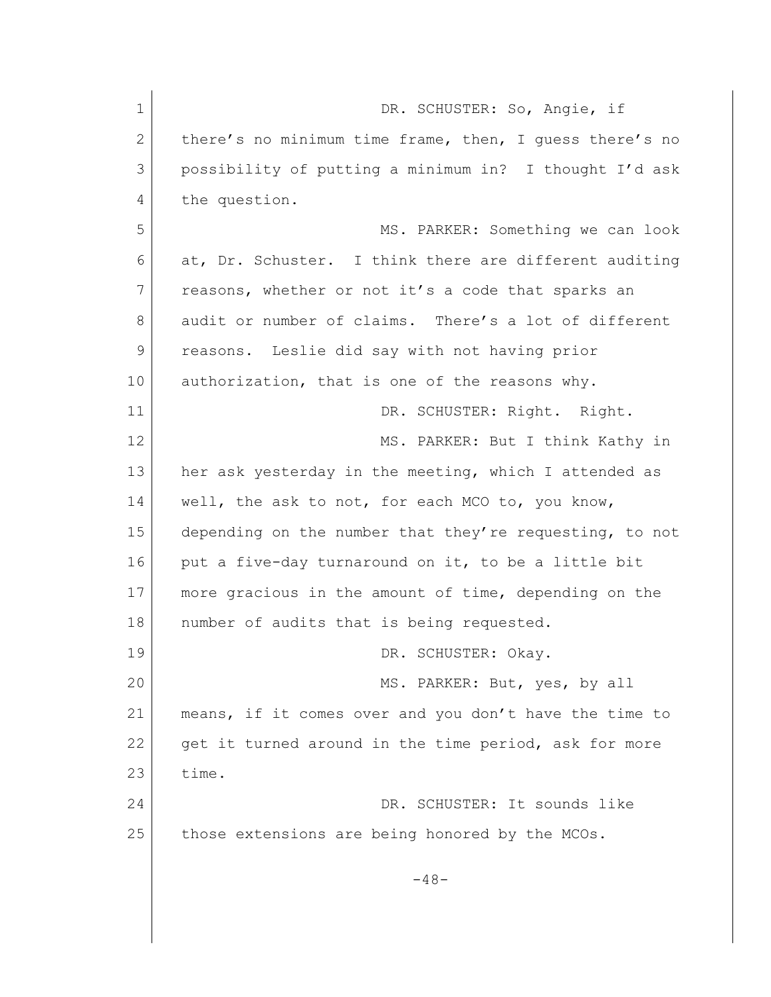| $\mathbf 1$ | DR. SCHUSTER: So, Angie, if                             |
|-------------|---------------------------------------------------------|
| 2           | there's no minimum time frame, then, I quess there's no |
| 3           | possibility of putting a minimum in? I thought I'd ask  |
| 4           | the question.                                           |
| 5           | MS. PARKER: Something we can look                       |
| 6           | at, Dr. Schuster. I think there are different auditing  |
| 7           | reasons, whether or not it's a code that sparks an      |
| 8           | audit or number of claims. There's a lot of different   |
| 9           | reasons. Leslie did say with not having prior           |
| 10          | authorization, that is one of the reasons why.          |
| 11          | DR. SCHUSTER: Right. Right.                             |
| 12          | MS. PARKER: But I think Kathy in                        |
| 13          | her ask yesterday in the meeting, which I attended as   |
| 14          | well, the ask to not, for each MCO to, you know,        |
| 15          | depending on the number that they're requesting, to not |
| 16          | put a five-day turnaround on it, to be a little bit     |
| 17          | more gracious in the amount of time, depending on the   |
| 18          | number of audits that is being requested.               |
| 19          | DR. SCHUSTER: Okay.                                     |
| 20          | MS. PARKER: But, yes, by all                            |
| 21          | means, if it comes over and you don't have the time to  |
| 22          | get it turned around in the time period, ask for more   |
| 23          | time.                                                   |
| 24          | DR. SCHUSTER: It sounds like                            |
| 25          | those extensions are being honored by the MCOs.         |
|             | $-48-$                                                  |
|             |                                                         |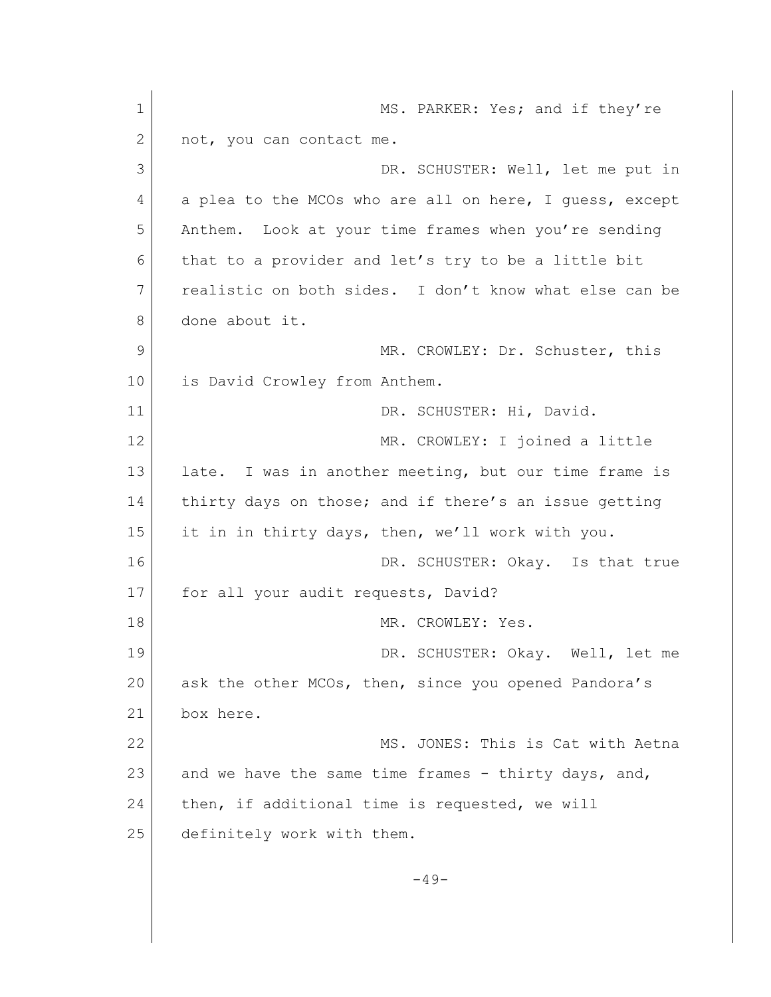1 MS. PARKER: Yes; and if they're 2 not, you can contact me. 3 DR. SCHUSTER: Well, let me put in 4 a plea to the MCOs who are all on here, I guess, except 5 Anthem. Look at your time frames when you're sending 6 that to a provider and let's try to be a little bit 7 realistic on both sides. I don't know what else can be 8 done about it. 9 MR. CROWLEY: Dr. Schuster, this 10 is David Crowley from Anthem. 11 DR. SCHUSTER: Hi, David. 12 MR. CROWLEY: I joined a little 13 late. I was in another meeting, but our time frame is 14 thirty days on those; and if there's an issue getting 15 it in in thirty days, then, we'll work with you. 16 DR. SCHUSTER: Okay. Is that true 17 for all your audit requests, David? 18 MR. CROWLEY: Yes. 19 DR. SCHUSTER: Okay. Well, let me 20 ask the other MCOs, then, since you opened Pandora's 21 box here. 22 MS. JONES: This is Cat with Aetna 23 and we have the same time frames - thirty days, and, 24 then, if additional time is requested, we will 25 definitely work with them.  $-49-$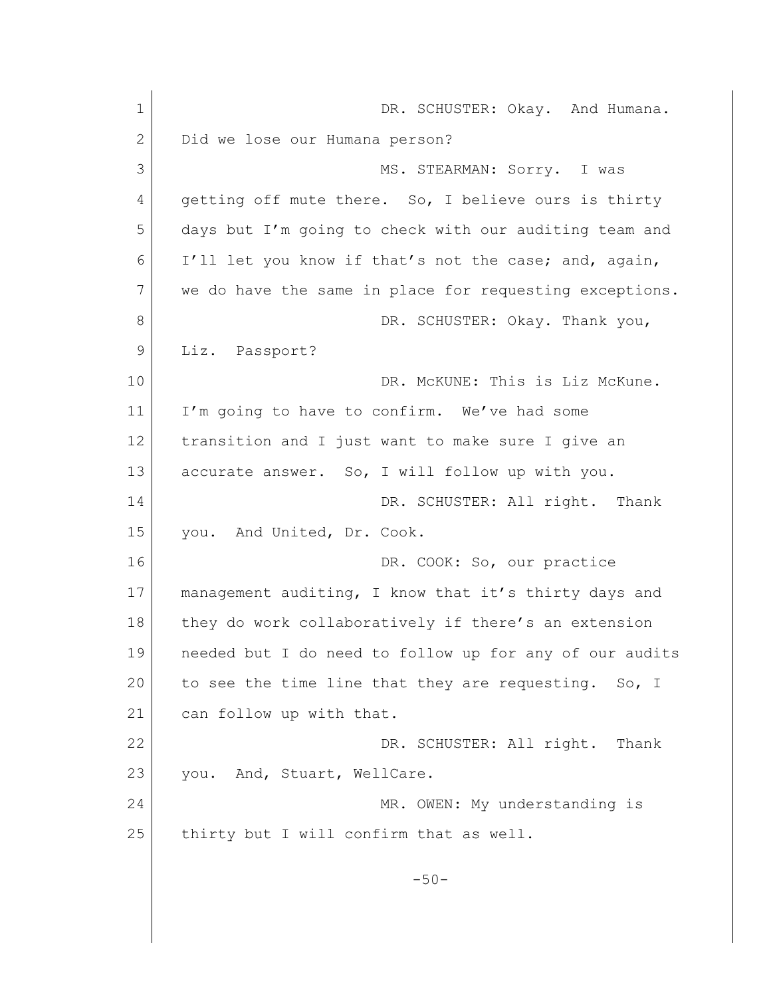| $\mathbf 1$ | DR. SCHUSTER: Okay. And Humana.                         |
|-------------|---------------------------------------------------------|
| 2           | Did we lose our Humana person?                          |
| 3           | MS. STEARMAN: Sorry. I was                              |
| 4           | getting off mute there. So, I believe ours is thirty    |
| 5           | days but I'm going to check with our auditing team and  |
| 6           | I'll let you know if that's not the case; and, again,   |
| 7           | we do have the same in place for requesting exceptions. |
| 8           | DR. SCHUSTER: Okay. Thank you,                          |
| 9           | Liz. Passport?                                          |
| 10          | DR. McKUNE: This is Liz McKune.                         |
| 11          | I'm going to have to confirm. We've had some            |
| 12          | transition and I just want to make sure I give an       |
| 13          | accurate answer. So, I will follow up with you.         |
| 14          | DR. SCHUSTER: All right. Thank                          |
| 15          | you. And United, Dr. Cook.                              |
| 16          | DR. COOK: So, our practice                              |
| 17          | management auditing, I know that it's thirty days and   |
| 18          | they do work collaboratively if there's an extension    |
| 19          | needed but I do need to follow up for any of our audits |
| 20          | to see the time line that they are requesting. So, I    |
| 21          | can follow up with that.                                |
| 22          | DR. SCHUSTER: All right. Thank                          |
| 23          | you. And, Stuart, WellCare.                             |
| 24          | MR. OWEN: My understanding is                           |
| 25          | thirty but I will confirm that as well.                 |
|             | $-50-$                                                  |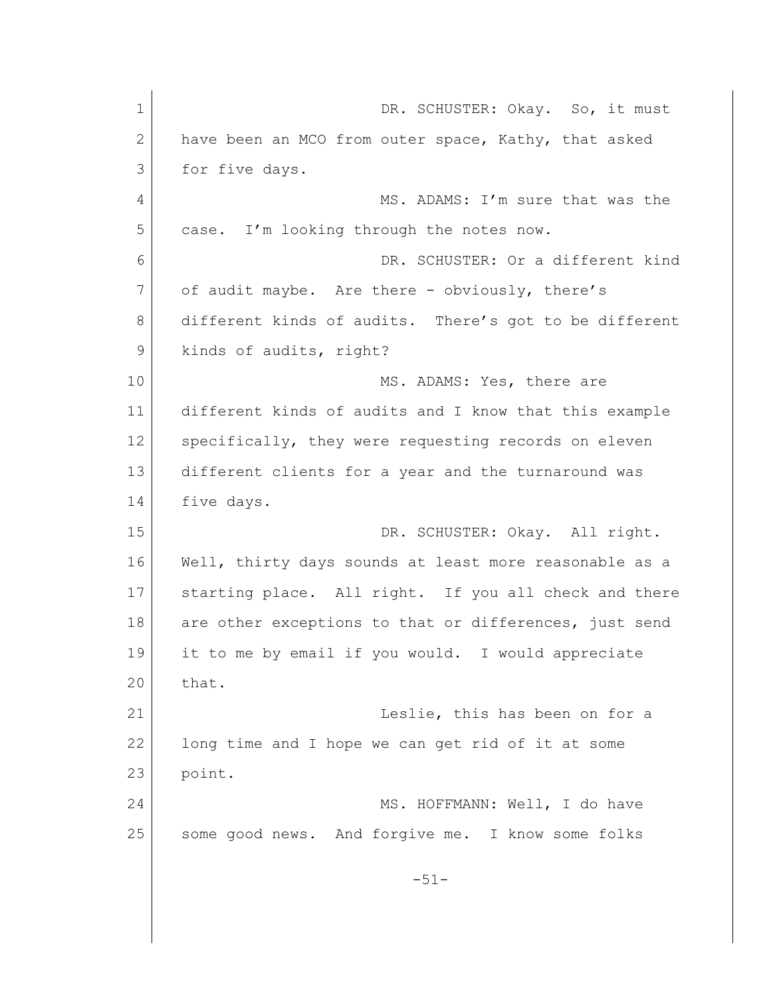| $\mathbf 1$ | DR. SCHUSTER: Okay. So, it must                        |
|-------------|--------------------------------------------------------|
| 2           | have been an MCO from outer space, Kathy, that asked   |
| 3           | for five days.                                         |
| 4           | MS. ADAMS: I'm sure that was the                       |
| 5           | case. I'm looking through the notes now.               |
| 6           | DR. SCHUSTER: Or a different kind                      |
| 7           | of audit maybe. Are there - obviously, there's         |
| 8           | different kinds of audits. There's got to be different |
| 9           | kinds of audits, right?                                |
| 10          | MS. ADAMS: Yes, there are                              |
| 11          | different kinds of audits and I know that this example |
| 12          | specifically, they were requesting records on eleven   |
| 13          | different clients for a year and the turnaround was    |
| 14          | five days.                                             |
| 15          | DR. SCHUSTER: Okay. All right.                         |
| 16          | Well, thirty days sounds at least more reasonable as a |
| 17          | starting place. All right. If you all check and there  |
| 18          | are other exceptions to that or differences, just send |
| 19          | it to me by email if you would. I would appreciate     |
| 20          | that.                                                  |
| 21          | Leslie, this has been on for a                         |
| 22          | long time and I hope we can get rid of it at some      |
| 23          | point.                                                 |
| 24          | MS. HOFFMANN: Well, I do have                          |
| 25          | some good news. And forgive me. I know some folks      |
|             | $-51-$                                                 |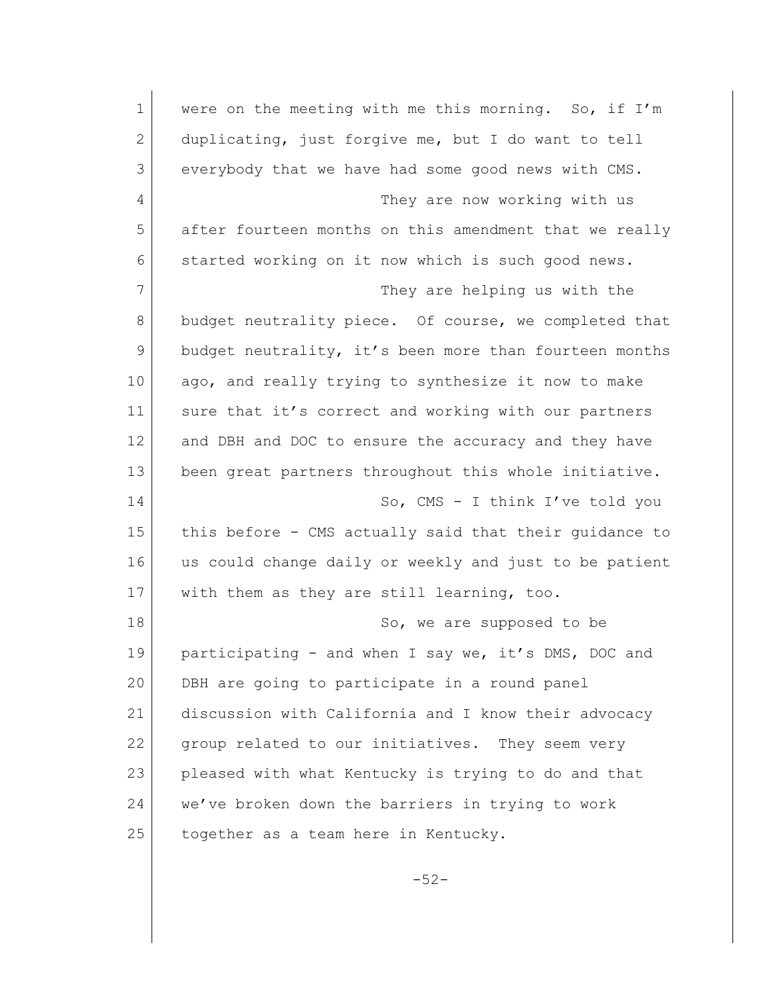| 1              | were on the meeting with me this morning. So, if I'm   |
|----------------|--------------------------------------------------------|
| $\overline{2}$ | duplicating, just forgive me, but I do want to tell    |
| 3              | everybody that we have had some good news with CMS.    |
| 4              | They are now working with us                           |
| 5              | after fourteen months on this amendment that we really |
| 6              | started working on it now which is such good news.     |
| 7              | They are helping us with the                           |
| $8\,$          | budget neutrality piece. Of course, we completed that  |
| 9              | budget neutrality, it's been more than fourteen months |
| 10             | ago, and really trying to synthesize it now to make    |
| 11             | sure that it's correct and working with our partners   |
| 12             | and DBH and DOC to ensure the accuracy and they have   |
| 13             | been great partners throughout this whole initiative.  |
| 14             | So, $CMS - I$ think I've told you                      |
| 15             | this before - CMS actually said that their guidance to |
| 16             | us could change daily or weekly and just to be patient |
| 17             | with them as they are still learning, too.             |
| 18             | So, we are supposed to be                              |
| 19             | participating - and when I say we, it's DMS, DOC and   |
| 20             | DBH are going to participate in a round panel          |
| 21             | discussion with California and I know their advocacy   |
| 22             | group related to our initiatives. They seem very       |
| 23             | pleased with what Kentucky is trying to do and that    |
| 24             | we've broken down the barriers in trying to work       |
| 25             | together as a team here in Kentucky.                   |
|                |                                                        |

-52-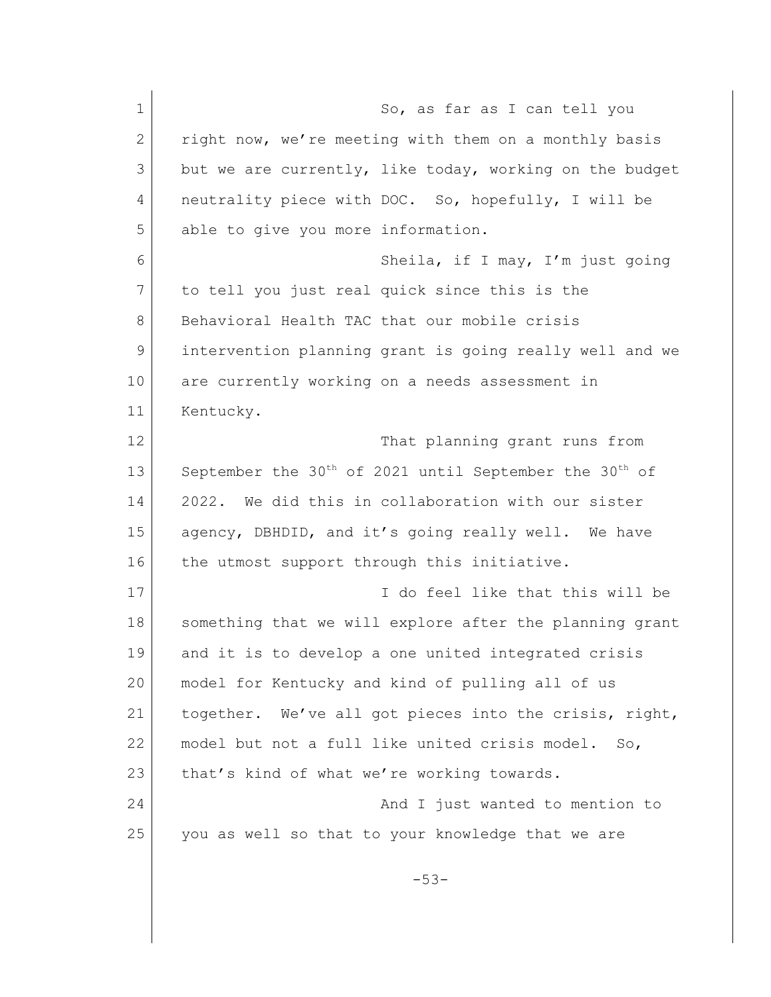| $\mathbf 1$ | So, as far as I can tell you                                                   |
|-------------|--------------------------------------------------------------------------------|
| 2           | right now, we're meeting with them on a monthly basis                          |
| 3           | but we are currently, like today, working on the budget                        |
| 4           | neutrality piece with DOC. So, hopefully, I will be                            |
| 5           | able to give you more information.                                             |
| 6           | Sheila, if I may, I'm just going                                               |
| 7           | to tell you just real quick since this is the                                  |
| 8           | Behavioral Health TAC that our mobile crisis                                   |
| 9           | intervention planning grant is going really well and we                        |
| 10          | are currently working on a needs assessment in                                 |
| 11          | Kentucky.                                                                      |
| 12          | That planning grant runs from                                                  |
| 13          | September the 30 <sup>th</sup> of 2021 until September the 30 <sup>th</sup> of |
| 14          | We did this in collaboration with our sister<br>2022.                          |
| 15          | agency, DBHDID, and it's going really well. We have                            |
| 16          | the utmost support through this initiative.                                    |
| 17          | I do feel like that this will be                                               |
| 18          | something that we will explore after the planning grant                        |
| 19          | and it is to develop a one united integrated crisis                            |
| 20          | model for Kentucky and kind of pulling all of us                               |
| 21          | together. We've all got pieces into the crisis, right,                         |
| 22          | model but not a full like united crisis model. So,                             |
| 23          | that's kind of what we're working towards.                                     |
| 24          | And I just wanted to mention to                                                |
| 25          | you as well so that to your knowledge that we are                              |
|             | $-53-$                                                                         |
|             |                                                                                |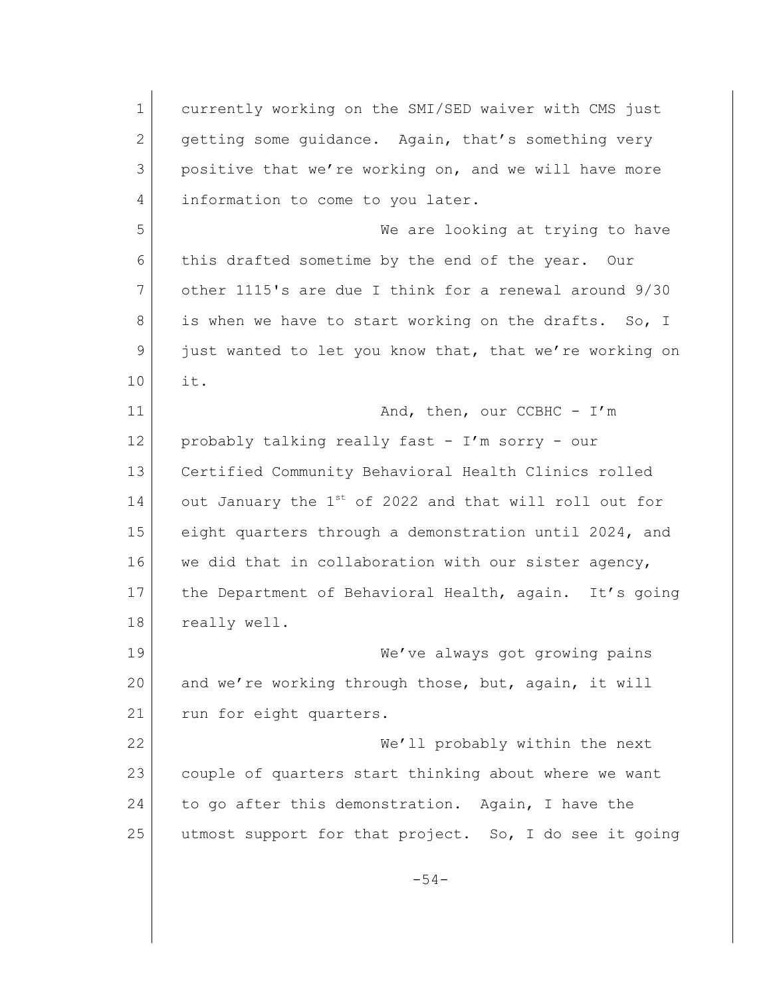1 currently working on the SMI/SED waiver with CMS just 2 getting some quidance. Again, that's something very 3 positive that we're working on, and we will have more 4 information to come to you later. 5 We are looking at trying to have 6 this drafted sometime by the end of the year. Our 7 other 1115's are due I think for a renewal around 9/30 8 is when we have to start working on the drafts. So, I 9 just wanted to let you know that, that we're working on 10 it. 11 And, then, our CCBHC - I'm 12 probably talking really fast - I'm sorry - our 13 Certified Community Behavioral Health Clinics rolled  $14$  out January the  $1^{st}$  of 2022 and that will roll out for 15 eight quarters through a demonstration until 2024, and 16 we did that in collaboration with our sister agency, 17 the Department of Behavioral Health, again. It's going 18 really well. 19 We've always got growing pains 20 and we're working through those, but, again, it will 21 run for eight quarters. 22 We'll probably within the next 23 couple of quarters start thinking about where we want 24 to go after this demonstration. Again, I have the 25 utmost support for that project. So, I do see it going -54-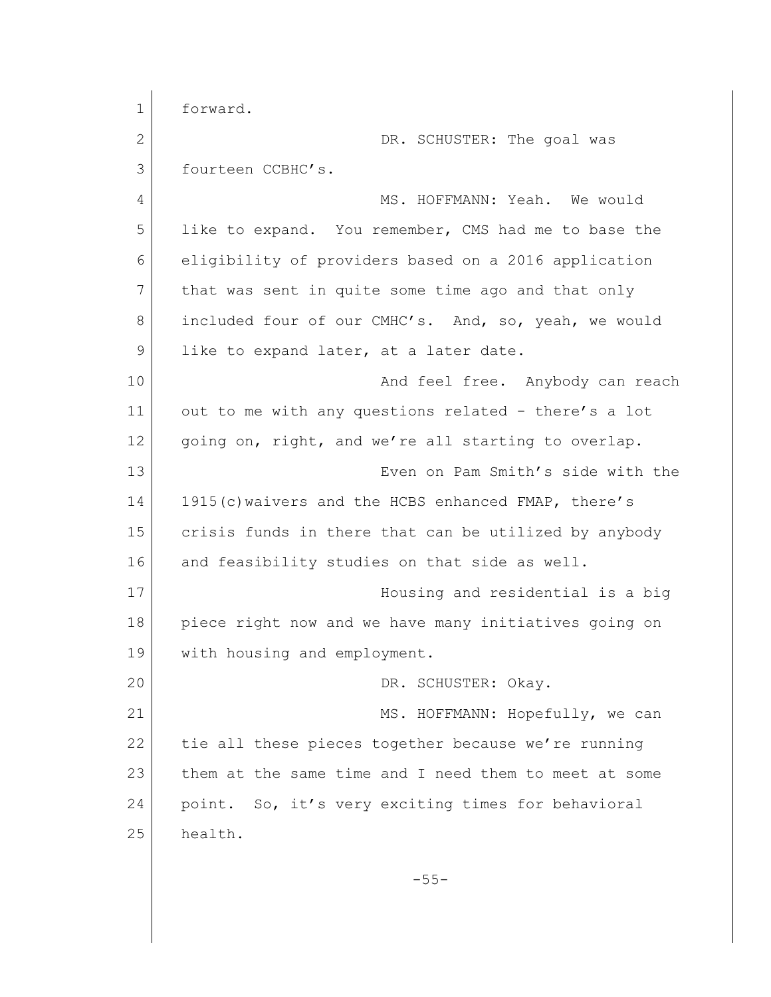1 forward. 2 DR. SCHUSTER: The goal was 3 fourteen CCBHC's. 4 MS. HOFFMANN: Yeah. We would 5 like to expand. You remember, CMS had me to base the 6 eligibility of providers based on a 2016 application 7 that was sent in quite some time ago and that only 8 included four of our CMHC's. And, so, yeah, we would 9 like to expand later, at a later date. 10 And feel free. Anybody can reach 11 out to me with any questions related - there's a lot 12 | going on, right, and we're all starting to overlap. 13 Even on Pam Smith's side with the 14 1915(c) waivers and the HCBS enhanced FMAP, there's 15 crisis funds in there that can be utilized by anybody 16 and feasibility studies on that side as well. 17 Housing and residential is a big 18 piece right now and we have many initiatives going on 19 with housing and employment. 20 DR. SCHUSTER: Okay. 21 MS. HOFFMANN: Hopefully, we can 22 tie all these pieces together because we're running 23 them at the same time and I need them to meet at some 24 point. So, it's very exciting times for behavioral 25 health. -55-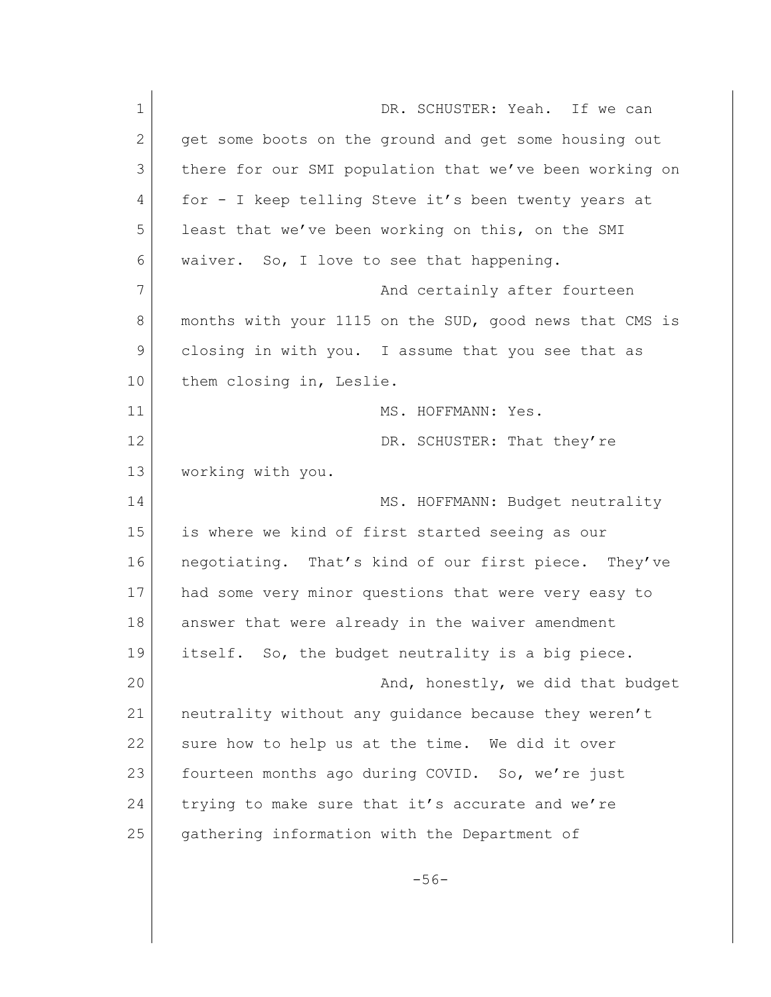| $\mathbf 1$ | DR. SCHUSTER: Yeah. If we can                           |
|-------------|---------------------------------------------------------|
| 2           | get some boots on the ground and get some housing out   |
| 3           | there for our SMI population that we've been working on |
| 4           | for - I keep telling Steve it's been twenty years at    |
| 5           | least that we've been working on this, on the SMI       |
| 6           | waiver. So, I love to see that happening.               |
| 7           | And certainly after fourteen                            |
| 8           | months with your 1115 on the SUD, good news that CMS is |
| 9           | closing in with you. I assume that you see that as      |
| 10          | them closing in, Leslie.                                |
| 11          | MS. HOFFMANN: Yes.                                      |
| 12          | DR. SCHUSTER: That they're                              |
| 13          | working with you.                                       |
| 14          | MS. HOFFMANN: Budget neutrality                         |
| 15          | is where we kind of first started seeing as our         |
| 16          | negotiating. That's kind of our first piece. They've    |
| 17          | had some very minor questions that were very easy to    |
| 18          | answer that were already in the waiver amendment        |
| 19          | itself. So, the budget neutrality is a big piece        |
| 20          | And, honestly, we did that budget                       |
| 21          | neutrality without any guidance because they weren't    |
| 22          | sure how to help us at the time. We did it over         |
| 23          | fourteen months ago during COVID. So, we're just        |
| 24          | trying to make sure that it's accurate and we're        |
| 25          | gathering information with the Department of            |
|             |                                                         |
|             | $-56-$                                                  |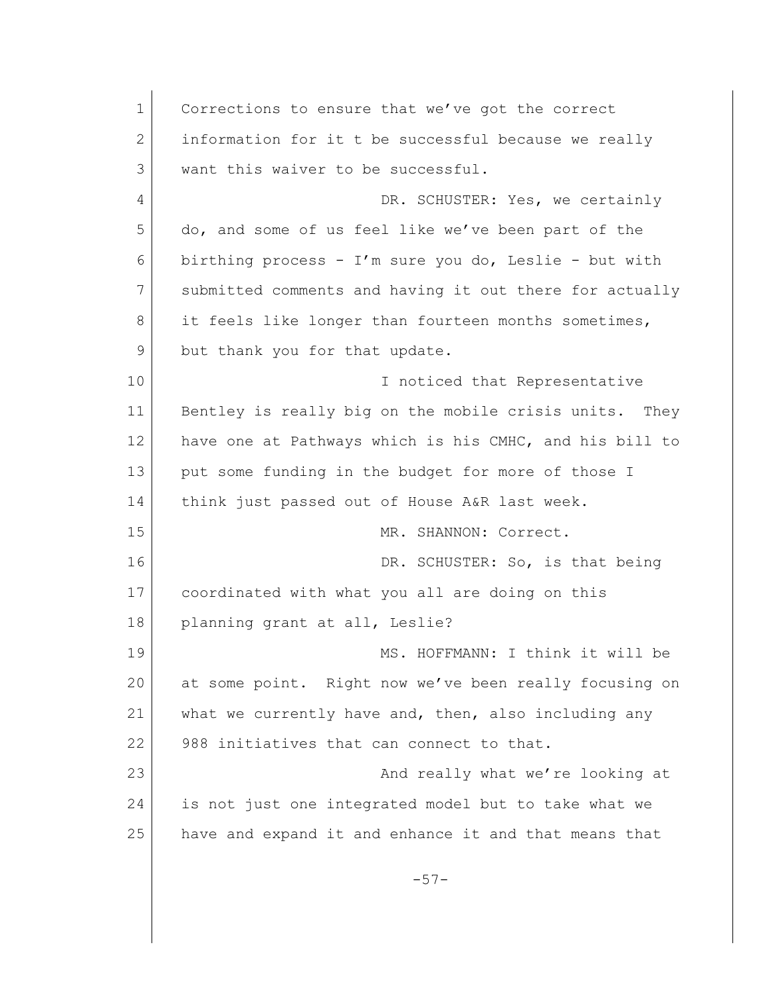1 Corrections to ensure that we've got the correct 2 information for it t be successful because we really 3 want this waiver to be successful. 4 DR. SCHUSTER: Yes, we certainly 5 do, and some of us feel like we've been part of the 6 birthing process - I'm sure you do, Leslie - but with 7 submitted comments and having it out there for actually 8 it feels like longer than fourteen months sometimes, 9 but thank you for that update. 10 I noticed that Representative 11 Bentley is really big on the mobile crisis units. They 12 have one at Pathways which is his CMHC, and his bill to 13 put some funding in the budget for more of those I 14 think just passed out of House A&R last week. 15 MR. SHANNON: Correct. 16 DR. SCHUSTER: So, is that being 17 coordinated with what you all are doing on this 18 planning grant at all, Leslie? 19 MS. HOFFMANN: I think it will be 20 at some point. Right now we've been really focusing on 21 what we currently have and, then, also including any 22 988 initiatives that can connect to that. 23 And really what we're looking at 24 is not just one integrated model but to take what we 25 have and expand it and enhance it and that means that  $-57-$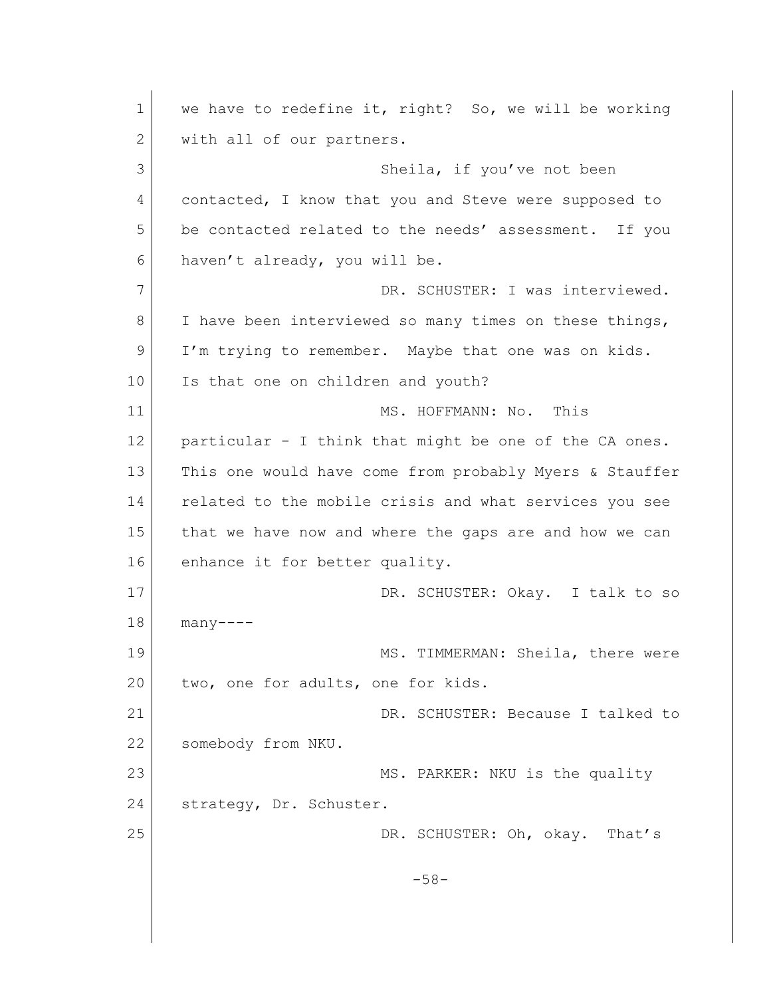1 we have to redefine it, right? So, we will be working 2 with all of our partners. 3 Sheila, if you've not been 4 contacted, I know that you and Steve were supposed to 5 be contacted related to the needs' assessment. If you 6 haven't already, you will be. 7 DR. SCHUSTER: I was interviewed. 8 I have been interviewed so many times on these things, 9 I'm trying to remember. Maybe that one was on kids. 10 Is that one on children and youth? 11 MS. HOFFMANN: No. This 12 particular - I think that might be one of the CA ones. 13 | This one would have come from probably Myers & Stauffer 14 related to the mobile crisis and what services you see 15 that we have now and where the gaps are and how we can 16 enhance it for better quality. 17 DR. SCHUSTER: Okay. I talk to so 18 many---- 19 MS. TIMMERMAN: Sheila, there were 20 two, one for adults, one for kids. 21 DR. SCHUSTER: Because I talked to 22 somebody from NKU. 23 MS. PARKER: NKU is the quality 24 strategy, Dr. Schuster. 25 DR. SCHUSTER: Oh, okay. That's -58-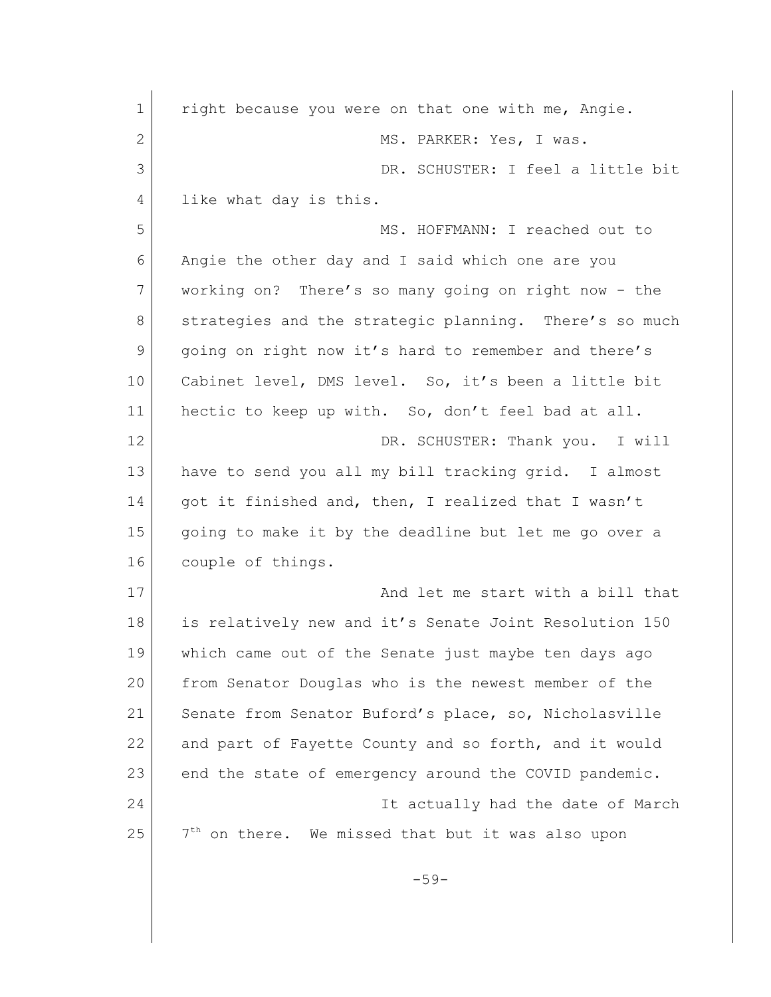1 right because you were on that one with me, Angie. 2 MS. PARKER: Yes, I was. 3 DR. SCHUSTER: I feel a little bit 4 like what day is this. 5 MS. HOFFMANN: I reached out to 6 Angie the other day and I said which one are you 7 working on? There's so many going on right now - the 8 strategies and the strategic planning. There's so much 9 going on right now it's hard to remember and there's 10 | Cabinet level, DMS level. So, it's been a little bit 11 hectic to keep up with. So, don't feel bad at all. 12 DR. SCHUSTER: Thank you. I will 13 have to send you all my bill tracking grid. I almost 14 | got it finished and, then, I realized that I wasn't 15 going to make it by the deadline but let me go over a 16 couple of things. 17 and let me start with a bill that 18 is relatively new and it's Senate Joint Resolution 150 19 which came out of the Senate just maybe ten days ago 20 from Senator Douglas who is the newest member of the 21 Senate from Senator Buford's place, so, Nicholasville 22 and part of Fayette County and so forth, and it would 23 end the state of emergency around the COVID pandemic. 24 It actually had the date of March 25  $7<sup>th</sup>$  on there. We missed that but it was also upon  $-59-$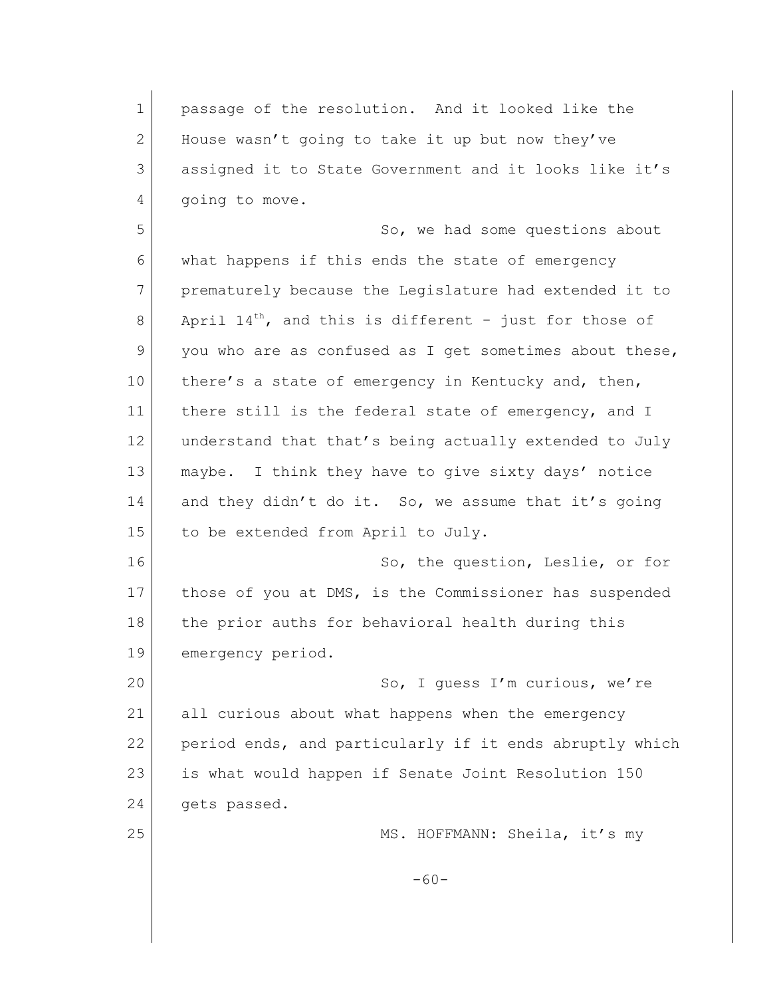1 passage of the resolution. And it looked like the 2 House wasn't going to take it up but now they've 3 assigned it to State Government and it looks like it's 4 qoing to move. 5 So, we had some questions about 6 what happens if this ends the state of emergency 7 prematurely because the Legislature had extended it to 8 April  $14^{th}$ , and this is different - just for those of 9 you who are as confused as I get sometimes about these, 10 there's a state of emergency in Kentucky and, then, 11 there still is the federal state of emergency, and I 12 understand that that's being actually extended to July 13 maybe. I think they have to give sixty days' notice 14 and they didn't do it. So, we assume that it's going 15 to be extended from April to July. 16 So, the question, Leslie, or for 17 those of you at DMS, is the Commissioner has suspended 18 the prior auths for behavioral health during this 19 emergency period. 20 So, I quess I'm curious, we're 21 all curious about what happens when the emergency 22 period ends, and particularly if it ends abruptly which 23 is what would happen if Senate Joint Resolution 150 24 gets passed. 25 MS. HOFFMANN: Sheila, it's my  $-60-$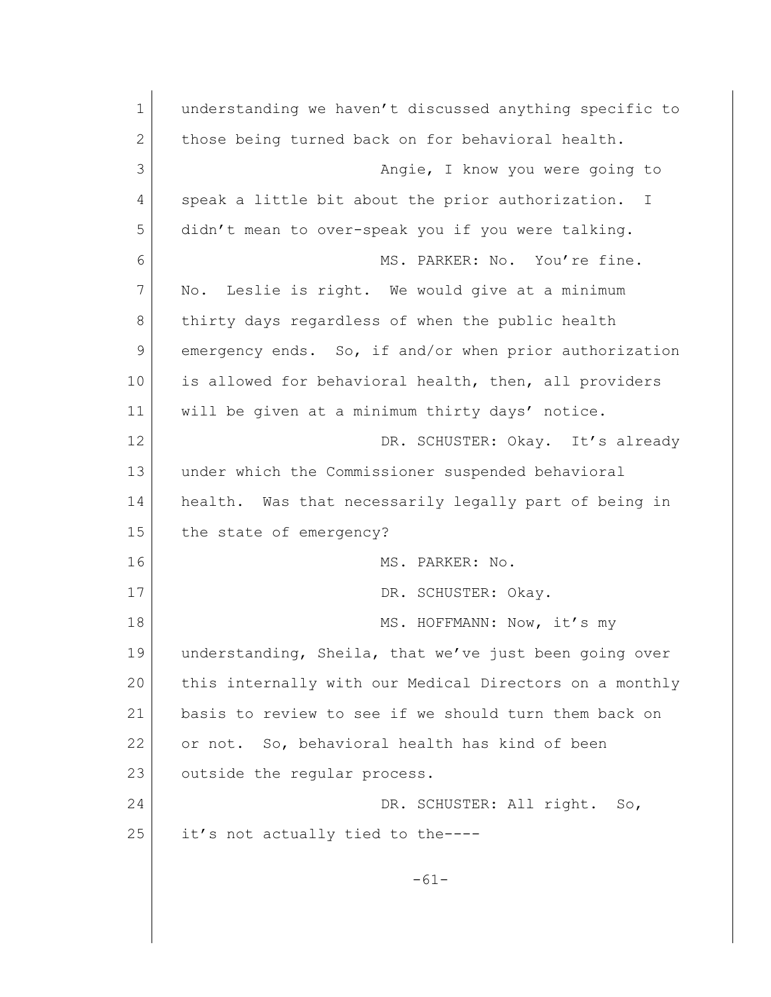1 understanding we haven't discussed anything specific to 2 those being turned back on for behavioral health. 3 Angie, I know you were going to 4 speak a little bit about the prior authorization. I 5 didn't mean to over-speak you if you were talking. 6 MS. PARKER: No. You're fine. 7 No. Leslie is right. We would give at a minimum 8 thirty days regardless of when the public health 9 emergency ends. So, if and/or when prior authorization 10 is allowed for behavioral health, then, all providers 11 will be given at a minimum thirty days' notice. 12 DR. SCHUSTER: Okay. It's already 13 under which the Commissioner suspended behavioral 14 health. Was that necessarily legally part of being in 15 the state of emergency? 16 MS. PARKER: No. 17 DR. SCHUSTER: Okav. 18 MS. HOFFMANN: Now, it's my 19 understanding, Sheila, that we've just been going over 20 this internally with our Medical Directors on a monthly 21 basis to review to see if we should turn them back on 22 or not. So, behavioral health has kind of been 23 outside the regular process. 24 DR. SCHUSTER: All right. So, 25 it's not actually tied to the-----61-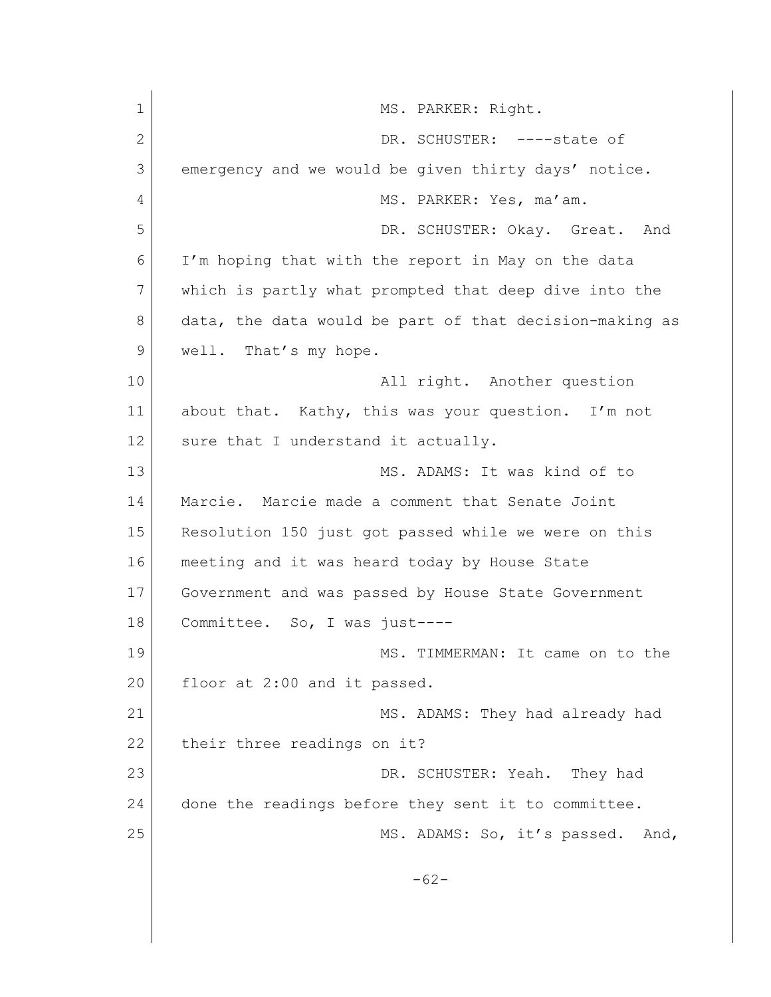| $\mathbf 1$  | MS. PARKER: Right.                                      |
|--------------|---------------------------------------------------------|
| $\mathbf{2}$ | DR. SCHUSTER: ----state of                              |
| 3            | emergency and we would be given thirty days' notice.    |
| 4            | MS. PARKER: Yes, ma'am.                                 |
| 5            | DR. SCHUSTER: Okay. Great. And                          |
| 6            | I'm hoping that with the report in May on the data      |
| 7            | which is partly what prompted that deep dive into the   |
| 8            | data, the data would be part of that decision-making as |
| 9            | well. That's my hope.                                   |
| 10           | All right. Another question                             |
| 11           | about that. Kathy, this was your question. I'm not      |
| 12           | sure that I understand it actually.                     |
| 13           | MS. ADAMS: It was kind of to                            |
| 14           | Marcie. Marcie made a comment that Senate Joint         |
| 15           | Resolution 150 just got passed while we were on this    |
| 16           | meeting and it was heard today by House State           |
| 17           | Government and was passed by House State Government     |
| 18           | Committee. So, I was just----                           |
| 19           | MS. TIMMERMAN: It came on to the                        |
| 20           | floor at 2:00 and it passed.                            |
| 21           | MS. ADAMS: They had already had                         |
| 22           | their three readings on it?                             |
| 23           | DR. SCHUSTER: Yeah.<br>They had                         |
| 24           | done the readings before they sent it to committee.     |
| 25           | MS. ADAMS: So, it's passed.<br>And,                     |
|              |                                                         |
|              | $-62-$                                                  |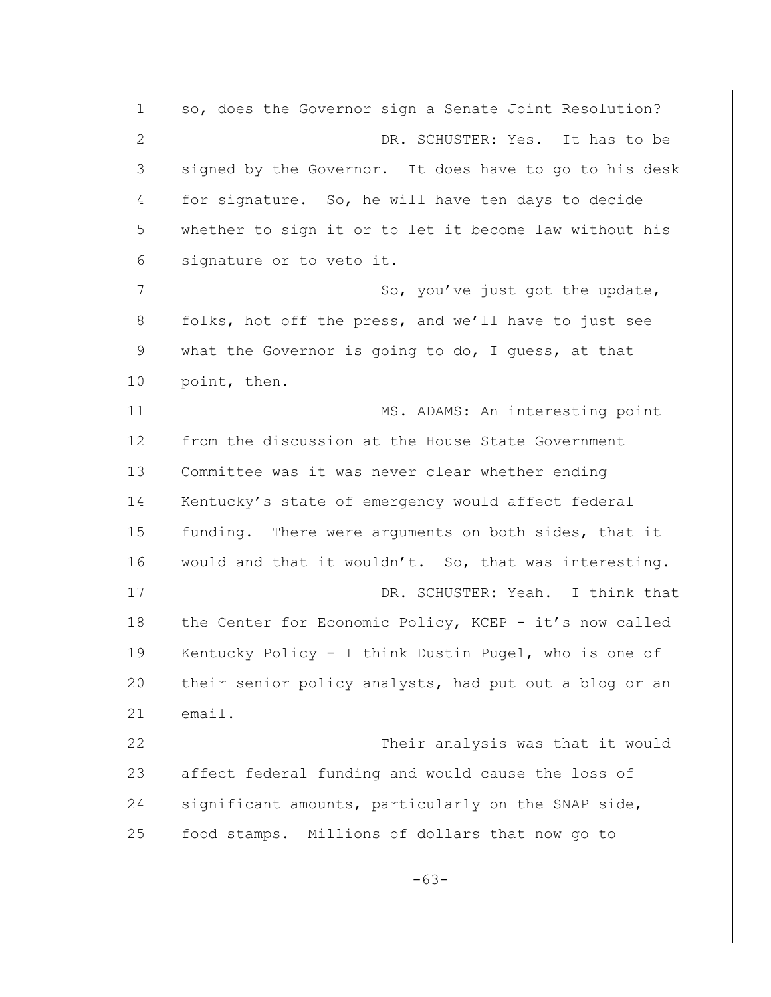1 so, does the Governor sign a Senate Joint Resolution? 2 DR. SCHUSTER: Yes. It has to be 3 signed by the Governor. It does have to go to his desk 4 for signature. So, he will have ten days to decide 5 whether to sign it or to let it become law without his 6 signature or to veto it. 7 So, you've just got the update, 8 folks, hot off the press, and we'll have to just see 9 what the Governor is going to do, I guess, at that 10 point, then. 11 MS. ADAMS: An interesting point 12 from the discussion at the House State Government 13 Committee was it was never clear whether ending 14 | Kentucky's state of emergency would affect federal 15 funding. There were arguments on both sides, that it 16 would and that it wouldn't. So, that was interesting. 17 DR. SCHUSTER: Yeah. I think that 18 the Center for Economic Policy, KCEP - it's now called 19 Kentucky Policy - I think Dustin Pugel, who is one of 20 their senior policy analysts, had put out a blog or an 21 email. 22 Their analysis was that it would 23 affect federal funding and would cause the loss of 24 significant amounts, particularly on the SNAP side, 25 food stamps. Millions of dollars that now go to -63-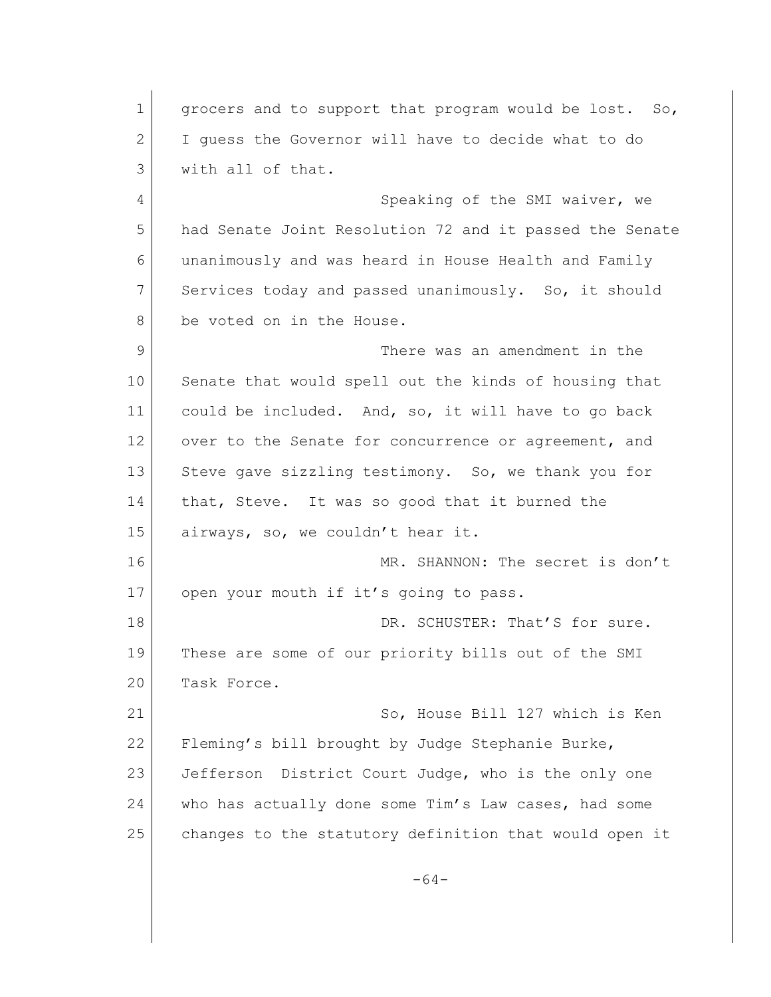1 grocers and to support that program would be lost. So, 2 I guess the Governor will have to decide what to do 3 with all of that. 4 Speaking of the SMI waiver, we 5 had Senate Joint Resolution 72 and it passed the Senate 6 unanimously and was heard in House Health and Family 7 Services today and passed unanimously. So, it should 8 be voted on in the House. 9 There was an amendment in the 10 Senate that would spell out the kinds of housing that 11 could be included. And, so, it will have to go back 12 over to the Senate for concurrence or agreement, and 13 Steve gave sizzling testimony. So, we thank you for 14 that, Steve. It was so good that it burned the 15 airways, so, we couldn't hear it. 16 | MR. SHANNON: The secret is don't 17 open your mouth if it's going to pass. 18 DR. SCHUSTER: That'S for sure. 19 | These are some of our priority bills out of the SMI 20 Task Force. 21 So, House Bill 127 which is Ken 22 Fleming's bill brought by Judge Stephanie Burke, 23 Jefferson District Court Judge, who is the only one 24 who has actually done some Tim's Law cases, had some 25 changes to the statutory definition that would open it -64-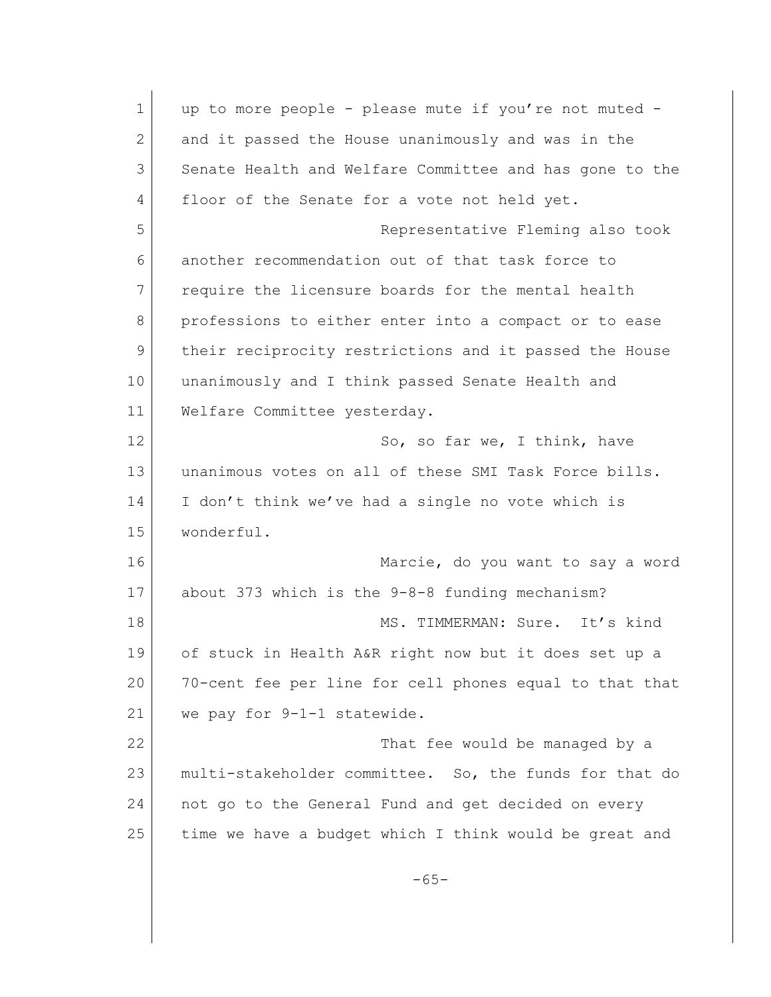1 up to more people - please mute if you're not muted -2 and it passed the House unanimously and was in the 3 Senate Health and Welfare Committee and has gone to the 4 floor of the Senate for a vote not held yet. 5 Representative Fleming also took 6 another recommendation out of that task force to 7 require the licensure boards for the mental health 8 professions to either enter into a compact or to ease 9 their reciprocity restrictions and it passed the House 10 unanimously and I think passed Senate Health and 11 Welfare Committee yesterday. 12 So, so far we, I think, have 13 unanimous votes on all of these SMI Task Force bills. 14 I don't think we've had a single no vote which is 15 wonderful. 16 Marcie, do you want to say a word 17 about 373 which is the 9-8-8 funding mechanism? 18 MS. TIMMERMAN: Sure. It's kind 19 of stuck in Health A&R right now but it does set up a 20 70-cent fee per line for cell phones equal to that that 21 we pay for 9-1-1 statewide. 22 That fee would be managed by a 23 multi-stakeholder committee. So, the funds for that do 24 not go to the General Fund and get decided on every 25 time we have a budget which I think would be great and -65-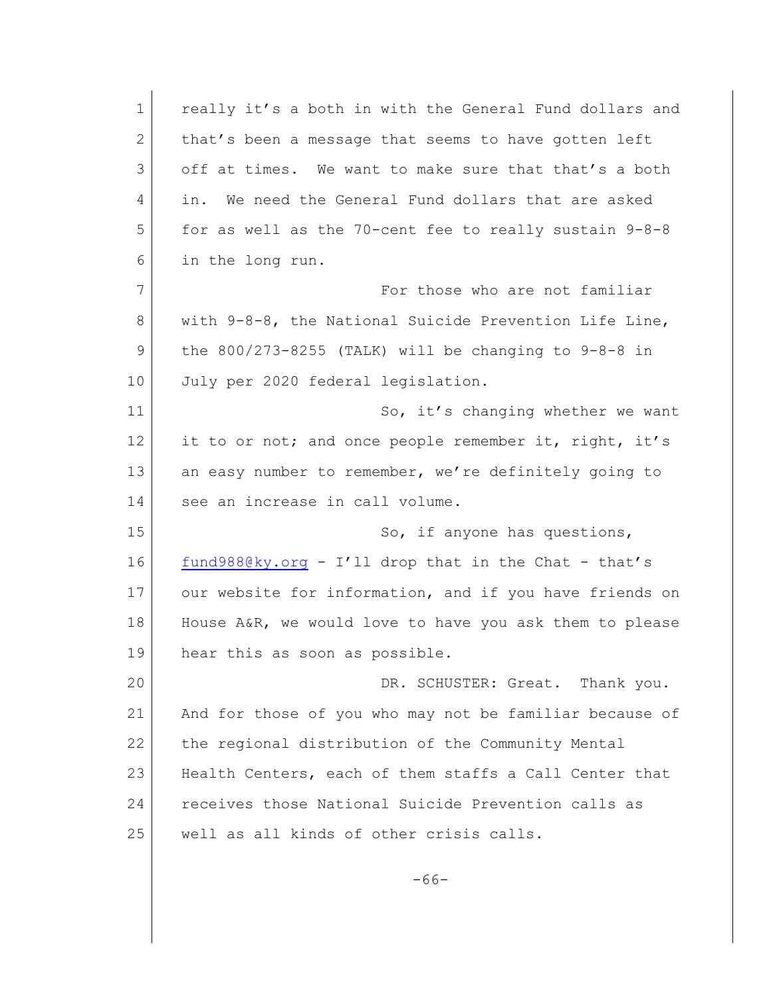| $\mathbf 1$ | really it's a both in with the General Fund dollars and  |
|-------------|----------------------------------------------------------|
| 2           | that's been a message that seems to have gotten left     |
| 3           | off at times. We want to make sure that that's a both    |
| 4           | We need the General Fund dollars that are asked<br>in.   |
| 5           | for as well as the 70-cent fee to really sustain $9-8-8$ |
| 6           | in the long run.                                         |
| 7           | For those who are not familiar                           |
| 8           | with 9-8-8, the National Suicide Prevention Life Line,   |
| 9           | the $800/273-8255$ (TALK) will be changing to $9-8-8$ in |
| 10          | July per 2020 federal legislation.                       |
| 11          | So, it's changing whether we want                        |
| 12          | it to or not; and once people remember it, right, it's   |
| 13          | an easy number to remember, we're definitely going to    |
| 14          | see an increase in call volume.                          |
| 15          | So, if anyone has questions,                             |
| 16          | $fund988@ky.org - I'll drop that in the Chat - that's$   |
| 17          | our website for information, and if you have friends on  |
| 18          | House A&R, we would love to have you ask them to please  |
| 19          | hear this as soon as possible.                           |
| 20          | DR. SCHUSTER: Great. Thank you.                          |
| 21          | And for those of you who may not be familiar because of  |
| 22          | the regional distribution of the Community Mental        |
| 23          | Health Centers, each of them staffs a Call Center that   |
| 24          | receives those National Suicide Prevention calls as      |
| 25          | well as all kinds of other crisis calls.                 |
|             |                                                          |

-66-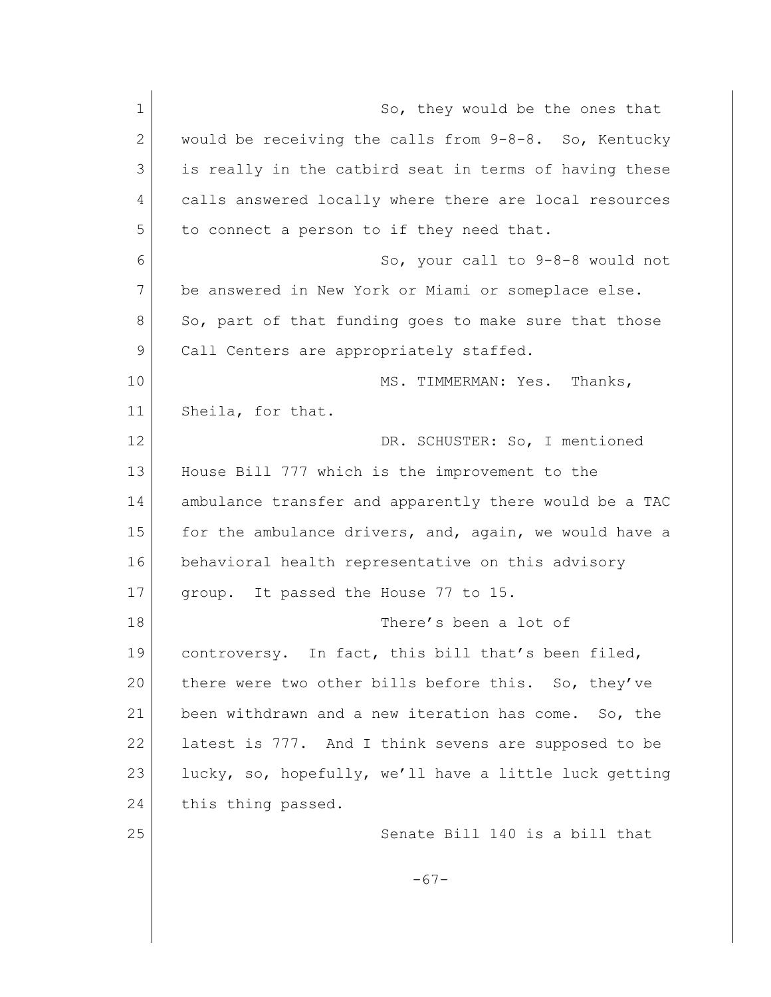| $\mathbf 1$ | So, they would be the ones that                        |
|-------------|--------------------------------------------------------|
| 2           | would be receiving the calls from 9-8-8. So, Kentucky  |
| 3           | is really in the catbird seat in terms of having these |
| 4           | calls answered locally where there are local resources |
| 5           | to connect a person to if they need that.              |
| 6           | So, your call to 9-8-8 would not                       |
| 7           | be answered in New York or Miami or someplace else.    |
| 8           | So, part of that funding goes to make sure that those  |
| 9           | Call Centers are appropriately staffed.                |
| 10          | MS. TIMMERMAN: Yes. Thanks,                            |
| 11          | Sheila, for that.                                      |
| 12          | DR. SCHUSTER: So, I mentioned                          |
| 13          | House Bill 777 which is the improvement to the         |
| 14          | ambulance transfer and apparently there would be a TAC |
| 15          | for the ambulance drivers, and, again, we would have a |
| 16          | behavioral health representative on this advisory      |
| 17          | group. It passed the House 77 to 15.                   |
| 18          | There's been a lot of                                  |
| 19          | controversy. In fact, this bill that's been filed,     |
| 20          | there were two other bills before this. So, they've    |
| 21          | been withdrawn and a new iteration has come. So, the   |
| 22          | latest is 777. And I think sevens are supposed to be   |
| 23          | lucky, so, hopefully, we'll have a little luck getting |
| 24          | this thing passed.                                     |
| 25          | Senate Bill 140 is a bill that                         |
|             |                                                        |
|             |                                                        |
|             | $-67-$                                                 |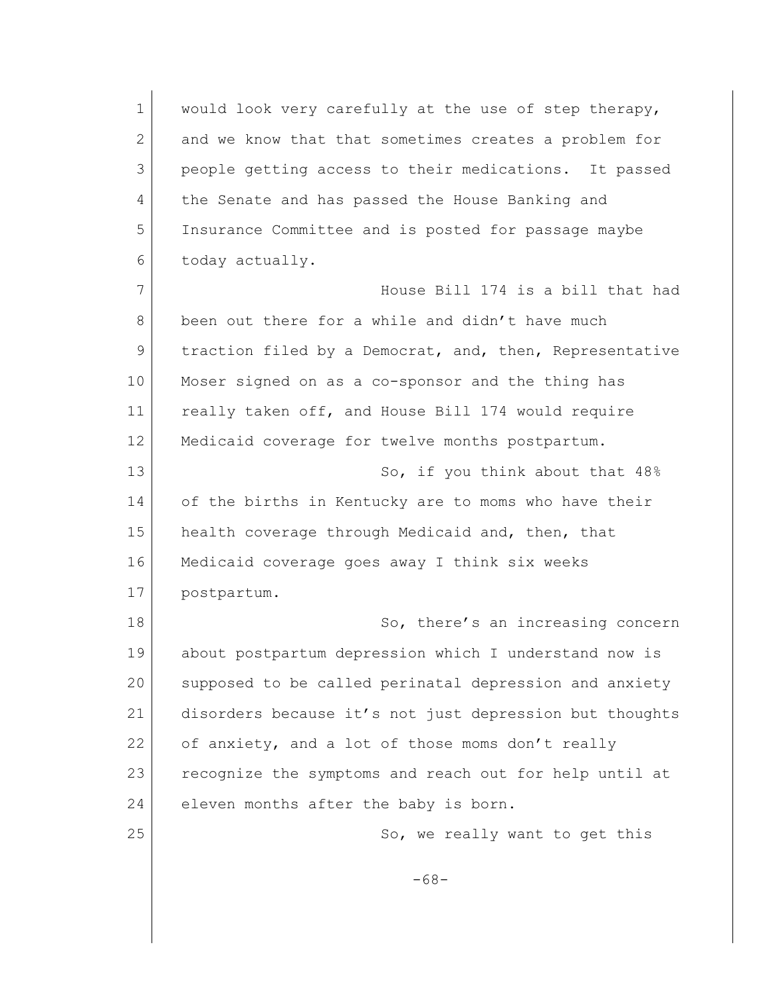1 would look very carefully at the use of step therapy, 2 and we know that that sometimes creates a problem for 3 people getting access to their medications. It passed 4 the Senate and has passed the House Banking and 5 Insurance Committee and is posted for passage maybe 6 today actually. 7 House Bill 174 is a bill that had 8 been out there for a while and didn't have much 9 traction filed by a Democrat, and, then, Representative 10 Moser signed on as a co-sponsor and the thing has 11 really taken off, and House Bill 174 would require 12 | Medicaid coverage for twelve months postpartum. 13 So, if you think about that  $48\%$ 14 of the births in Kentucky are to moms who have their 15 health coverage through Medicaid and, then, that 16 Medicaid coverage goes away I think six weeks 17 postpartum. 18 So, there's an increasing concern 19 about postpartum depression which I understand now is 20 supposed to be called perinatal depression and anxiety 21 disorders because it's not just depression but thoughts 22 of anxiety, and a lot of those moms don't really 23 recognize the symptoms and reach out for help until at 24 eleven months after the baby is born. 25 So, we really want to get this -68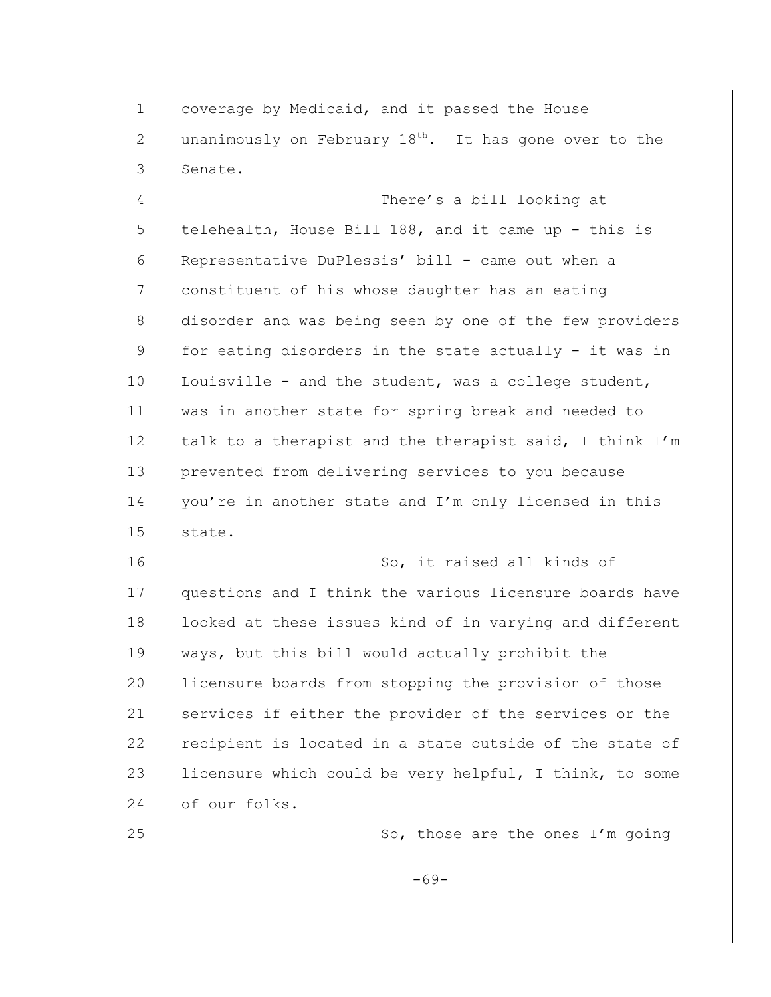1 coverage by Medicaid, and it passed the House 2 unanimously on February  $18<sup>th</sup>$ . It has gone over to the 3 Senate.

4 There's a bill looking at 5 telehealth, House Bill 188, and it came up - this is 6 Representative DuPlessis' bill - came out when a 7 constituent of his whose daughter has an eating 8 disorder and was being seen by one of the few providers 9 for eating disorders in the state actually - it was in 10 Louisville - and the student, was a college student, 11 was in another state for spring break and needed to 12 talk to a therapist and the therapist said, I think I'm 13 prevented from delivering services to you because 14 you're in another state and I'm only licensed in this 15 state.

16 So, it raised all kinds of 17 questions and I think the various licensure boards have 18 | looked at these issues kind of in varying and different 19 ways, but this bill would actually prohibit the 20 licensure boards from stopping the provision of those 21 Services if either the provider of the services or the 22 recipient is located in a state outside of the state of 23 licensure which could be very helpful, I think, to some 24 of our folks.

25 So, those are the ones I'm going

-69-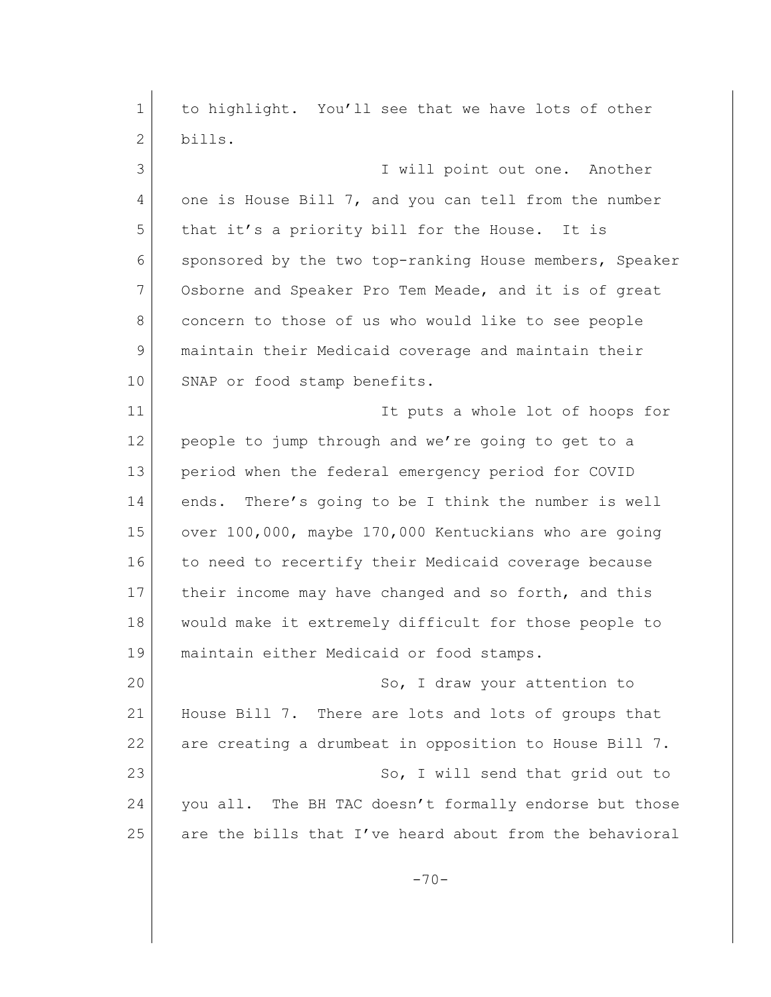1 to highlight. You'll see that we have lots of other 2 bills. 3 I will point out one. Another 4 one is House Bill 7, and you can tell from the number 5 that it's a priority bill for the House. It is 6 sponsored by the two top-ranking House members, Speaker 7 Osborne and Speaker Pro Tem Meade, and it is of great 8 concern to those of us who would like to see people 9 maintain their Medicaid coverage and maintain their 10 SNAP or food stamp benefits. 11 It puts a whole lot of hoops for 12 people to jump through and we're going to get to a 13 period when the federal emergency period for COVID 14 ends. There's going to be I think the number is well 15 over 100,000, maybe 170,000 Kentuckians who are going 16 to need to recertify their Medicaid coverage because 17 their income may have changed and so forth, and this 18 would make it extremely difficult for those people to 19 maintain either Medicaid or food stamps. 20 So, I draw your attention to 21 House Bill 7. There are lots and lots of groups that 22 are creating a drumbeat in opposition to House Bill 7. 23 So, I will send that grid out to 24 you all. The BH TAC doesn't formally endorse but those 25 are the bills that I've heard about from the behavioral  $-70-$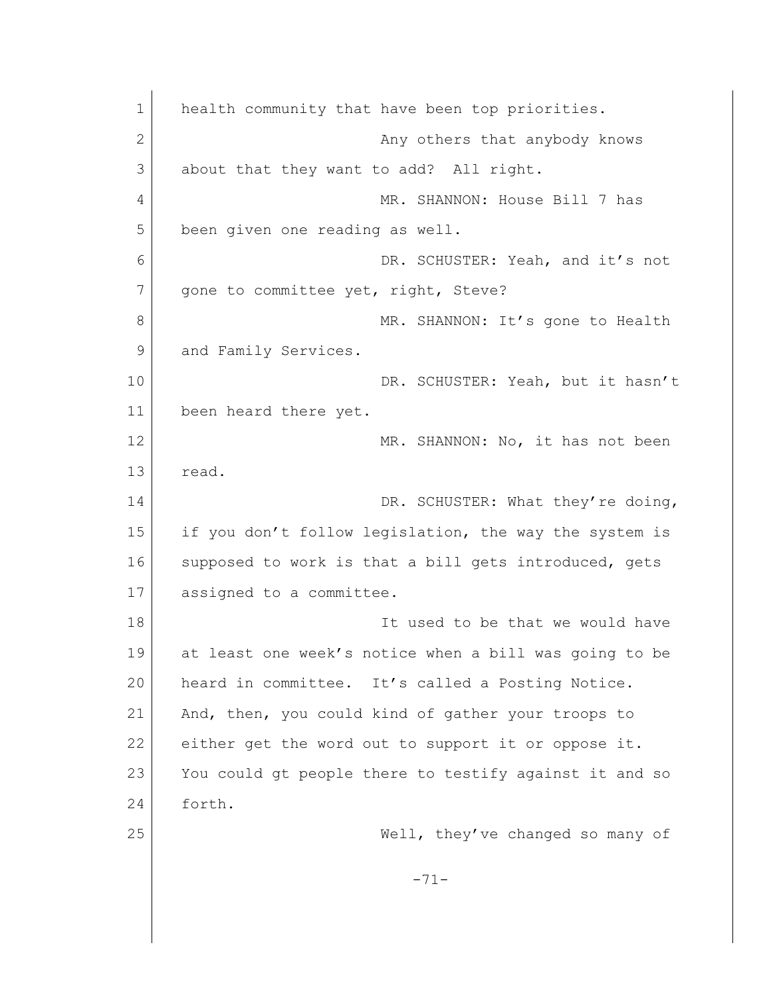| $\mathbf 1$ | health community that have been top priorities.        |
|-------------|--------------------------------------------------------|
| 2           | Any others that anybody knows                          |
| 3           | about that they want to add? All right.                |
| 4           | MR. SHANNON: House Bill 7 has                          |
| 5           | been given one reading as well.                        |
| 6           | DR. SCHUSTER: Yeah, and it's not                       |
| 7           | gone to committee yet, right, Steve?                   |
| 8           | MR. SHANNON: It's gone to Health                       |
| 9           | and Family Services.                                   |
| 10          | DR. SCHUSTER: Yeah, but it hasn't                      |
| 11          | been heard there yet.                                  |
| 12          | MR. SHANNON: No, it has not been                       |
| 13          | read.                                                  |
| 14          | DR. SCHUSTER: What they're doing,                      |
| 15          | if you don't follow legislation, the way the system is |
| 16          | supposed to work is that a bill gets introduced, gets  |
| 17          | assigned to a committee.                               |
| 18          | It used to be that we would have                       |
| 19          | at least one week's notice when a bill was going to be |
| 20          | heard in committee. It's called a Posting Notice.      |
| 21          | And, then, you could kind of gather your troops to     |
| 22          | either get the word out to support it or oppose it.    |
| 23          | You could gt people there to testify against it and so |
| 24          | forth.                                                 |
| 25          | Well, they've changed so many of                       |
|             | $-71-$                                                 |
|             |                                                        |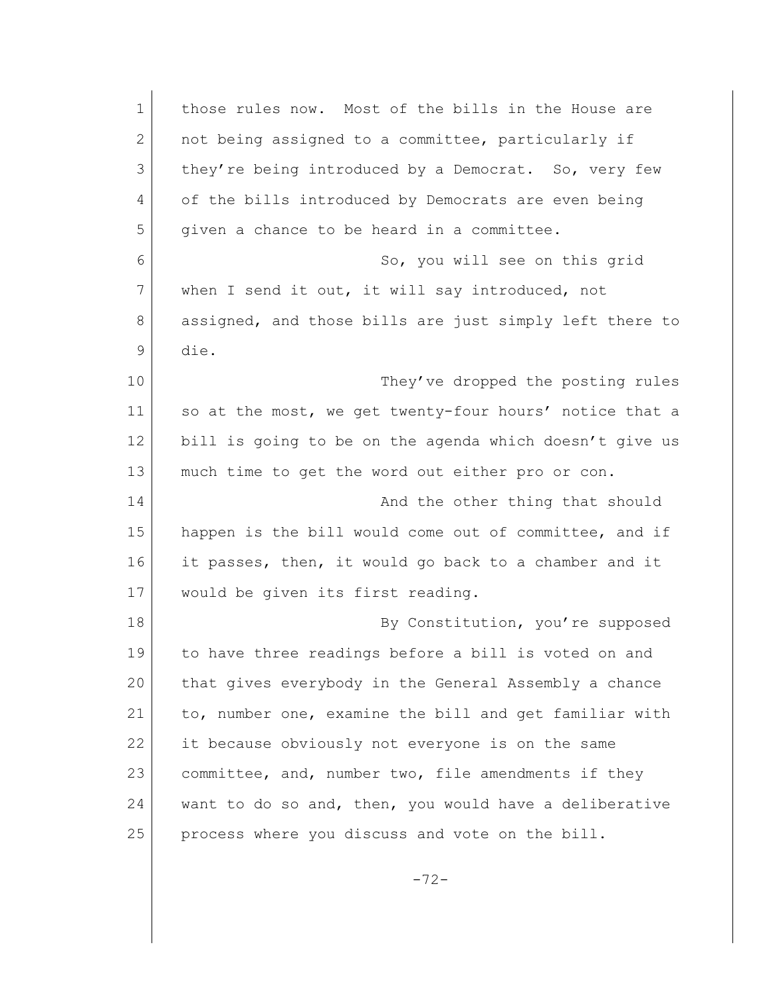| $\mathbf{1}$ | those rules now. Most of the bills in the House are     |
|--------------|---------------------------------------------------------|
| 2            | not being assigned to a committee, particularly if      |
| 3            | they're being introduced by a Democrat. So, very few    |
| 4            | of the bills introduced by Democrats are even being     |
| 5            | given a chance to be heard in a committee.              |
| 6            | So, you will see on this grid                           |
| 7            | when I send it out, it will say introduced, not         |
| 8            | assigned, and those bills are just simply left there to |
| 9            | die.                                                    |
| 10           | They've dropped the posting rules                       |
| 11           | so at the most, we get twenty-four hours' notice that a |
| 12           | bill is going to be on the agenda which doesn't give us |
| 13           | much time to get the word out either pro or con.        |
| 14           | And the other thing that should                         |
| 15           | happen is the bill would come out of committee, and if  |
| 16           | it passes, then, it would go back to a chamber and it   |
| 17           | would be given its first reading.                       |
| 18           | By Constitution, you're supposed                        |
| 19           | to have three readings before a bill is voted on and    |
| 20           | that gives everybody in the General Assembly a chance   |
| 21           | to, number one, examine the bill and get familiar with  |
| 22           | it because obviously not everyone is on the same        |
| 23           | committee, and, number two, file amendments if they     |
| 24           | want to do so and, then, you would have a deliberative  |
| 25           | process where you discuss and vote on the bill.         |
|              |                                                         |

-72-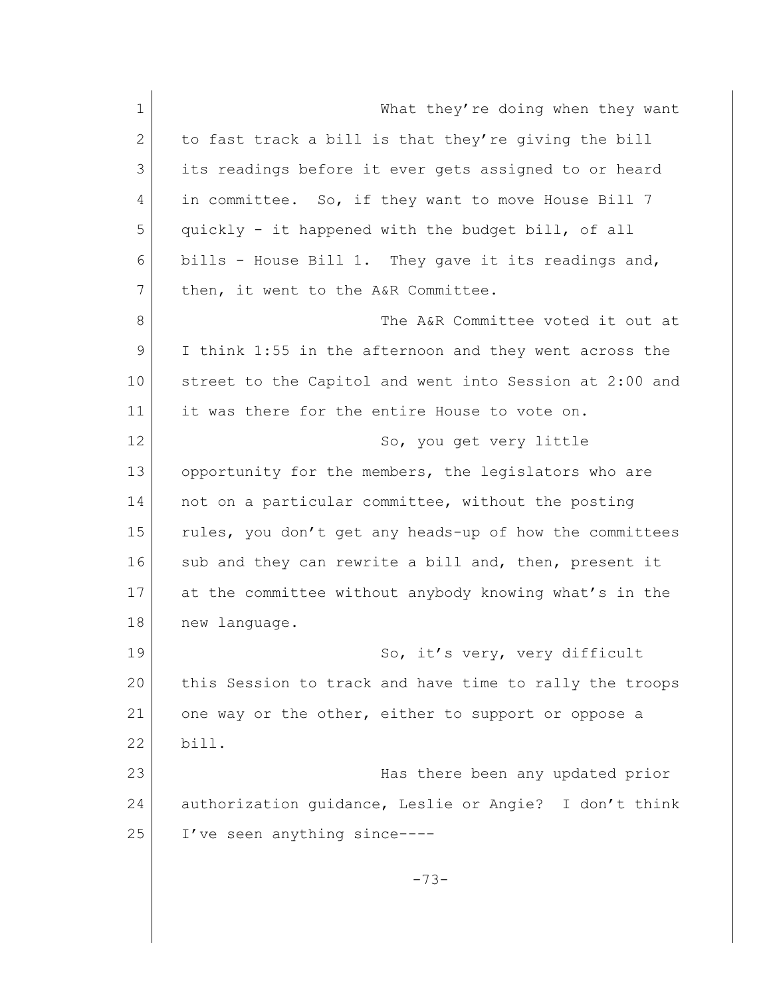1 What they're doing when they want 2 to fast track a bill is that they're giving the bill 3 its readings before it ever gets assigned to or heard 4 in committee. So, if they want to move House Bill 7 5 quickly - it happened with the budget bill, of all 6 bills - House Bill 1. They gave it its readings and, 7 then, it went to the A&R Committee. 8 The A&R Committee voted it out at 9 I think 1:55 in the afternoon and they went across the 10 street to the Capitol and went into Session at 2:00 and 11 it was there for the entire House to vote on. 12 So, you get very little 13 opportunity for the members, the legislators who are 14 not on a particular committee, without the posting 15 | rules, you don't get any heads-up of how the committees 16 sub and they can rewrite a bill and, then, present it 17 at the committee without anybody knowing what's in the 18 new language. 19 | So, it's very, very difficult 20 this Session to track and have time to rally the troops 21 one way or the other, either to support or oppose a 22 bill. 23 Has there been any updated prior 24 authorization quidance, Leslie or Angie? I don't think 25 I've seen anything since-----73-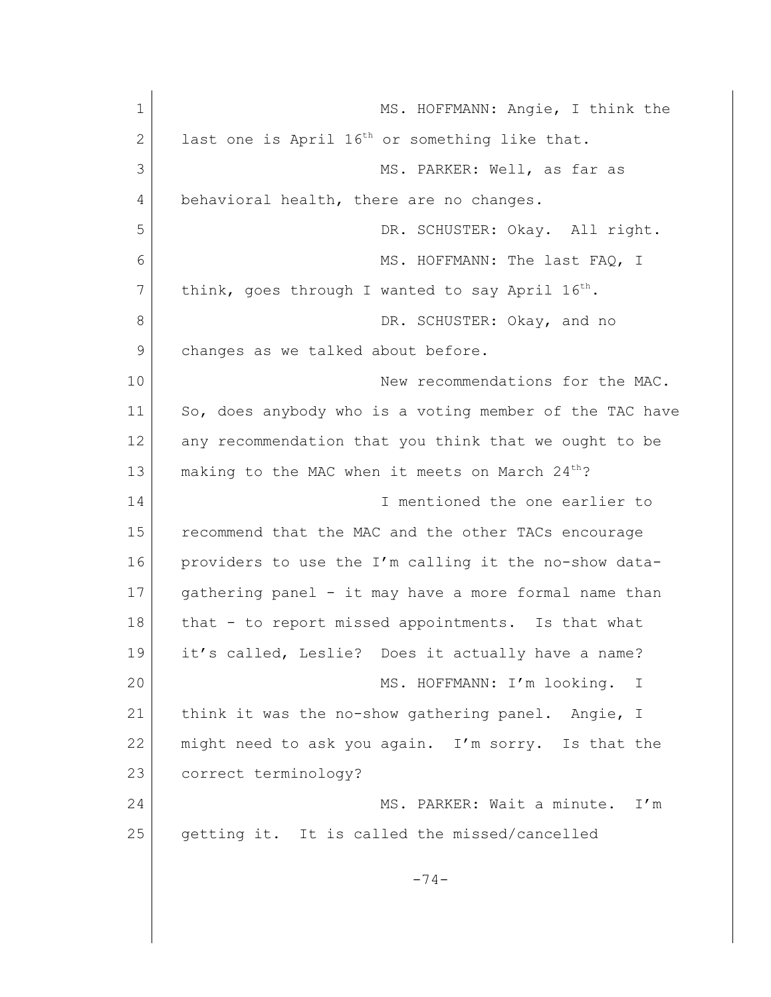| $\mathbf 1$  | MS. HOFFMANN: Angie, I think the                            |
|--------------|-------------------------------------------------------------|
| $\mathbf{2}$ | last one is April 16 <sup>th</sup> or something like that.  |
| 3            | MS. PARKER: Well, as far as                                 |
| 4            | behavioral health, there are no changes.                    |
| 5            | DR. SCHUSTER: Okay. All right.                              |
| 6            | MS. HOFFMANN: The last FAQ, I                               |
| 7            | think, goes through I wanted to say April $16^{th}$ .       |
| 8            | DR. SCHUSTER: Okay, and no                                  |
| 9            | changes as we talked about before.                          |
| 10           | New recommendations for the MAC.                            |
| 11           | So, does anybody who is a voting member of the TAC have     |
| 12           | any recommendation that you think that we ought to be       |
| 13           | making to the MAC when it meets on March 24 <sup>th</sup> ? |
| 14           | I mentioned the one earlier to                              |
| 15           | recommend that the MAC and the other TACs encourage         |
| 16           | providers to use the I'm calling it the no-show data-       |
| 17           | gathering panel - it may have a more formal name than       |
| 18           | that - to report missed appointments. Is that what          |
| 19           | it's called, Leslie? Does it actually have a name?          |
| 20           | MS. HOFFMANN: I'm looking.<br>$\mathbb I$                   |
| 21           | think it was the no-show gathering panel. Angie, I          |
| 22           | might need to ask you again. I'm sorry. Is that the         |
| 23           | correct terminology?                                        |
| 24           | MS. PARKER: Wait a minute.<br>I'm                           |
| 25           | getting it. It is called the missed/cancelled               |
|              |                                                             |
|              | $-74-$                                                      |
|              |                                                             |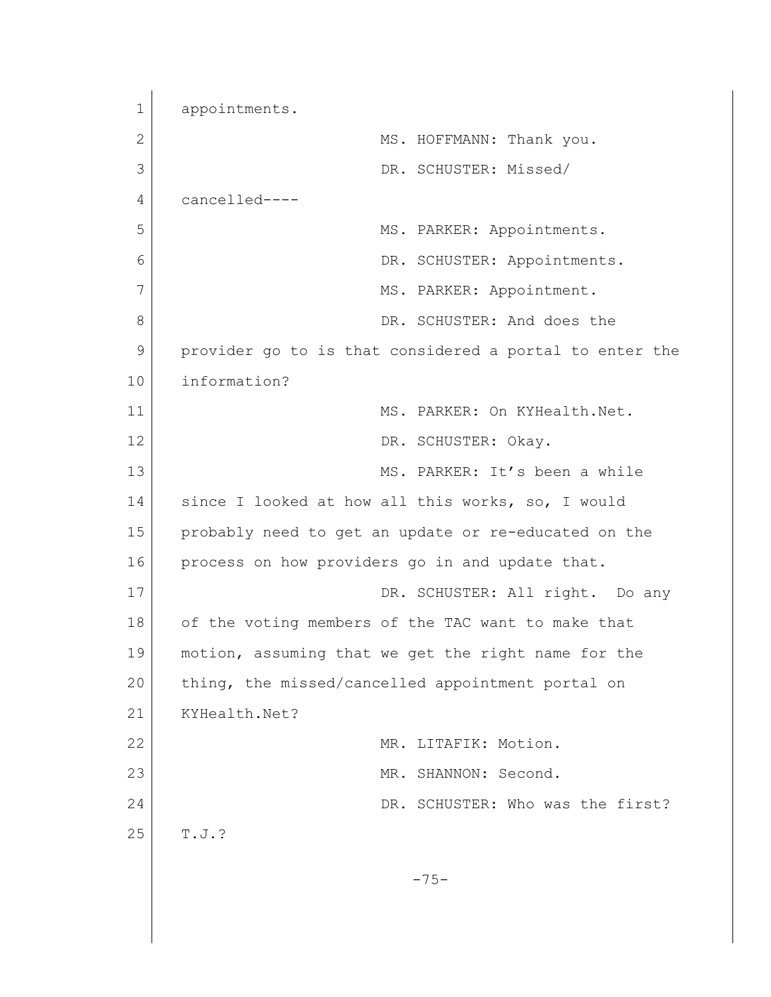1 appointments. 2 MS. HOFFMANN: Thank you. 3 DR. SCHUSTER: Missed/ 4 cancelled---- 5 MS. PARKER: Appointments. 6 DR. SCHUSTER: Appointments. 7 MS. PARKER: Appointment. 8 DR. SCHUSTER: And does the 9 provider go to is that considered a portal to enter the 10 information? 11 MS. PARKER: On KYHealth.Net. 12 DR. SCHUSTER: Okay. 13 MS. PARKER: It's been a while 14 since I looked at how all this works, so, I would 15 probably need to get an update or re-educated on the 16 process on how providers go in and update that. 17 DR. SCHUSTER: All right. Do any 18 of the voting members of the TAC want to make that 19 motion, assuming that we get the right name for the 20 thing, the missed/cancelled appointment portal on 21 KYHealth.Net? 22 MR. LITAFIK: Motion. 23 MR. SHANNON: Second. 24 DR. SCHUSTER: Who was the first?  $25$  T.J.? -75-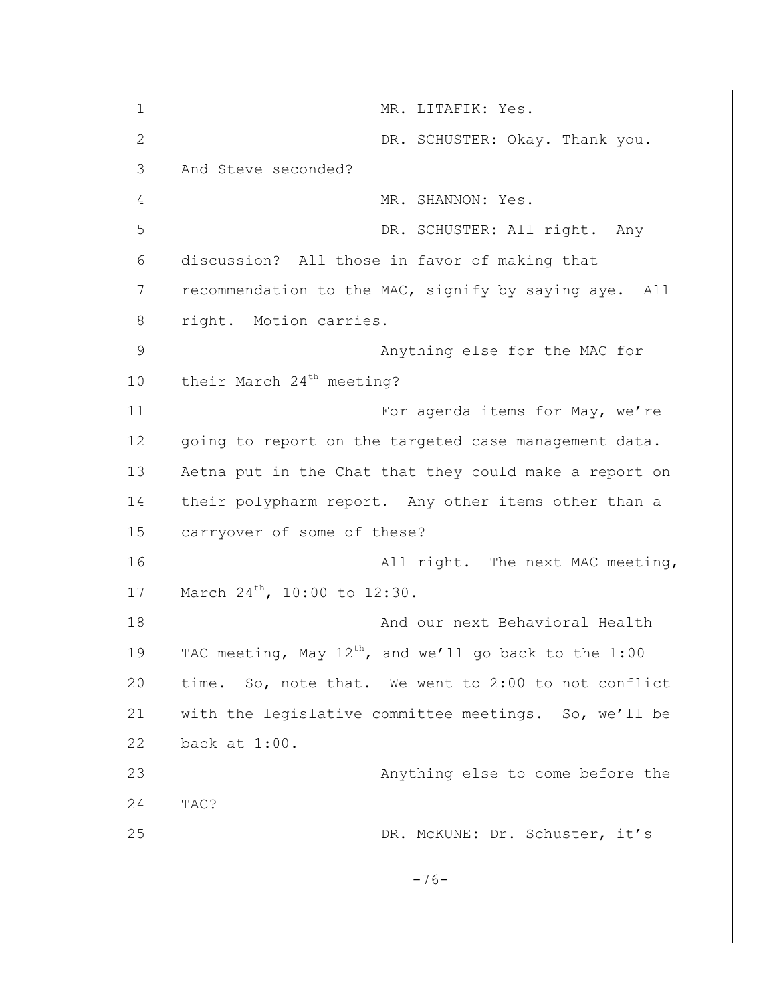| $\mathbf 1$ | MR. LITAFIK: Yes.                                          |
|-------------|------------------------------------------------------------|
| 2           | DR. SCHUSTER: Okay. Thank you.                             |
| 3           | And Steve seconded?                                        |
| 4           | MR. SHANNON: Yes.                                          |
| 5           | DR. SCHUSTER: All right. Any                               |
| 6           | discussion? All those in favor of making that              |
| 7           | recommendation to the MAC, signify by saying aye. All      |
| 8           | right. Motion carries.                                     |
| 9           | Anything else for the MAC for                              |
| 10          | their March 24 <sup>th</sup> meeting?                      |
| 11          | For agenda items for May, we're                            |
| 12          | going to report on the targeted case management data.      |
| 13          | Aetna put in the Chat that they could make a report on     |
| 14          | their polypharm report. Any other items other than a       |
| 15          | carryover of some of these?                                |
| 16          | All right. The next MAC meeting,                           |
| 17          | March 24 <sup>th</sup> , 10:00 to 12:30.                   |
| 18          | And our next Behavioral Health                             |
| 19          | TAC meeting, May $12^{th}$ , and we'll go back to the 1:00 |
| 20          | So, note that. We went to 2:00 to not conflict<br>time.    |
| 21          | with the legislative committee meetings. So, we'll be      |
| 22          | back at 1:00.                                              |
| 23          | Anything else to come before the                           |
| 24          | TAC?                                                       |
| 25          | DR. McKUNE: Dr. Schuster, it's                             |
|             | $-76-$                                                     |
|             |                                                            |
|             |                                                            |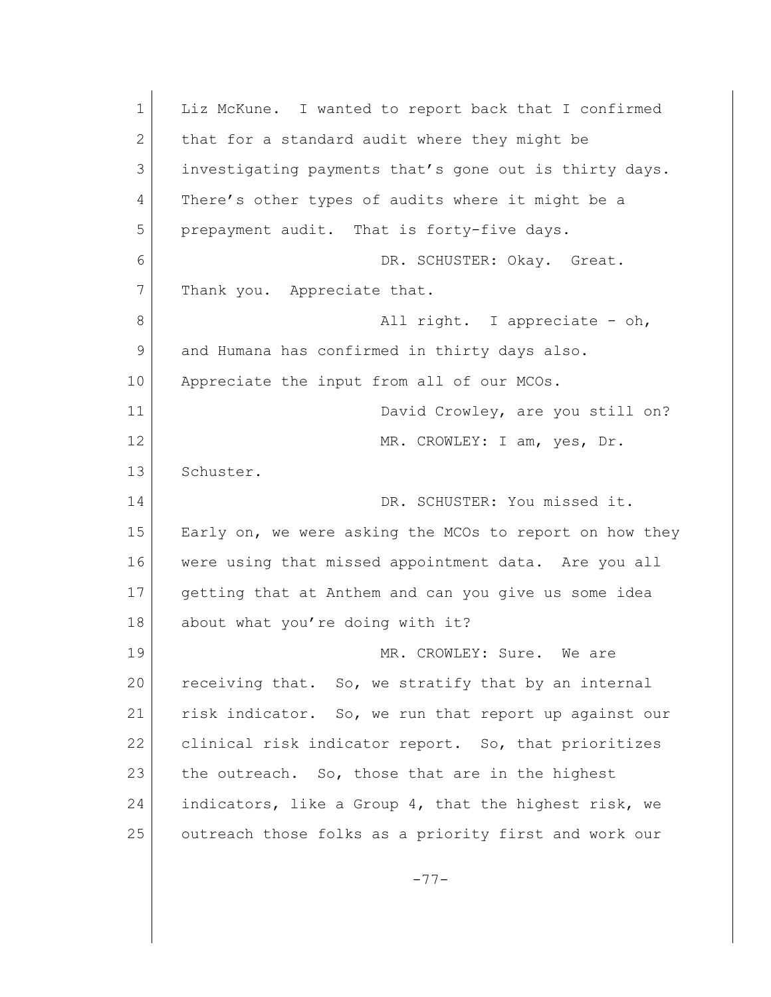1 Liz McKune. I wanted to report back that I confirmed 2 that for a standard audit where they might be 3 investigating payments that's gone out is thirty days. 4 There's other types of audits where it might be a 5 prepayment audit. That is forty-five days. 6 DR. SCHUSTER: Okay. Great. 7 Thank you. Appreciate that. 8 all right. I appreciate - oh, 9 and Humana has confirmed in thirty days also. 10 Appreciate the input from all of our MCOs. 11 David Crowley, are you still on? 12 MR. CROWLEY: I am, yes, Dr. 13 Schuster. 14 DR. SCHUSTER: You missed it. 15 Early on, we were asking the MCOs to report on how they 16 were using that missed appointment data. Are you all 17 getting that at Anthem and can you give us some idea 18 about what you're doing with it? 19 MR. CROWLEY: Sure. We are 20 receiving that. So, we stratify that by an internal 21 risk indicator. So, we run that report up against our 22 clinical risk indicator report. So, that prioritizes 23 the outreach. So, those that are in the highest 24 indicators, like a Group 4, that the highest risk, we 25 outreach those folks as a priority first and work our -77-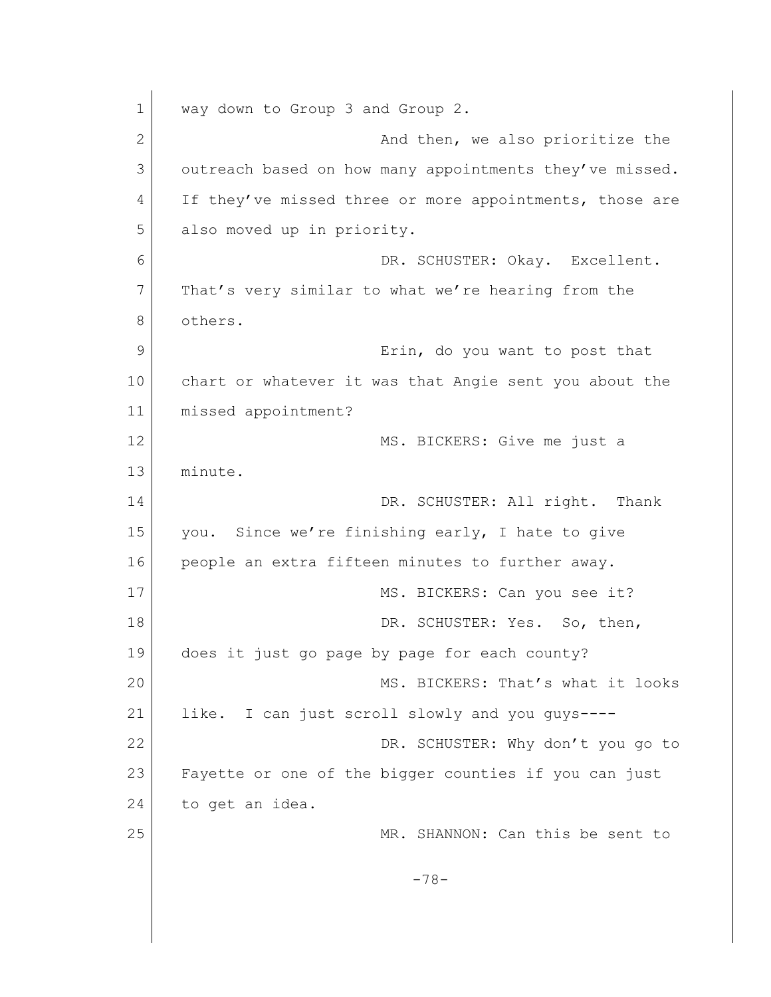1 way down to Group 3 and Group 2. 2 And then, we also prioritize the 3 outreach based on how many appointments they've missed. 4 If they've missed three or more appointments, those are 5 also moved up in priority. 6 DR. SCHUSTER: Okay. Excellent. 7 That's very similar to what we're hearing from the 8 others. 9 **Example 1** Erin, do you want to post that 10 chart or whatever it was that Angie sent you about the 11 missed appointment? 12 MS. BICKERS: Give me just a 13 minute. 14 DR. SCHUSTER: All right. Thank 15 you. Since we're finishing early, I hate to give 16 people an extra fifteen minutes to further away. 17 MS. BICKERS: Can you see it? 18 DR. SCHUSTER: Yes. So, then, 19 does it just go page by page for each county? 20 MS. BICKERS: That's what it looks 21 like. I can just scroll slowly and you guys----22 DR. SCHUSTER: Why don't you go to 23 Fayette or one of the bigger counties if you can just 24 to get an idea. 25 MR. SHANNON: Can this be sent to -78-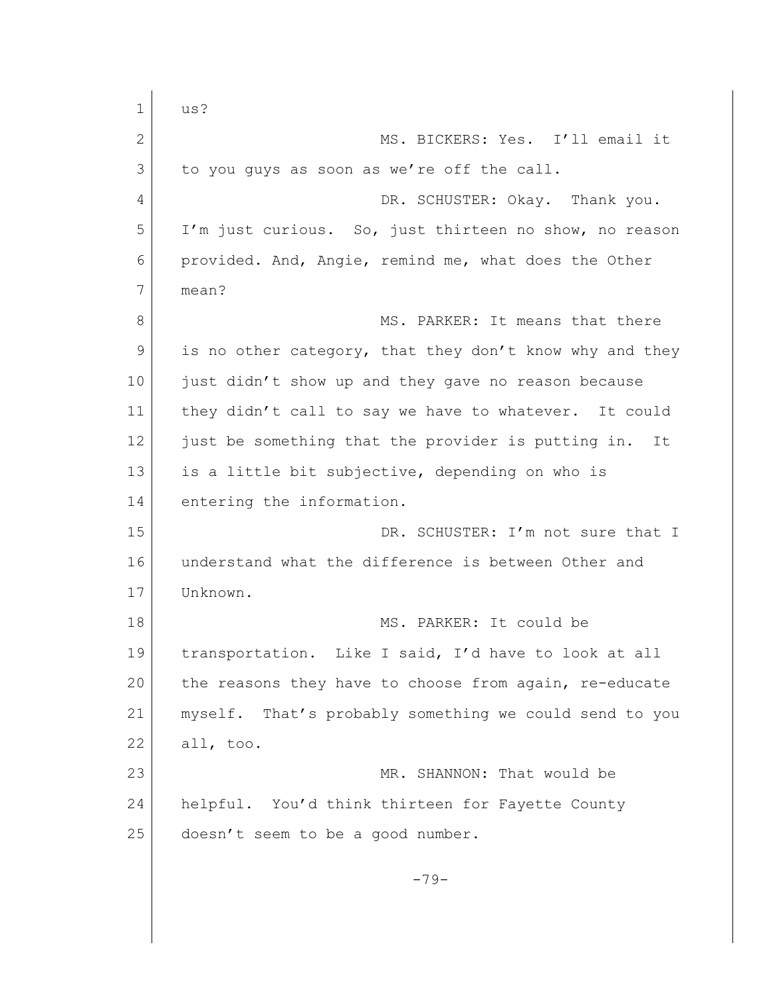1 us? 2 MS. BICKERS: Yes. I'll email it 3 to you guys as soon as we're off the call. 4 DR. SCHUSTER: Okay. Thank you. 5 I'm just curious. So, just thirteen no show, no reason 6 provided. And, Angie, remind me, what does the Other 7 mean? 8 MS. PARKER: It means that there 9 is no other category, that they don't know why and they 10 just didn't show up and they gave no reason because 11 they didn't call to say we have to whatever. It could 12 just be something that the provider is putting in. It 13 is a little bit subjective, depending on who is 14 entering the information. 15 DR. SCHUSTER: I'm not sure that I 16 understand what the difference is between Other and 17 Unknown. 18 MS. PARKER: It could be 19 | transportation. Like I said, I'd have to look at all 20 the reasons they have to choose from again, re-educate 21 | myself. That's probably something we could send to you 22 all, too. 23 MR. SHANNON: That would be 24 helpful. You'd think thirteen for Fayette County 25 doesn't seem to be a good number.  $-79-$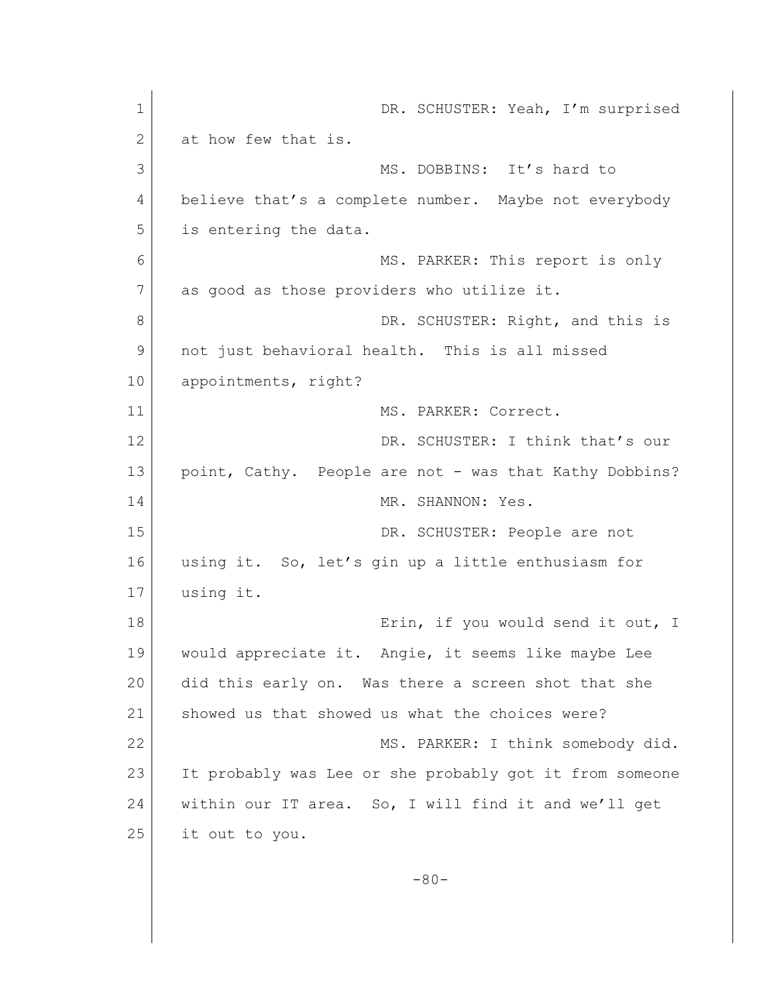| $\mathbf 1$  | DR. SCHUSTER: Yeah, I'm surprised                       |
|--------------|---------------------------------------------------------|
| $\mathbf{2}$ | at how few that is.                                     |
| 3            | MS. DOBBINS: It's hard to                               |
| 4            | believe that's a complete number. Maybe not everybody   |
| 5            | is entering the data.                                   |
| 6            | MS. PARKER: This report is only                         |
| 7            | as good as those providers who utilize it.              |
| 8            | DR. SCHUSTER: Right, and this is                        |
| 9            | not just behavioral health. This is all missed          |
| 10           | appointments, right?                                    |
| 11           | MS. PARKER: Correct.                                    |
| 12           | DR. SCHUSTER: I think that's our                        |
| 13           | point, Cathy. People are not - was that Kathy Dobbins?  |
| 14           | MR. SHANNON: Yes.                                       |
| 15           | DR. SCHUSTER: People are not                            |
| 16           | using it. So, let's gin up a little enthusiasm for      |
| 17           | using it.                                               |
| 18           | Erin, if you would send it out, I                       |
| 19           | would appreciate it. Angie, it seems like maybe Lee     |
| 20           | did this early on. Was there a screen shot that she     |
| 21           | showed us that showed us what the choices were?         |
| 22           | MS. PARKER: I think somebody did.                       |
| 23           | It probably was Lee or she probably got it from someone |
| 24           | within our IT area. So, I will find it and we'll get    |
| 25           | it out to you.                                          |
|              | $-80-$                                                  |
|              |                                                         |